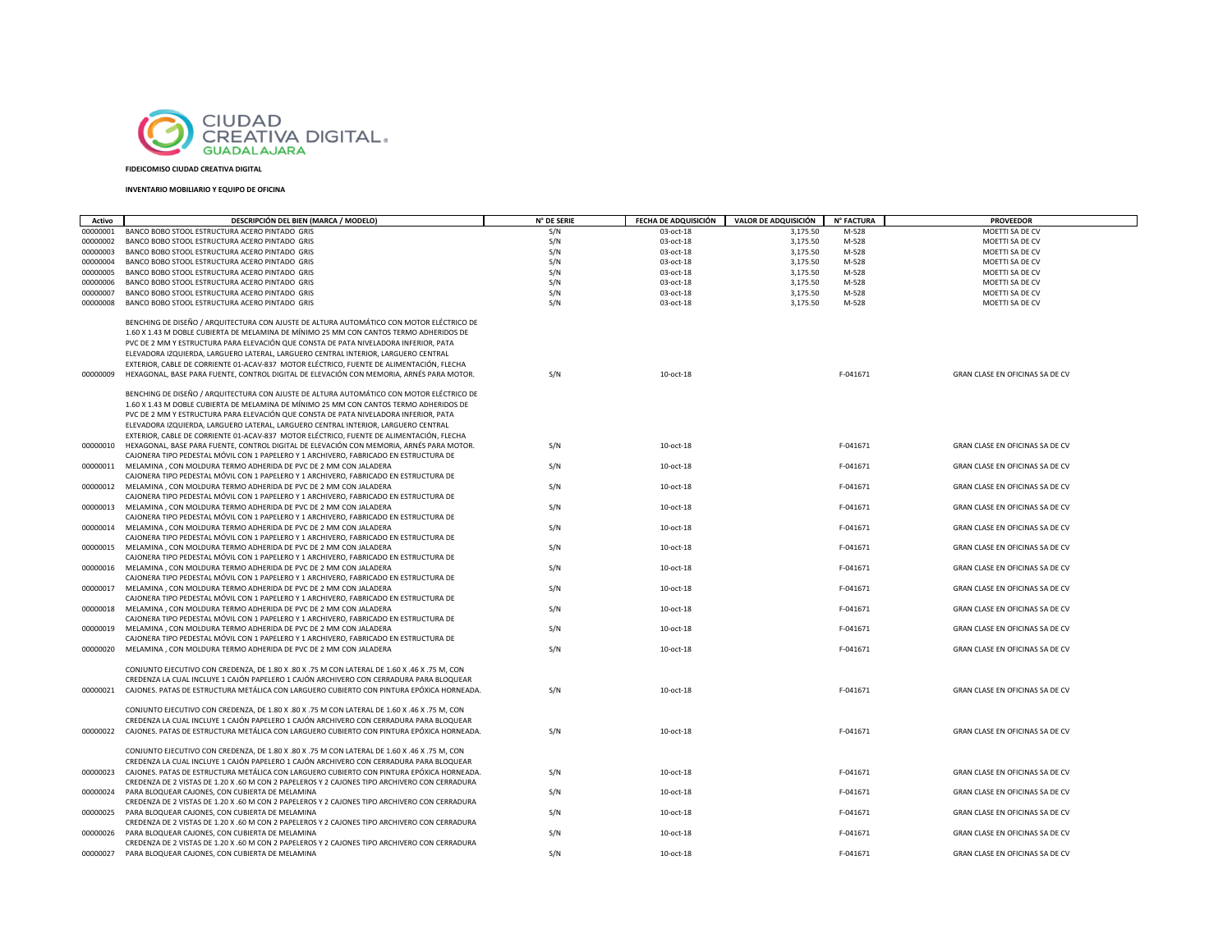

## **FIDEICOMISO CIUDAD CREATIVA DIGITAL**

## **INVENTARIO MOBILIARIO Y EQUIPO DE OFICINA**

| Activo               | DESCRIPCIÓN DEL BIEN (MARCA / MODELO)                                                                                                                                                    | N° DE SERIE | FECHA DE ADQUISICIÓN   | VALOR DE ADQUISICIÓN | N° FACTURA | <b>PROVEEDOR</b>                   |
|----------------------|------------------------------------------------------------------------------------------------------------------------------------------------------------------------------------------|-------------|------------------------|----------------------|------------|------------------------------------|
|                      | BANCO BOBO STOOL ESTRUCTURA ACERO PINTADO GRIS                                                                                                                                           | S/N         |                        | 3,175.50             | M-528      |                                    |
| 00000001<br>00000002 | BANCO BOBO STOOL ESTRUCTURA ACERO PINTADO GRIS                                                                                                                                           | S/N         | 03-oct-18<br>03-oct-18 | 3,175.50             | M-528      | MOETTI SA DE CV<br>MOETTI SA DE CV |
| 00000003             | BANCO BOBO STOOL ESTRUCTURA ACERO PINTADO GRIS                                                                                                                                           | S/N         | 03-oct-18              | 3,175.50             | M-528      | MOETTI SA DE CV                    |
| 00000004             | BANCO BOBO STOOL ESTRUCTURA ACERO PINTADO GRIS                                                                                                                                           | S/N         | 03-oct-18              | 3,175.50             | M-528      | MOETTI SA DE CV                    |
| 00000005             | BANCO BOBO STOOL ESTRUCTURA ACERO PINTADO GRIS                                                                                                                                           | S/N         | 03-oct-18              | 3,175.50             | M-528      | MOETTI SA DE CV                    |
| 00000006             | BANCO BOBO STOOL ESTRUCTURA ACERO PINTADO GRIS                                                                                                                                           | S/N         | 03-oct-18              | 3,175.50             | M-528      | MOETTI SA DE CV                    |
| 00000007             | BANCO BOBO STOOL ESTRUCTURA ACERO PINTADO GRIS                                                                                                                                           | S/N         | 03-oct-18              | 3,175.50             | M-528      | MOETTI SA DE CV                    |
| 00000008             | BANCO BOBO STOOL ESTRUCTURA ACERO PINTADO GRIS                                                                                                                                           | S/N         | 03-oct-18              | 3,175.50             | M-528      | MOETTI SA DE CV                    |
|                      |                                                                                                                                                                                          |             |                        |                      |            |                                    |
|                      | BENCHING DE DISEÑO / ARQUITECTURA CON AJUSTE DE ALTURA AUTOMÁTICO CON MOTOR ELÉCTRICO DE                                                                                                 |             |                        |                      |            |                                    |
|                      | 1.60 X 1.43 M DOBLE CUBIERTA DE MELAMINA DE MÍNIMO 25 MM CON CANTOS TERMO ADHERIDOS DE                                                                                                   |             |                        |                      |            |                                    |
|                      | PVC DE 2 MM Y ESTRUCTURA PARA ELEVACIÓN QUE CONSTA DE PATA NIVELADORA INFERIOR, PATA                                                                                                     |             |                        |                      |            |                                    |
|                      | ELEVADORA IZQUIERDA, LARGUERO LATERAL, LARGUERO CENTRAL INTERIOR, LARGUERO CENTRAL                                                                                                       |             |                        |                      |            |                                    |
|                      | EXTERIOR, CABLE DE CORRIENTE 01-ACAV-837 MOTOR ELÉCTRICO, FUENTE DE ALIMENTACIÓN, FLECHA                                                                                                 |             |                        |                      |            |                                    |
| 00000009             | HEXAGONAL, BASE PARA FUENTE, CONTROL DIGITAL DE ELEVACIÓN CON MEMORIA, ARNÉS PARA MOTOR.                                                                                                 | S/N         | 10-oct-18              |                      | F-041671   | GRAN CLASE EN OFICINAS SA DE CV    |
|                      | BENCHING DE DISEÑO / ARQUITECTURA CON AJUSTE DE ALTURA AUTOMÁTICO CON MOTOR ELÉCTRICO DE                                                                                                 |             |                        |                      |            |                                    |
|                      | 1.60 X 1.43 M DOBLE CUBIERTA DE MELAMINA DE MÍNIMO 25 MM CON CANTOS TERMO ADHERIDOS DE                                                                                                   |             |                        |                      |            |                                    |
|                      | PVC DE 2 MM Y ESTRUCTURA PARA ELEVACIÓN QUE CONSTA DE PATA NIVELADORA INFERIOR, PATA                                                                                                     |             |                        |                      |            |                                    |
|                      | ELEVADORA IZQUIERDA, LARGUERO LATERAL, LARGUERO CENTRAL INTERIOR, LARGUERO CENTRAL                                                                                                       |             |                        |                      |            |                                    |
|                      | EXTERIOR, CABLE DE CORRIENTE 01-ACAV-837 MOTOR ELÉCTRICO, FUENTE DE ALIMENTACIÓN, FLECHA                                                                                                 |             |                        |                      |            |                                    |
| 00000010             | HEXAGONAL, BASE PARA FUENTE, CONTROL DIGITAL DE ELEVACIÓN CON MEMORIA, ARNÉS PARA MOTOR.                                                                                                 | S/N         | 10-oct-18              |                      | F-041671   | GRAN CLASE EN OFICINAS SA DE CV    |
|                      | CAJONERA TIPO PEDESTAL MÓVIL CON 1 PAPELERO Y 1 ARCHIVERO, FABRICADO EN ESTRUCTURA DE                                                                                                    |             |                        |                      |            |                                    |
| 00000011             | MELAMINA, CON MOLDURA TERMO ADHERIDA DE PVC DE 2 MM CON JALADERA                                                                                                                         | S/N         | 10-oct-18              |                      | F-041671   | GRAN CLASE EN OFICINAS SA DE CV    |
|                      | CAJONERA TIPO PEDESTAL MÓVIL CON 1 PAPELERO Y 1 ARCHIVERO, FABRICADO EN ESTRUCTURA DE                                                                                                    |             |                        |                      |            |                                    |
| 00000012             | MELAMINA, CON MOLDURA TERMO ADHERIDA DE PVC DE 2 MM CON JALADERA                                                                                                                         | S/N         | 10-oct-18              |                      | F-041671   | GRAN CLASE EN OFICINAS SA DE CV    |
|                      | CAJONERA TIPO PEDESTAL MÓVIL CON 1 PAPELERO Y 1 ARCHIVERO, FABRICADO EN ESTRUCTURA DE                                                                                                    |             |                        |                      |            |                                    |
| 00000013             | MELAMINA, CON MOLDURA TERMO ADHERIDA DE PVC DE 2 MM CON JALADERA                                                                                                                         | S/N         | 10-oct-18              |                      | F-041671   | GRAN CLASE EN OFICINAS SA DE CV    |
|                      | CAJONERA TIPO PEDESTAL MÓVIL CON 1 PAPELERO Y 1 ARCHIVERO, FABRICADO EN ESTRUCTURA DE                                                                                                    |             |                        |                      |            |                                    |
|                      | 00000014 MELAMINA . CON MOLDURA TERMO ADHERIDA DE PVC DE 2 MM CON JALADERA                                                                                                               | S/N         | 10-oct-18              |                      | F-041671   | GRAN CLASE EN OFICINAS SA DE CV    |
|                      | CAJONERA TIPO PEDESTAL MÓVIL CON 1 PAPELERO Y 1 ARCHIVERO, FABRICADO EN ESTRUCTURA DE                                                                                                    |             |                        |                      |            |                                    |
| 00000015             | MELAMINA, CON MOLDURA TERMO ADHERIDA DE PVC DE 2 MM CON JALADERA<br>CAJONERA TIPO PEDESTAL MÓVIL CON 1 PAPELERO Y 1 ARCHIVERO, FABRICADO EN ESTRUCTURA DE                                | S/N         | 10-oct-18              |                      | F-041671   | GRAN CLASE EN OFICINAS SA DE CV    |
|                      | 00000016 MELAMINA, CON MOLDURA TERMO ADHERIDA DE PVC DE 2 MM CON JALADERA                                                                                                                | S/N         | 10-oct-18              |                      | F-041671   | GRAN CLASE EN OFICINAS SA DE CV    |
|                      | CAJONERA TIPO PEDESTAL MÓVIL CON 1 PAPELERO Y 1 ARCHIVERO, FABRICADO EN ESTRUCTURA DE                                                                                                    |             |                        |                      |            |                                    |
| 00000017             | MELAMINA, CON MOLDURA TERMO ADHERIDA DE PVC DE 2 MM CON JALADERA                                                                                                                         | S/N         | 10-oct-18              |                      | F-041671   | GRAN CLASE EN OFICINAS SA DE CV    |
|                      | CAJONERA TIPO PEDESTAL MÓVIL CON 1 PAPELERO Y 1 ARCHIVERO, FABRICADO EN ESTRUCTURA DE                                                                                                    |             |                        |                      |            |                                    |
| 00000018             | MELAMINA, CON MOLDURA TERMO ADHERIDA DE PVC DE 2 MM CON JALADERA                                                                                                                         | S/N         | 10-oct-18              |                      | F-041671   | GRAN CLASE EN OFICINAS SA DE CV    |
|                      | CAJONERA TIPO PEDESTAL MÓVIL CON 1 PAPELERO Y 1 ARCHIVERO, FABRICADO EN ESTRUCTURA DE                                                                                                    |             |                        |                      |            |                                    |
| 00000019             | MELAMINA, CON MOLDURA TERMO ADHERIDA DE PVC DE 2 MM CON JALADERA                                                                                                                         | S/N         | 10-oct-18              |                      | F-041671   | GRAN CLASE EN OFICINAS SA DE CV    |
|                      | CAJONERA TIPO PEDESTAL MÓVIL CON 1 PAPELERO Y 1 ARCHIVERO, FABRICADO EN ESTRUCTURA DE                                                                                                    |             |                        |                      |            |                                    |
| 00000020             | MELAMINA, CON MOLDURA TERMO ADHERIDA DE PVC DE 2 MM CON JALADERA                                                                                                                         | S/N         | 10-oct-18              |                      | F-041671   | GRAN CLASE EN OFICINAS SA DE CV    |
|                      |                                                                                                                                                                                          |             |                        |                      |            |                                    |
|                      | CONJUNTO EJECUTIVO CON CREDENZA, DE 1.80 X .80 X .75 M CON LATERAL DE 1.60 X .46 X .75 M, CON<br>CREDENZA LA CUAL INCLUYE 1 CAJÓN PAPELERO 1 CAJÓN ARCHIVERO CON CERRADURA PARA BLOQUEAR |             |                        |                      |            |                                    |
| 00000021             | CAJONES. PATAS DE ESTRUCTURA METÁLICA CON LARGUERO CUBIERTO CON PINTURA EPÓXICA HORNEADA.                                                                                                | S/N         | 10-oct-18              |                      | F-041671   | GRAN CLASE EN OFICINAS SA DE CV    |
|                      |                                                                                                                                                                                          |             |                        |                      |            |                                    |
|                      | CONJUNTO EJECUTIVO CON CREDENZA. DE 1.80 X .80 X .75 M CON LATERAL DE 1.60 X .46 X .75 M. CON                                                                                            |             |                        |                      |            |                                    |
|                      | CREDENZA LA CUAL INCLUYE 1 CAJÓN PAPELERO 1 CAJÓN ARCHIVERO CON CERRADURA PARA BLOQUEAR                                                                                                  |             |                        |                      |            |                                    |
|                      | 00000022 CAJONES. PATAS DE ESTRUCTURA METÁLICA CON LARGUERO CUBIERTO CON PINTURA EPÓXICA HORNEADA.                                                                                       | S/N         | 10-oct-18              |                      | F-041671   | GRAN CLASE EN OFICINAS SA DE CV    |
|                      |                                                                                                                                                                                          |             |                        |                      |            |                                    |
|                      | CONJUNTO EJECUTIVO CON CREDENZA, DE 1.80 X .80 X .75 M CON LATERAL DE 1.60 X .46 X .75 M, CON                                                                                            |             |                        |                      |            |                                    |
|                      | CREDENZA LA CUAL INCLUYE 1 CAJÓN PAPELERO 1 CAJÓN ARCHIVERO CON CERRADURA PARA BLOQUEAR                                                                                                  |             |                        |                      |            |                                    |
| 00000023             | CAJONES. PATAS DE ESTRUCTURA METÁLICA CON LARGUERO CUBIERTO CON PINTURA EPÓXICA HORNEADA.                                                                                                | S/N         | 10-oct-18              |                      | F-041671   | GRAN CLASE EN OFICINAS SA DE CV    |
|                      | CREDENZA DE 2 VISTAS DE 1.20 X .60 M CON 2 PAPELEROS Y 2 CAJONES TIPO ARCHIVERO CON CERRADURA                                                                                            |             |                        |                      |            |                                    |
| 00000024             | PARA BLOQUEAR CAJONES, CON CUBIERTA DE MELAMINA                                                                                                                                          | S/N         | 10-oct-18              |                      | F-041671   | GRAN CLASE EN OFICINAS SA DE CV    |
| 00000025             | CREDENZA DE 2 VISTAS DE 1.20 X .60 M CON 2 PAPELEROS Y 2 CAJONES TIPO ARCHIVERO CON CERRADURA<br>PARA BLOQUEAR CAJONES, CON CUBIERTA DE MELAMINA                                         | S/N         | 10-oct-18              |                      | F-041671   | GRAN CLASE EN OFICINAS SA DE CV    |
|                      | CREDENZA DE 2 VISTAS DE 1.20 X .60 M CON 2 PAPELEROS Y 2 CAJONES TIPO ARCHIVERO CON CERRADURA                                                                                            |             |                        |                      |            |                                    |
| 00000026             | PARA BLOQUEAR CAJONES, CON CUBIERTA DE MELAMINA                                                                                                                                          | S/N         | 10-oct-18              |                      | F-041671   | GRAN CLASE EN OFICINAS SA DE CV    |
|                      | CREDENZA DE 2 VISTAS DE 1.20 X .60 M CON 2 PAPELEROS Y 2 CAJONES TIPO ARCHIVERO CON CERRADURA                                                                                            |             |                        |                      |            |                                    |
|                      | 00000027 PARA BLOQUEAR CAJONES, CON CUBIERTA DE MELAMINA                                                                                                                                 | S/N         | 10-oct-18              |                      | F-041671   | GRAN CLASE EN OFICINAS SA DE CV    |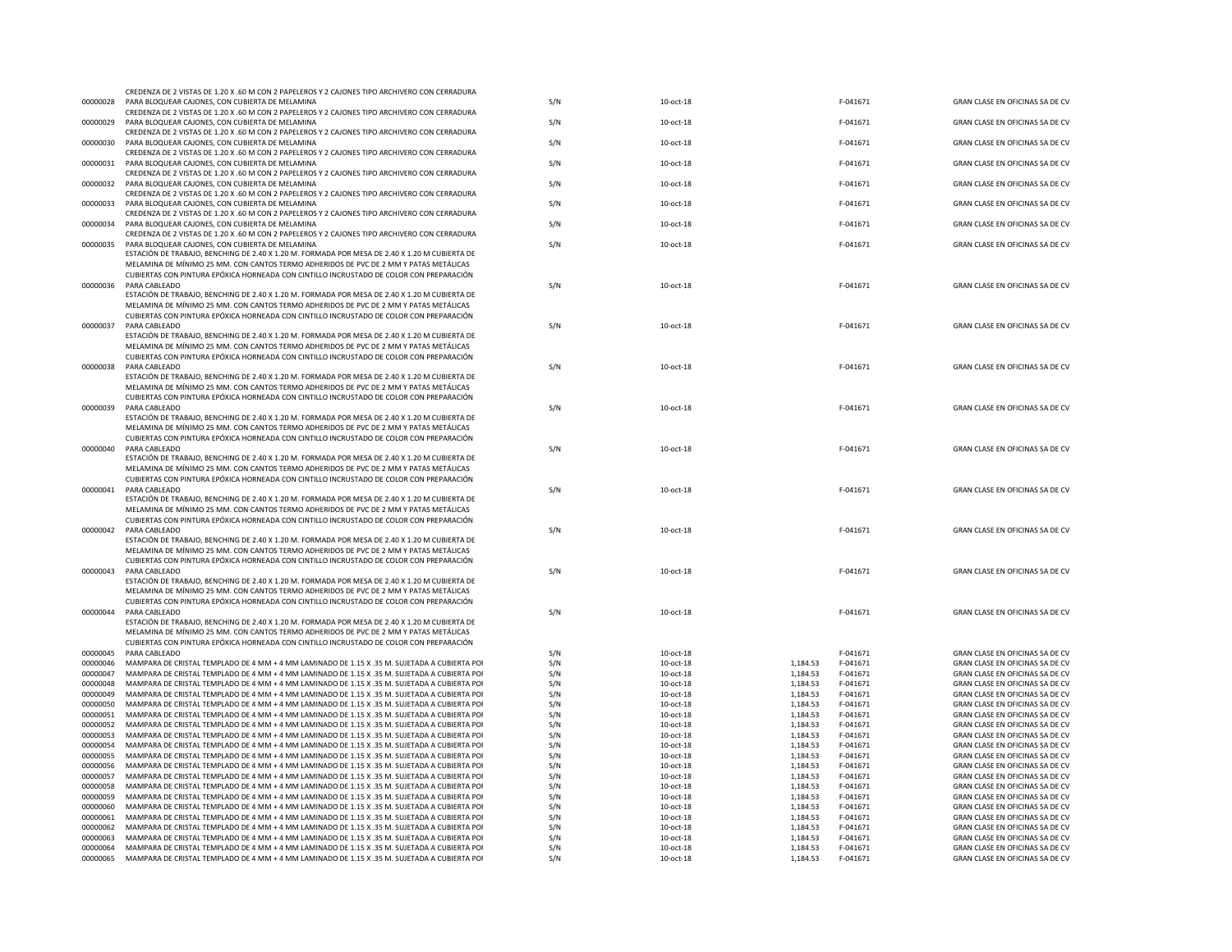| 00000028             | CREDENZA DE 2 VISTAS DE 1.20 X .60 M CON 2 PAPELEROS Y 2 CAJONES TIPO ARCHIVERO CON CERRADURA<br>PARA BLOOUFAR CAJONES. CON CUBIERTA DE MELAMINA                                                                                                                                  |            |                        |                                              |                                                                    |
|----------------------|-----------------------------------------------------------------------------------------------------------------------------------------------------------------------------------------------------------------------------------------------------------------------------------|------------|------------------------|----------------------------------------------|--------------------------------------------------------------------|
|                      | CREDENZA DE 2 VISTAS DE 1.20 X.60 M CON 2 PAPELEROS Y 2 CAJONES TIPO ARCHIVERO CON CERRADURA                                                                                                                                                                                      | S/N        | 10-oct-18              | F-041671                                     | GRAN CLASE EN OFICINAS SA DE CV                                    |
| 00000029             | PARA BLOOUFAR CAJONES, CON CUBIERTA DE MELAMINA<br>CREDENZA DE 2 VISTAS DE 1.20 X .60 M CON 2 PAPELEROS Y 2 CAJONES TIPO ARCHIVERO CON CERRADURA                                                                                                                                  | S/N        | 10-oct-18              | F-041671                                     | GRAN CLASE EN OFICINAS SA DE CV                                    |
| 00000030             | PARA BLOQUEAR CAJONES, CON CUBIERTA DE MELAMINA<br>CREDENZA DE 2 VISTAS DE 1.20 X .60 M CON 2 PAPELEROS Y 2 CAJONES TIPO ARCHIVERO CON CERRADURA                                                                                                                                  | S/N        | 10-oct-18              | F-041671                                     | GRAN CLASE EN OFICINAS SA DE CV                                    |
| 00000031             | PARA BLOQUEAR CAJONES, CON CUBIERTA DE MELAMINA<br>CREDENZA DE 2 VISTAS DE 1.20 X .60 M CON 2 PAPELEROS Y 2 CAJONES TIPO ARCHIVERO CON CERRADURA                                                                                                                                  | S/N        | 10-oct-18              | F-041671                                     | GRAN CLASE EN OFICINAS SA DE CV                                    |
| 00000032             | PARA BLOQUEAR CAJONES, CON CUBIERTA DE MELAMINA                                                                                                                                                                                                                                   | S/N        | 10-oct-18              | F-041671                                     | GRAN CLASE EN OFICINAS SA DE CV                                    |
| 00000033             | CREDENZA DE 2 VISTAS DE 1.20 X .60 M CON 2 PAPELEROS Y 2 CAJONES TIPO ARCHIVERO CON CERRADURA<br>PARA BLOQUEAR CAJONES, CON CUBIERTA DE MELAMINA                                                                                                                                  | S/N        | 10-oct-18              | F-041671                                     | GRAN CLASE EN OFICINAS SA DE CV                                    |
| 00000034             | CREDENZA DE 2 VISTAS DE 1.20 X .60 M CON 2 PAPELEROS Y 2 CAJONES TIPO ARCHIVERO CON CERRADURA<br>PARA BLOQUEAR CAJONES, CON CUBIERTA DE MELAMINA                                                                                                                                  | S/N        | 10-oct-18              | F-041671                                     | GRAN CLASE EN OFICINAS SA DE CV                                    |
| 00000035             | CREDENZA DE 2 VISTAS DE 1.20 X .60 M CON 2 PAPELEROS Y 2 CAJONES TIPO ARCHIVERO CON CERRADURA<br>PARA BLOQUEAR CAJONES, CON CUBIERTA DE MELAMINA                                                                                                                                  | S/N        | 10-oct-18              | F-041671                                     | GRAN CLASE EN OFICINAS SA DE CV                                    |
|                      | ESTACIÓN DE TRABAJO, BENCHING DE 2.40 X 1.20 M. FORMADA POR MESA DE 2.40 X 1.20 M CUBIERTA DE<br>MELAMINA DE MÍNIMO 25 MM. CON CANTOS TERMO ADHERIDOS DE PVC DE 2 MM Y PATAS METÁLICAS<br>CUBIERTAS CON PINTURA EPÓXICA HORNEADA CON CINTILLO INCRUSTADO DE COLOR CON PREPARACIÓN |            |                        |                                              |                                                                    |
| 00000036             | PARA CABLEADO                                                                                                                                                                                                                                                                     | S/N        | 10-oct-18              | F-041671                                     | GRAN CLASE EN OFICINAS SA DE CV                                    |
|                      | ESTACIÓN DE TRABAJO. BENCHING DE 2.40 X 1.20 M. FORMADA POR MESA DE 2.40 X 1.20 M CUBIERTA DE<br>MELAMINA DE MÍNIMO 25 MM. CON CANTOS TERMO ADHERIDOS DE PVC DE 2 MM Y PATAS METÁLICAS                                                                                            |            |                        |                                              |                                                                    |
|                      | CUBIERTAS CON PINTURA EPÓXICA HORNEADA CON CINTILLO INCRUSTADO DE COLOR CON PREPARACIÓN                                                                                                                                                                                           |            |                        |                                              |                                                                    |
| 00000037             | PARA CABLEADO                                                                                                                                                                                                                                                                     | S/N        | 10-oct-18              | F-041671                                     | GRAN CLASE EN OFICINAS SA DE CV                                    |
|                      | ESTACIÓN DE TRABAJO. BENCHING DE 2.40 X 1.20 M. FORMADA POR MESA DE 2.40 X 1.20 M CUBIERTA DE<br>MELAMINA DE MÍNIMO 25 MM. CON CANTOS TERMO ADHERIDOS DE PVC DE 2 MM Y PATAS METÁLICAS                                                                                            |            |                        |                                              |                                                                    |
|                      | CUBIERTAS CON PINTURA EPÓXICA HORNEADA CON CINTILLO INCRUSTADO DE COLOR CON PREPARACIÓN                                                                                                                                                                                           |            |                        |                                              |                                                                    |
| 00000038             | PARA CABLEADO                                                                                                                                                                                                                                                                     | S/N        | 10-oct-18              | F-041671                                     | GRAN CLASE EN OFICINAS SA DE CV                                    |
|                      | ESTACIÓN DE TRABAJO, BENCHING DE 2.40 X 1.20 M. FORMADA POR MESA DE 2.40 X 1.20 M CUBIERTA DE<br>MELAMINA DE MÍNIMO 25 MM. CON CANTOS TERMO ADHERIDOS DE PVC DE 2 MM Y PATAS METÁLICAS                                                                                            |            |                        |                                              |                                                                    |
|                      | CUBIERTAS CON PINTURA EPÓXICA HORNEADA CON CINTILLO INCRUSTADO DE COLOR CON PREPARACIÓN                                                                                                                                                                                           |            |                        |                                              |                                                                    |
| 00000039             | PARA CABLEADO                                                                                                                                                                                                                                                                     | S/N        | 10-oct-18              | F-041671                                     | GRAN CLASE EN OFICINAS SA DE CV                                    |
|                      | ESTACIÓN DE TRABAJO, BENCHING DE 2.40 X 1.20 M. FORMADA POR MESA DE 2.40 X 1.20 M CUBIERTA DE<br>MELAMINA DE MÍNIMO 25 MM. CON CANTOS TERMO ADHERIDOS DE PVC DE 2 MM Y PATAS METÁLICAS                                                                                            |            |                        |                                              |                                                                    |
|                      | CUBIERTAS CON PINTURA EPÓXICA HORNEADA CON CINTILLO INCRUSTADO DE COLOR CON PREPARACIÓN                                                                                                                                                                                           |            |                        |                                              |                                                                    |
| 00000040             | PARA CABLEADO                                                                                                                                                                                                                                                                     | S/N        | 10-oct-18              | F-041671                                     | GRAN CLASE EN OFICINAS SA DE CV                                    |
|                      | ESTACIÓN DE TRABAJO. BENCHING DE 2.40 X 1.20 M. FORMADA POR MESA DE 2.40 X 1.20 M CUBIERTA DE<br>MELAMINA DE MÍNIMO 25 MM. CON CANTOS TERMO ADHERIDOS DE PVC DE 2 MM Y PATAS METÁLICAS                                                                                            |            |                        |                                              |                                                                    |
|                      | CUBIERTAS CON PINTURA EPÓXICA HORNEADA CON CINTILLO INCRUSTADO DE COLOR CON PREPARACIÓN                                                                                                                                                                                           |            |                        |                                              |                                                                    |
| 00000041             | PARA CABLEADO                                                                                                                                                                                                                                                                     | S/N        | 10-oct-18              | F-041671                                     | GRAN CLASE EN OFICINAS SA DE CV                                    |
|                      | ESTACIÓN DE TRABAJO, BENCHING DE 2.40 X 1.20 M. FORMADA POR MESA DE 2.40 X 1.20 M CUBIERTA DE                                                                                                                                                                                     |            |                        |                                              |                                                                    |
|                      | MELAMINA DE MÍNIMO 25 MM. CON CANTOS TERMO ADHERIDOS DE PVC DE 2 MM Y PATAS METÁLICAS<br>CUBIERTAS CON PINTURA EPÓXICA HORNEADA CON CINTILLO INCRUSTADO DE COLOR CON PREPARACIÓN                                                                                                  |            |                        |                                              |                                                                    |
| 00000042             | PARA CABI FADO                                                                                                                                                                                                                                                                    | S/N        | 10-oct-18              | F-041671                                     | GRAN CLASE EN OFICINAS SA DE CV                                    |
|                      | ESTACIÓN DE TRABAJO, BENCHING DE 2.40 X 1.20 M. FORMADA POR MESA DE 2.40 X 1.20 M CUBIERTA DE                                                                                                                                                                                     |            |                        |                                              |                                                                    |
|                      | MELAMINA DE MÍNIMO 25 MM. CON CANTOS TERMO ADHERIDOS DE PVC DE 2 MM Y PATAS METÁLICAS<br>CUBIERTAS CON PINTURA EPÓXICA HORNEADA CON CINTILLO INCRUSTADO DE COLOR CON PREPARACIÓN                                                                                                  |            |                        |                                              |                                                                    |
| 00000043             | PARA CABLEADO                                                                                                                                                                                                                                                                     | S/N        | 10-oct-18              | F-041671                                     | GRAN CLASE EN OFICINAS SA DE CV                                    |
|                      | ESTACIÓN DE TRABAJO. BENCHING DE 2.40 X 1.20 M. FORMADA POR MESA DE 2.40 X 1.20 M CUBIERTA DE                                                                                                                                                                                     |            |                        |                                              |                                                                    |
|                      | MELAMINA DE MÍNIMO 25 MM. CON CANTOS TERMO ADHERIDOS DE PVC DE 2 MM Y PATAS METÁLICAS<br>CUBIERTAS CON PINTURA EPÓXICA HORNEADA CON CINTILLO INCRUSTADO DE COLOR CON PREPARACIÓN                                                                                                  |            |                        |                                              |                                                                    |
| 00000044             | PARA CABLEADO                                                                                                                                                                                                                                                                     | S/N        | 10-oct-18              | F-041671                                     | GRAN CLASE EN OFICINAS SA DE CV                                    |
|                      | ESTACIÓN DE TRABAJO, BENCHING DE 2.40 X 1.20 M. FORMADA POR MESA DE 2.40 X 1.20 M CUBIERTA DE                                                                                                                                                                                     |            |                        |                                              |                                                                    |
|                      | MELAMINA DE MÍNIMO 25 MM. CON CANTOS TERMO ADHERIDOS DE PVC DE 2 MM Y PATAS METÁLICAS<br>CUBIERTAS CON PINTURA EPÓXICA HORNEADA CON CINTILLO INCRUSTADO DE COLOR CON PREPARACIÓN                                                                                                  |            |                        |                                              |                                                                    |
| 00000045             | PARA CABLEADO                                                                                                                                                                                                                                                                     | S/N        | 10-oct-18              | F-041671                                     | GRAN CLASE EN OFICINAS SA DE CV                                    |
| 00000046             | MAMPARA DE CRISTAL TEMPLADO DE 4 MM + 4 MM LAMINADO DE 1.15 X .35 M. SUJETADA A CUBIERTA POI                                                                                                                                                                                      | S/N        | 10-oct-18              | 1,184.53<br>F-041671                         | GRAN CLASE EN OFICINAS SA DE CV                                    |
| 00000047             | MAMPARA DE CRISTAL TEMPLADO DE 4 MM + 4 MM LAMINADO DE 1.15 X .35 M. SUJETADA A CUBIERTA POI                                                                                                                                                                                      | S/N        | 10-oct-18              | F-041671<br>1.184.53                         | GRAN CLASE EN OFICINAS SA DE CV                                    |
| 00000048<br>00000049 | MAMPARA DE CRISTAL TEMPLADO DE 4 MM + 4 MM LAMINADO DE 1.15 X .35 M. SUJETADA A CUBIERTA POI<br>MAMPARA DE CRISTAL TEMPLADO DE 4 MM + 4 MM LAMINADO DE 1.15 X .35 M. SUJETADA A CUBIERTA POI                                                                                      | S/N<br>S/N | 10-oct-18<br>10-oct-18 | 1,184.53<br>F-041671<br>1,184.53<br>F-041671 | GRAN CLASE EN OFICINAS SA DE CV<br>GRAN CLASE EN OFICINAS SA DE CV |
| 00000050             | MAMPARA DE CRISTAL TEMPLADO DE 4 MM + 4 MM LAMINADO DE 1.15 X .35 M. SUJETADA A CUBIERTA POI                                                                                                                                                                                      | S/N        | 10-oct-18              | 1,184.53<br>F-041671                         | GRAN CLASE EN OFICINAS SA DE CV                                    |
| 00000051             | MAMPARA DE CRISTAL TEMPLADO DE 4 MM + 4 MM LAMINADO DE 1.15 X .35 M. SUJETADA A CUBIERTA POI                                                                                                                                                                                      | S/N        | 10-oct-18              | F-041671<br>1.184.53                         | GRAN CLASE EN OFICINAS SA DE CV                                    |
| 00000052             | MAMPARA DE CRISTAL TEMPLADO DE 4 MM + 4 MM LAMINADO DE 1.15 X .35 M. SUJETADA A CUBIERTA POI                                                                                                                                                                                      | S/N        | 10-oct-18              | F-041671<br>1.184.53                         | GRAN CLASE EN OFICINAS SA DE CV                                    |
| 00000053             | MAMPARA DE CRISTAL TEMPLADO DE 4 MM + 4 MM LAMINADO DE 1.15 X .35 M. SUJETADA A CUBIERTA POI                                                                                                                                                                                      | S/N        | 10-oct-18              | 1,184.53<br>F-041671                         | GRAN CLASE EN OFICINAS SA DE CV                                    |
| 00000054<br>00000055 | MAMPARA DE CRISTAL TEMPLADO DE 4 MM + 4 MM LAMINADO DE 1.15 X .35 M. SUJETADA A CUBIERTA POI<br>MAMPARA DE CRISTAL TEMPLADO DE 4 MM + 4 MM LAMINADO DE 1.15 X .35 M. SUJETADA A CUBIERTA POI                                                                                      | S/N<br>S/N | 10-oct-18<br>10-oct-18 | 1,184.53<br>F-041671<br>1,184.53<br>F-041671 | GRAN CLASE EN OFICINAS SA DE CV<br>GRAN CLASE EN OFICINAS SA DE CV |
| 00000056             | MAMPARA DE CRISTAL TEMPLADO DE 4 MM + 4 MM LAMINADO DE 1.15 X .35 M. SUJETADA A CUBIERTA POI                                                                                                                                                                                      | S/N        | 10-oct-18              | 1,184.53<br>F-041671                         | GRAN CLASE EN OFICINAS SA DE CV                                    |
| 00000057             | MAMPARA DE CRISTAL TEMPLADO DE 4 MM + 4 MM LAMINADO DE 1.15 X .35 M. SUJETADA A CUBIERTA POI                                                                                                                                                                                      | S/N        | 10-oct-18              | 1,184.53<br>F-041671                         | GRAN CLASE EN OFICINAS SA DE CV                                    |
| 00000058             | MAMPARA DE CRISTAL TEMPLADO DE 4 MM + 4 MM LAMINADO DE 1.15 X .35 M. SUJETADA A CUBIERTA POI                                                                                                                                                                                      | S/N        | 10-oct-18              | 1,184.53<br>F-041671                         | GRAN CLASE EN OFICINAS SA DE CV                                    |
| 00000059<br>00000060 | MAMPARA DE CRISTAL TEMPLADO DE 4 MM + 4 MM LAMINADO DE 1.15 X .35 M. SUJETADA A CUBIERTA POI<br>MAMPARA DE CRISTAL TEMPLADO DE 4 MM + 4 MM LAMINADO DE 1.15 X .35 M. SUJETADA A CUBIERTA POI                                                                                      | S/N<br>S/N | 10-oct-18<br>10-oct-18 | 1.184.53<br>F-041671<br>F-041671<br>1,184.53 | GRAN CLASE EN OFICINAS SA DE CV<br>GRAN CLASE EN OFICINAS SA DE CV |
| 00000061             | MAMPARA DE CRISTAL TEMPLADO DE 4 MM + 4 MM LAMINADO DE 1.15 X .35 M. SUJETADA A CUBIERTA POI                                                                                                                                                                                      | S/N        | 10-oct-18              | F-041671<br>1.184.53                         | GRAN CLASE EN OFICINAS SA DE CV                                    |
| 00000062             | MAMPARA DE CRISTAL TEMPLADO DE 4 MM + 4 MM LAMINADO DE 1.15 X .35 M. SUJETADA A CUBIERTA POI                                                                                                                                                                                      | S/N        | 10-oct-18              | 1.184.53<br>F-041671                         | GRAN CLASE EN OFICINAS SA DE CV                                    |
| 00000063             | MAMPARA DE CRISTAL TEMPLADO DE 4 MM + 4 MM LAMINADO DE 1.15 X .35 M. SUJETADA A CUBIERTA POI                                                                                                                                                                                      | S/N        | 10-oct-18              | 1,184.53<br>F-041671                         | GRAN CLASE EN OFICINAS SA DE CV                                    |
| 00000064<br>00000065 | MAMPARA DE CRISTAL TEMPLADO DE 4 MM + 4 MM LAMINADO DE 1.15 X .35 M. SUJETADA A CUBIERTA POI<br>MAMPARA DE CRISTAL TEMPLADO DE 4 MM + 4 MM LAMINADO DE 1.15 X .35 M. SUJETADA A CUBIERTA POI                                                                                      | S/N<br>S/N | 10-oct-18<br>10-oct-18 | 1,184.53<br>F-041671<br>1,184.53<br>F-041671 | GRAN CLASE EN OFICINAS SA DE CV<br>GRAN CLASE EN OFICINAS SA DE CV |
|                      |                                                                                                                                                                                                                                                                                   |            |                        |                                              |                                                                    |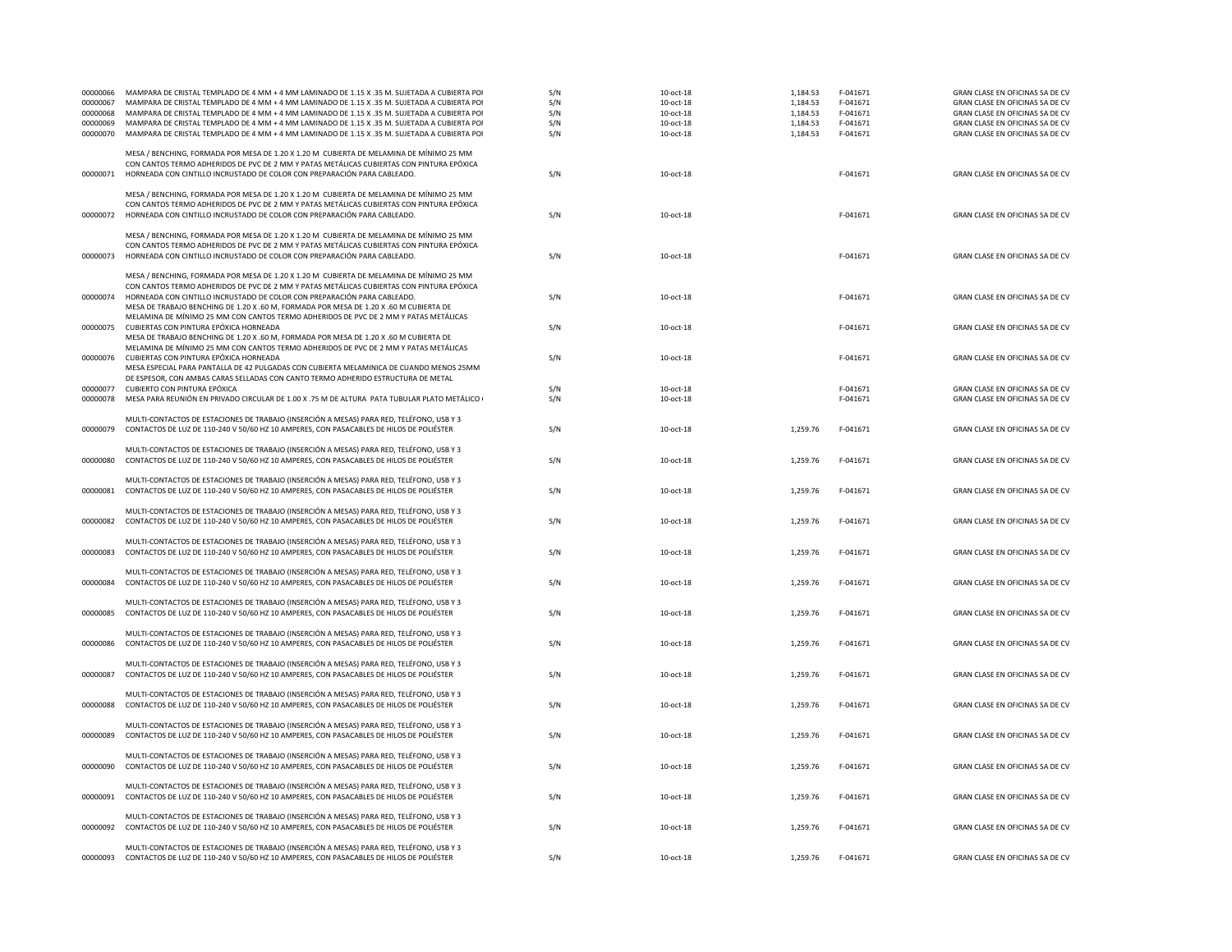| 00000066<br>00000067 | MAMPARA DE CRISTAL TEMPLADO DE 4 MM + 4 MM LAMINADO DE 1.15 X .35 M. SUJETADA A CUBIERTA POI<br>MAMPARA DE CRISTAL TEMPLADO DE 4 MM + 4 MM LAMINADO DE 1.15 X .35 M. SUJETADA A CUBIERTA POI | S/N<br>S/N | 10-oct-18<br>10-oct-18 | 1,184.53<br>1,184.53 | F-041671<br>F-041671 | GRAN CLASE EN OFICINAS SA DE CV<br>GRAN CLASE EN OFICINAS SA DE CV |
|----------------------|----------------------------------------------------------------------------------------------------------------------------------------------------------------------------------------------|------------|------------------------|----------------------|----------------------|--------------------------------------------------------------------|
| 00000068             | MAMPARA DE CRISTAL TEMPLADO DE 4 MM + 4 MM LAMINADO DE 1.15 X .35 M. SUJETADA A CUBIERTA POI                                                                                                 | S/N        | 10-oct-18              | 1,184.53             | F-041671             | GRAN CLASE EN OFICINAS SA DE CV                                    |
| 00000069             | MAMPARA DE CRISTAL TEMPLADO DE 4 MM + 4 MM LAMINADO DE 1.15 X .35 M. SUJETADA A CUBIERTA POI                                                                                                 | S/N        | 10-oct-18              | 1,184.53             | F-041671             | GRAN CLASE EN OFICINAS SA DE CV                                    |
| 00000070             | MAMPARA DE CRISTAL TEMPLADO DE 4 MM + 4 MM LAMINADO DE 1.15 X .35 M. SUJETADA A CUBIERTA POI                                                                                                 | S/N        | 10-oct-18              | 1,184.53             | F-041671             | GRAN CLASE EN OFICINAS SA DE CV                                    |
|                      | MESA / BENCHING, FORMADA POR MESA DE 1.20 X 1.20 M CUBIERTA DE MELAMINA DE MÍNIMO 25 MM                                                                                                      |            |                        |                      |                      |                                                                    |
| 00000071             | CON CANTOS TERMO ADHERIDOS DE PVC DE 2 MM Y PATAS METÁLICAS CUBIERTAS CON PINTURA EPÓXICA<br>HORNEADA CON CINTILLO INCRUSTADO DE COLOR CON PREPARACIÓN PARA CABLEADO.                        | S/N        | 10-oct-18              |                      | F-041671             | GRAN CLASE EN OFICINAS SA DE CV                                    |
|                      |                                                                                                                                                                                              |            |                        |                      |                      |                                                                    |
|                      | MESA / BENCHING, FORMADA POR MESA DE 1.20 X 1.20 M CUBIERTA DE MELAMINA DE MÍNIMO 25 MM<br>CON CANTOS TERMO ADHERIDOS DE PVC DE 2 MM Y PATAS METÁLICAS CUBIERTAS CON PINTURA EPÓXICA         |            |                        |                      |                      |                                                                    |
| 00000072             | HORNEADA CON CINTILLO INCRUSTADO DE COLOR CON PREPARACIÓN PARA CABLEADO.                                                                                                                     | S/N        | 10-oct-18              |                      | F-041671             | GRAN CLASE EN OFICINAS SA DE CV                                    |
|                      |                                                                                                                                                                                              |            |                        |                      |                      |                                                                    |
|                      | MESA / BENCHING, FORMADA POR MESA DE 1.20 X 1.20 M CUBIERTA DE MELAMINA DE MÍNIMO 25 MM                                                                                                      |            |                        |                      |                      |                                                                    |
| 00000073             | CON CANTOS TERMO ADHERIDOS DE PVC DE 2 MM Y PATAS METÁLICAS CUBIERTAS CON PINTURA EPÓXICA<br>HORNEADA CON CINTILLO INCRUSTADO DE COLOR CON PREPARACIÓN PARA CABLEADO.                        | S/N        | 10-oct-18              |                      | F-041671             | GRAN CLASE EN OFICINAS SA DE CV                                    |
|                      |                                                                                                                                                                                              |            |                        |                      |                      |                                                                    |
|                      | MESA / BENCHING, FORMADA POR MESA DE 1.20 X 1.20 M CUBIERTA DE MELAMINA DE MÍNIMO 25 MM<br>CON CANTOS TERMO ADHERIDOS DE PVC DE 2 MM Y PATAS METÁLICAS CUBIERTAS CON PINTURA EPÓXICA         |            |                        |                      |                      |                                                                    |
| 00000074             | HORNEADA CON CINTILLO INCRUSTADO DE COLOR CON PREPARACIÓN PARA CABLEADO.                                                                                                                     | S/N        | 10-oct-18              |                      | F-041671             | GRAN CLASE EN OFICINAS SA DE CV                                    |
|                      | MESA DE TRABAJO BENCHING DE 1.20 X .60 M, FORMADA POR MESA DE 1.20 X .60 M CUBIERTA DE                                                                                                       |            |                        |                      |                      |                                                                    |
|                      | MELAMINA DE MÍNIMO 25 MM CON CANTOS TERMO ADHERIDOS DE PVC DE 2 MM Y PATAS METÁLICAS                                                                                                         |            |                        |                      |                      |                                                                    |
| 00000075             | CUBIERTAS CON PINTURA EPÓXICA HORNEADA                                                                                                                                                       | S/N        | 10-oct-18              |                      | F-041671             | GRAN CLASE EN OFICINAS SA DE CV                                    |
|                      | MESA DE TRABAJO BENCHING DE 1.20 X .60 M, FORMADA POR MESA DE 1.20 X .60 M CUBIERTA DE<br>MELAMINA DE MÍNIMO 25 MM CON CANTOS TERMO ADHERIDOS DE PVC DE 2 MM Y PATAS METÁLICAS               |            |                        |                      |                      |                                                                    |
| 00000076             | CUBIERTAS CON PINTURA EPÓXICA HORNEADA                                                                                                                                                       | S/N        | 10-oct-18              |                      | F-041671             | GRAN CLASE EN OFICINAS SA DE CV                                    |
|                      | MESA ESPECIAL PARA PANTALLA DE 42 PULGADAS CON CUBIERTA MELAMINICA DE CUANDO MENOS 25MM                                                                                                      |            |                        |                      |                      |                                                                    |
| 00000077             | DE ESPESOR, CON AMBAS CARAS SELLADAS CON CANTO TERMO ADHERIDO ESTRUCTURA DE METAL<br>CUBIERTO CON PINTURA EPÓXICA                                                                            | S/N        | 10-oct-18              |                      | F-041671             | GRAN CLASE EN OFICINAS SA DE CV                                    |
| 00000078             | MESA PARA REUNIÓN EN PRIVADO CIRCULAR DE 1.00 X .75 M DE ALTURA PATA TUBULAR PLATO METÁLICO (                                                                                                | S/N        | 10-oct-18              |                      | F-041671             | GRAN CLASE EN OFICINAS SA DE CV                                    |
|                      |                                                                                                                                                                                              |            |                        |                      |                      |                                                                    |
| 00000079             | MULTI-CONTACTOS DE ESTACIONES DE TRABAJO (INSERCIÓN A MESAS) PARA RED, TELÉFONO, USB Y 3<br>CONTACTOS DE LUZ DE 110-240 V 50/60 HZ 10 AMPERES, CON PASACABLES DE HILOS DE POLIÉSTER          | S/N        | $10-oct-18$            | 1,259.76             | F-041671             | GRAN CLASE EN OFICINAS SA DE CV                                    |
|                      |                                                                                                                                                                                              |            |                        |                      |                      |                                                                    |
|                      | MULTI-CONTACTOS DE ESTACIONES DE TRABAJO (INSERCIÓN A MESAS) PARA RED, TELÉFONO, USB Y 3                                                                                                     |            |                        |                      |                      |                                                                    |
| 00000080             | CONTACTOS DE LUZ DE 110-240 V 50/60 HZ 10 AMPERES, CON PASACABLES DE HILOS DE POLIÉSTER                                                                                                      | S/N        | 10-oct-18              | 1,259.76             | F-041671             | GRAN CLASE EN OFICINAS SA DE CV                                    |
|                      | MULTI-CONTACTOS DE ESTACIONES DE TRABAJO (INSERCIÓN A MESAS) PARA RED, TELÉFONO, USB Y 3                                                                                                     |            |                        |                      |                      |                                                                    |
| 00000081             | CONTACTOS DE LUZ DE 110-240 V 50/60 HZ 10 AMPERES, CON PASACABLES DE HILOS DE POLIÉSTER                                                                                                      | S/N        | 10-oct-18              | 1,259.76             | F-041671             | GRAN CLASE EN OFICINAS SA DE CV                                    |
|                      | MULTI-CONTACTOS DE ESTACIONES DE TRABAJO (INSERCIÓN A MESAS) PARA RED, TELÉFONO, USB Y 3                                                                                                     |            |                        |                      |                      |                                                                    |
| 00000082             | CONTACTOS DE LUZ DE 110-240 V 50/60 HZ 10 AMPERES, CON PASACABLES DE HILOS DE POLIÉSTER                                                                                                      | S/N        | 10-oct-18              | 1,259.76             | F-041671             | GRAN CLASE EN OFICINAS SA DE CV                                    |
|                      |                                                                                                                                                                                              |            |                        |                      |                      |                                                                    |
|                      | MULTI-CONTACTOS DE ESTACIONES DE TRABAJO (INSERCIÓN A MESAS) PARA RED, TELÉFONO, USB Y 3                                                                                                     |            |                        |                      |                      |                                                                    |
| 00000083             | CONTACTOS DE LUZ DE 110-240 V 50/60 HZ 10 AMPERES, CON PASACABLES DE HILOS DE POLIÉSTER                                                                                                      | S/N        | 10-oct-18              | 1,259.76             | F-041671             | GRAN CLASE EN OFICINAS SA DE CV                                    |
|                      | MULTI-CONTACTOS DE ESTACIONES DE TRABAJO (INSERCIÓN A MESAS) PARA RED, TELÉFONO, USB Y 3                                                                                                     |            |                        |                      |                      |                                                                    |
| 00000084             | CONTACTOS DE LUZ DE 110-240 V 50/60 HZ 10 AMPERES, CON PASACABLES DE HILOS DE POLIÉSTER                                                                                                      | S/N        | 10-oct-18              | 1,259.76             | F-041671             | GRAN CLASE EN OFICINAS SA DE CV                                    |
|                      | MULTI-CONTACTOS DE ESTACIONES DE TRABAJO (INSERCIÓN A MESAS) PARA RED, TELÉFONO, USB Y 3                                                                                                     |            |                        |                      |                      |                                                                    |
| 00000085             | CONTACTOS DE LUZ DE 110-240 V 50/60 HZ 10 AMPERES, CON PASACABLES DE HILOS DE POLIÉSTER                                                                                                      | S/N        | 10-oct-18              | 1,259.76             | F-041671             | GRAN CLASE EN OFICINAS SA DE CV                                    |
|                      |                                                                                                                                                                                              |            |                        |                      |                      |                                                                    |
| 00000086             | MULTI-CONTACTOS DE ESTACIONES DE TRABAJO (INSERCIÓN A MESAS) PARA RED, TELÉFONO, USB Y 3<br>CONTACTOS DE LUZ DE 110-240 V 50/60 HZ 10 AMPERES, CON PASACABLES DE HILOS DE POLIÉSTER          | S/N        | 10-oct-18              | 1,259.76             | F-041671             | GRAN CLASE EN OFICINAS SA DE CV                                    |
|                      |                                                                                                                                                                                              |            |                        |                      |                      |                                                                    |
|                      | MULTI-CONTACTOS DE ESTACIONES DE TRABAJO (INSERCIÓN A MESAS) PARA RED, TELÉFONO, USB Y 3                                                                                                     |            |                        |                      |                      |                                                                    |
| 00000087             | CONTACTOS DE LUZ DE 110-240 V 50/60 HZ 10 AMPERES, CON PASACABLES DE HILOS DE POLIÉSTER                                                                                                      | S/N        | 10-oct-18              | 1,259.76             | F-041671             | GRAN CLASE EN OFICINAS SA DE CV                                    |
|                      | MULTI-CONTACTOS DE ESTACIONES DE TRABAJO (INSERCIÓN A MESAS) PARA RED, TELÉFONO, USB Y 3                                                                                                     |            |                        |                      |                      |                                                                    |
| 00000088             | CONTACTOS DE LUZ DE 110-240 V 50/60 HZ 10 AMPERES, CON PASACABLES DE HILOS DE POLIÉSTER                                                                                                      | S/N        | 10-oct-18              | 1,259.76             | F-041671             | GRAN CLASE EN OFICINAS SA DE CV                                    |
|                      | MULTI-CONTACTOS DE ESTACIONES DE TRABAJO (INSERCIÓN A MESAS) PARA RED, TELÉFONO, USB Y 3                                                                                                     |            |                        |                      |                      |                                                                    |
| 00000089             | CONTACTOS DE LUZ DE 110-240 V 50/60 HZ 10 AMPERES, CON PASACABLES DE HILOS DE POLIÉSTER                                                                                                      | S/N        | 10-oct-18              | 1,259.76             | F-041671             | GRAN CLASE EN OFICINAS SA DE CV                                    |
|                      |                                                                                                                                                                                              |            |                        |                      |                      |                                                                    |
| 00000090             | MULTI-CONTACTOS DE ESTACIONES DE TRABAJO (INSERCIÓN A MESAS) PARA RED, TELÉFONO, USB Y 3<br>CONTACTOS DE LUZ DE 110-240 V 50/60 HZ 10 AMPERES, CON PASACABLES DE HILOS DE POLIÉSTER          | S/N        | 10-oct-18              | 1,259.76             | F-041671             | GRAN CLASE EN OFICINAS SA DE CV                                    |
|                      |                                                                                                                                                                                              |            |                        |                      |                      |                                                                    |
|                      | MULTI-CONTACTOS DE ESTACIONES DE TRABAJO (INSERCIÓN A MESAS) PARA RED, TELÉFONO, USB Y 3                                                                                                     |            |                        |                      |                      |                                                                    |
| 00000091             | CONTACTOS DE LUZ DE 110-240 V 50/60 HZ 10 AMPERES, CON PASACABLES DE HILOS DE POLIÉSTER                                                                                                      | S/N        | 10-oct-18              | 1,259.76             | F-041671             | GRAN CLASE EN OFICINAS SA DE CV                                    |
|                      | MULTI-CONTACTOS DE ESTACIONES DE TRABAJO (INSERCIÓN A MESAS) PARA RED, TELÉFONO, USB Y 3                                                                                                     |            |                        |                      |                      |                                                                    |
| 00000092             | CONTACTOS DE LUZ DE 110-240 V 50/60 HZ 10 AMPERES, CON PASACABLES DE HILOS DE POLIÉSTER                                                                                                      | S/N        | 10-oct-18              | 1,259.76             | F-041671             | GRAN CLASE EN OFICINAS SA DE CV                                    |
|                      | MULTI-CONTACTOS DE ESTACIONES DE TRABAJO (INSERCIÓN A MESAS) PARA RED, TELÉFONO, USB Y 3                                                                                                     |            |                        |                      |                      |                                                                    |
| 00000093             | CONTACTOS DE LUZ DE 110-240 V 50/60 HZ 10 AMPERES, CON PASACABLES DE HILOS DE POLIÉSTER                                                                                                      | S/N        | 10-oct-18              | 1,259.76             | F-041671             | GRAN CLASE EN OFICINAS SA DE CV                                    |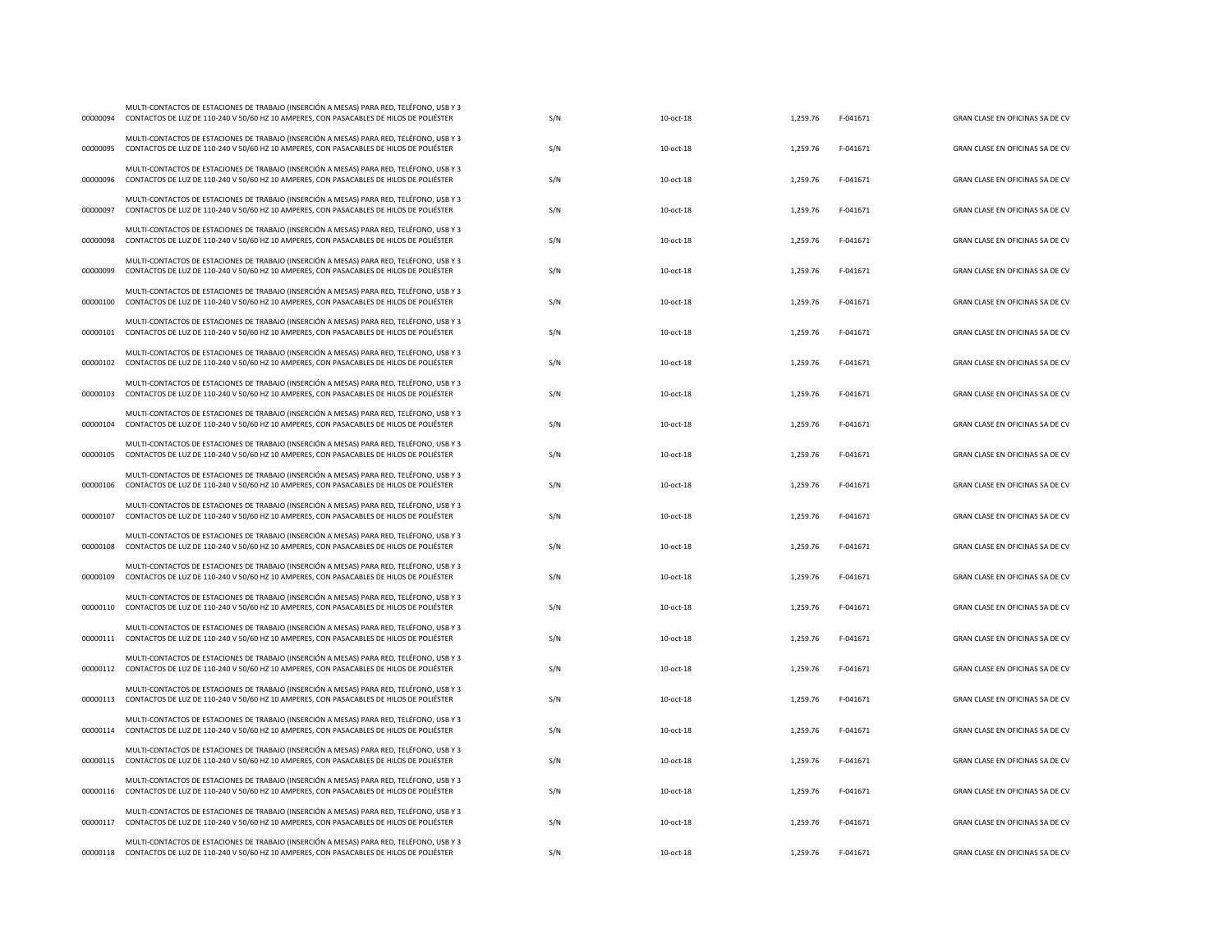| 00000094 | MULTI-CONTACTOS DE ESTACIONES DE TRABAJO (INSERCIÓN A MESAS) PARA RED, TELÉFONO, USB Y 3<br>CONTACTOS DE LUZ DE 110-240 V 50/60 HZ 10 AMPERES, CON PASACABLES DE HILOS DE POLIÉSTER          | S/N | 10-oct-18   | 1.259.76 | F-041671 | GRAN CLASE EN OFICINAS SA DE CV |
|----------|----------------------------------------------------------------------------------------------------------------------------------------------------------------------------------------------|-----|-------------|----------|----------|---------------------------------|
| 00000095 | MULTI-CONTACTOS DE ESTACIONES DE TRABAJO (INSERCIÓN A MESAS) PARA RED, TELÉFONO, USB Y 3<br>CONTACTOS DE LUZ DE 110-240 V 50/60 HZ 10 AMPERES, CON PASACABLES DE HILOS DE POLIÉSTER          | S/N | $10-oct-18$ | 1,259.76 | F-041671 | GRAN CLASE EN OFICINAS SA DE CV |
| 00000096 | MULTI-CONTACTOS DE ESTACIONES DE TRABAJO (INSERCIÓN A MESAS) PARA RED. TELÉFONO, USB Y 3<br>CONTACTOS DE LUZ DE 110-240 V 50/60 HZ 10 AMPERES, CON PASACABLES DE HILOS DE POLIÉSTER          | S/N | 10-oct-18   | 1,259.76 | F-041671 | GRAN CLASE EN OFICINAS SA DE CV |
| 00000097 | MULTI-CONTACTOS DE ESTACIONES DE TRABAJO (INSERCIÓN A MESAS) PARA RED, TELÉFONO, USB Y 3<br>CONTACTOS DE LUZ DE 110-240 V 50/60 HZ 10 AMPERES, CON PASACABLES DE HILOS DE POLIÉSTER          | S/N | 10-oct-18   | 1,259.76 | F-041671 | GRAN CLASE EN OFICINAS SA DE CV |
| 00000098 | MULTI-CONTACTOS DE ESTACIONES DE TRABAJO (INSERCIÓN A MESAS) PARA RED, TELÉFONO, USB Y 3<br>CONTACTOS DE LUZ DE 110-240 V 50/60 HZ 10 AMPERES, CON PASACABLES DE HILOS DE POLIÉSTER          | S/N | $10-oct-18$ | 1,259.76 | F-041671 | GRAN CLASE EN OFICINAS SA DE CV |
| 00000099 | MULTI-CONTACTOS DE ESTACIONES DE TRABAJO (INSERCIÓN A MESAS) PARA RED, TELÉFONO, USB Y 3<br>CONTACTOS DE LUZ DE 110-240 V 50/60 HZ 10 AMPERES, CON PASACABLES DE HILOS DE POLIÉSTER          | S/N | 10-oct-18   | 1,259.76 | F-041671 | GRAN CLASE EN OFICINAS SA DE CV |
| 00000100 | MULTI-CONTACTOS DE ESTACIONES DE TRABAJO (INSERCIÓN A MESAS) PARA RED, TELÉFONO, USB Y 3<br>CONTACTOS DE LUZ DE 110-240 V 50/60 HZ 10 AMPERES, CON PASACABLES DE HILOS DE POLIÉSTER          | S/N | 10-oct-18   | 1,259.76 | F-041671 | GRAN CLASE EN OFICINAS SA DE CV |
| 00000101 | MULTI-CONTACTOS DE ESTACIONES DE TRABAJO (INSERCIÓN A MESAS) PARA RED, TELÉFONO, USB Y 3<br>CONTACTOS DE LUZ DE 110-240 V 50/60 HZ 10 AMPERES, CON PASACABLES DE HILOS DE POLIÉSTER          | S/N | 10-oct-18   | 1,259.76 | F-041671 | GRAN CLASE EN OFICINAS SA DE CV |
| 00000102 | MULTI-CONTACTOS DE ESTACIONES DE TRABAJO (INSERCIÓN A MESAS) PARA RED, TELÉFONO, USB Y 3<br>CONTACTOS DE LUZ DE 110-240 V 50/60 HZ 10 AMPERES, CON PASACABLES DE HILOS DE POLIÉSTER          | S/N | 10-oct-18   | 1,259.76 | F-041671 | GRAN CLASE EN OFICINAS SA DE CV |
| 00000103 | MULTI-CONTACTOS DE ESTACIONES DE TRABAJO (INSERCIÓN A MESAS) PARA RED, TELÉFONO, USB Y 3<br>CONTACTOS DE LUZ DE 110-240 V 50/60 HZ 10 AMPERES, CON PASACABLES DE HILOS DE POLIÉSTER          | S/N | 10-oct-18   | 1,259.76 | F-041671 | GRAN CLASE EN OFICINAS SA DE CV |
| 00000104 | MULTI-CONTACTOS DE ESTACIONES DE TRABAJO (INSERCIÓN A MESAS) PARA RED, TELÉFONO, USB Y 3<br>CONTACTOS DE LUZ DE 110-240 V 50/60 HZ 10 AMPERES, CON PASACABLES DE HILOS DE POLIÉSTER          | S/N | 10-oct-18   | 1,259.76 | F-041671 | GRAN CLASE EN OFICINAS SA DE CV |
| 00000105 | MULTI-CONTACTOS DE ESTACIONES DE TRABAJO (INSERCIÓN A MESAS) PARA RED, TELÉFONO, USB Y 3<br>CONTACTOS DE LUZ DE 110-240 V 50/60 HZ 10 AMPERES, CON PASACABLES DE HILOS DE POLIÉSTER          | S/N | 10-oct-18   | 1,259.76 | F-041671 | GRAN CLASE EN OFICINAS SA DE CV |
| 00000106 | MULTI-CONTACTOS DE ESTACIONES DE TRABAJO (INSERCIÓN A MESAS) PARA RED, TELÉFONO, USB Y 3<br>CONTACTOS DE LUZ DE 110-240 V 50/60 HZ 10 AMPERES, CON PASACABLES DE HILOS DE POLIÉSTER          | S/N | 10-oct-18   | 1,259.76 | F-041671 | GRAN CLASE EN OFICINAS SA DE CV |
| 00000107 | MULTI-CONTACTOS DE ESTACIONES DE TRABAJO (INSERCIÓN A MESAS) PARA RED, TELÉFONO, USB Y 3<br>CONTACTOS DE LUZ DE 110-240 V 50/60 HZ 10 AMPERES, CON PASACABLES DE HILOS DE POLIÉSTER          | S/N | 10-oct-18   | 1,259.76 | F-041671 | GRAN CLASE EN OFICINAS SA DE CV |
| 00000108 | MULTI-CONTACTOS DE ESTACIONES DE TRABAJO (INSERCIÓN A MESAS) PARA RED, TELÉFONO, USB Y 3<br>CONTACTOS DE LUZ DE 110-240 V 50/60 HZ 10 AMPERES, CON PASACABLES DE HILOS DE POLIÉSTER          | S/N | 10-oct-18   | 1,259.76 | F-041671 | GRAN CLASE EN OFICINAS SA DE CV |
| 00000109 | MULTI-CONTACTOS DE ESTACIONES DE TRABAJO (INSERCIÓN A MESAS) PARA RED, TELÉFONO, USB Y 3<br>CONTACTOS DE LUZ DE 110-240 V 50/60 HZ 10 AMPERES, CON PASACABLES DE HILOS DE POLIÉSTER          | S/N | 10-oct-18   | 1,259.76 | F-041671 | GRAN CLASE EN OFICINAS SA DE CV |
| 00000110 | MULTI-CONTACTOS DE ESTACIONES DE TRABAJO (INSERCIÓN A MESAS) PARA RED, TELÉFONO, USB Y 3<br>CONTACTOS DE LUZ DE 110-240 V 50/60 HZ 10 AMPERES, CON PASACABLES DE HILOS DE POLIÉSTER          | S/N | 10-oct-18   | 1,259.76 | F-041671 | GRAN CLASE EN OFICINAS SA DE CV |
| 00000111 | MULTI-CONTACTOS DE ESTACIONES DE TRABAJO (INSERCIÓN A MESAS) PARA RED, TELÉFONO, USB Y 3<br>CONTACTOS DE LUZ DE 110-240 V 50/60 HZ 10 AMPERES, CON PASACABLES DE HILOS DE POLIÉSTER          | S/N | $10-oct-18$ | 1,259.76 | F-041671 | GRAN CLASE EN OFICINAS SA DE CV |
| 00000112 | MULTI-CONTACTOS DE ESTACIONES DE TRABAJO (INSERCIÓN A MESAS) PARA RED, TELÉFONO, USB Y 3<br>CONTACTOS DE LUZ DE 110-240 V 50/60 HZ 10 AMPERES, CON PASACABLES DE HILOS DE POLIÉSTER          | S/N | $10-oct-18$ | 1,259.76 | F-041671 | GRAN CLASE EN OFICINAS SA DE CV |
| 00000113 | MULTI-CONTACTOS DE ESTACIONES DE TRABAJO (INSERCIÓN A MESAS) PARA RED, TELÉFONO, USB Y 3<br>CONTACTOS DE LUZ DE 110-240 V 50/60 HZ 10 AMPERES, CON PASACABLES DE HILOS DE POLIÉSTER          | S/N | 10-oct-18   | 1,259.76 | F-041671 | GRAN CLASE EN OFICINAS SA DE CV |
| 00000114 | MULTI-CONTACTOS DE ESTACIONES DE TRABAJO (INSERCIÓN A MESAS) PARA RED, TELÉFONO, USB Y 3<br>CONTACTOS DE LUZ DE 110-240 V 50/60 HZ 10 AMPERES, CON PASACABLES DE HILOS DE POLIÉSTER          | S/N | 10-oct-18   | 1,259.76 | F-041671 | GRAN CLASE EN OFICINAS SA DE CV |
| 00000115 | MULTI-CONTACTOS DE ESTACIONES DE TRABAJO (INSERCIÓN A MESAS) PARA RED, TELÉFONO, USB Y 3<br>CONTACTOS DE LUZ DE 110-240 V 50/60 HZ 10 AMPERES, CON PASACABLES DE HILOS DE POLIÉSTER          | S/N | 10-oct-18   | 1,259.76 | F-041671 | GRAN CLASE EN OFICINAS SA DE CV |
| 00000116 | MULTI-CONTACTOS DE ESTACIONES DE TRABAJO (INSERCIÓN A MESAS) PARA RED, TELÉFONO, USB Y 3<br>CONTACTOS DE LUZ DE 110-240 V 50/60 HZ 10 AMPERES, CON PASACABLES DE HILOS DE POLIÉSTER          | S/N | 10-oct-18   | 1,259.76 | F-041671 | GRAN CLASE EN OFICINAS SA DE CV |
| 00000117 | MULTI-CONTACTOS DE ESTACIONES DE TRABAJO (INSERCIÓN A MESAS) PARA RED, TELÉFONO, USB Y 3<br>CONTACTOS DE LUZ DE 110-240 V 50/60 HZ 10 AMPERES, CON PASACABLES DE HILOS DE POLIÉSTER          | S/N | 10-oct-18   | 1,259.76 | F-041671 | GRAN CLASE EN OFICINAS SA DE CV |
|          | MULTI-CONTACTOS DE ESTACIONES DE TRABAJO (INSERCIÓN A MESAS) PARA RED, TELÉFONO, USB Y 3<br>00000118 CONTACTOS DE LUZ DE 110-240 V 50/60 HZ 10 AMPERES, CON PASACABLES DE HILOS DE POLIÉSTER | S/N | 10-oct-18   | 1,259.76 | F-041671 | GRAN CLASE EN OFICINAS SA DE CV |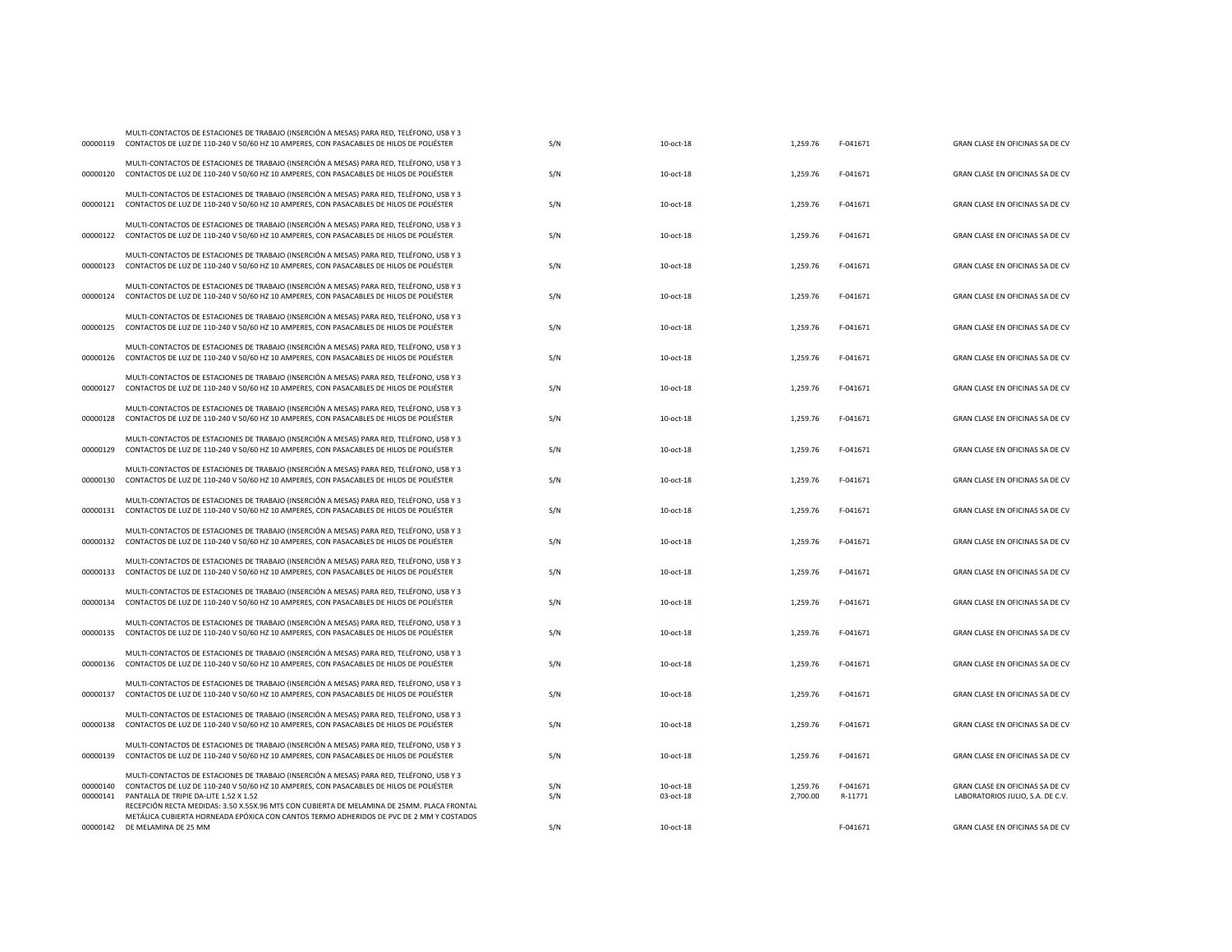| 00000119             | CONTACTOS DE LUZ DE 110-240 V 50/60 HZ 10 AMPERES, CON PASACABLES DE HILOS DE POLIÉSTER                                                                                                                                                                                                                                     | S/N        | 10-oct-18              | 1,259.76             | F-041671            | GRAN CLASE EN OFICINAS SA DE CV                                     |
|----------------------|-----------------------------------------------------------------------------------------------------------------------------------------------------------------------------------------------------------------------------------------------------------------------------------------------------------------------------|------------|------------------------|----------------------|---------------------|---------------------------------------------------------------------|
|                      | MULTI-CONTACTOS DE ESTACIONES DE TRABAJO (INSERCIÓN A MESAS) PARA RED. TELÉFONO, USB Y 3<br>00000120 CONTACTOS DE LUZ DE 110-240 V 50/60 HZ 10 AMPERES, CON PASACABLES DE HILOS DE POLIÉSTER                                                                                                                                | S/N        | 10-oct-18              | 1,259.76             | F-041671            | GRAN CLASE EN OFICINAS SA DE CV                                     |
| 00000121             | MULTI-CONTACTOS DE ESTACIONES DE TRABAJO (INSERCIÓN A MESAS) PARA RED. TELÉFONO, USB Y 3<br>CONTACTOS DE LUZ DE 110-240 V 50/60 HZ 10 AMPERES, CON PASACABLES DE HILOS DE POLIÉSTER                                                                                                                                         | S/N        | 10-oct-18              | 1,259.76             | F-041671            | GRAN CLASE EN OFICINAS SA DE CV                                     |
| 00000122             | MULTI-CONTACTOS DE ESTACIONES DE TRABAJO (INSERCIÓN A MESAS) PARA RED, TELÉFONO, USB Y 3<br>CONTACTOS DE LUZ DE 110-240 V 50/60 HZ 10 AMPERES, CON PASACABLES DE HILOS DE POLIÉSTER                                                                                                                                         | S/N        | 10-oct-18              | 1,259.76             | F-041671            | GRAN CLASE EN OFICINAS SA DE CV                                     |
| 00000123             | MULTI-CONTACTOS DE ESTACIONES DE TRABAJO (INSERCIÓN A MESAS) PARA RED, TELÉFONO, USB Y 3<br>CONTACTOS DE LUZ DE 110-240 V 50/60 HZ 10 AMPERES, CON PASACABLES DE HILOS DE POLIÉSTER                                                                                                                                         | S/N        | 10-oct-18              | 1,259.76             | F-041671            | GRAN CLASE EN OFICINAS SA DE CV                                     |
| 00000124             | MULTI-CONTACTOS DE ESTACIONES DE TRABAJO (INSERCIÓN A MESAS) PARA RED, TELÉFONO, USB Y 3<br>CONTACTOS DE LUZ DE 110-240 V 50/60 HZ 10 AMPERES, CON PASACABLES DE HILOS DE POLIÉSTER                                                                                                                                         | S/N        | $10-0ct-18$            | 1,259.76             | F-041671            | GRAN CLASE EN OFICINAS SA DE CV                                     |
| 00000125             | MULTI-CONTACTOS DE ESTACIONES DE TRABAJO (INSERCIÓN A MESAS) PARA RED, TELÉFONO, USB Y 3<br>CONTACTOS DE LUZ DE 110-240 V 50/60 HZ 10 AMPERES, CON PASACABLES DE HILOS DE POLIÉSTER                                                                                                                                         | S/N        | 10-oct-18              | 1,259.76             | F-041671            | GRAN CLASE EN OFICINAS SA DE CV                                     |
| 00000126             | MULTI-CONTACTOS DE ESTACIONES DE TRABAJO (INSERCIÓN A MESAS) PARA RED, TELÉFONO, USB Y 3<br>CONTACTOS DE LUZ DE 110-240 V 50/60 HZ 10 AMPERES, CON PASACABLES DE HILOS DE POLIÉSTER                                                                                                                                         | S/N        | 10-oct-18              | 1,259.76             | F-041671            | GRAN CLASE EN OFICINAS SA DE CV                                     |
| 00000127             | MULTI-CONTACTOS DE ESTACIONES DE TRABAJO (INSERCIÓN A MESAS) PARA RED, TELÉFONO, USB Y 3<br>CONTACTOS DE LUZ DE 110-240 V 50/60 HZ 10 AMPERES, CON PASACABLES DE HILOS DE POLIÉSTER                                                                                                                                         | S/N        | 10-oct-18              | 1,259.76             | F-041671            | GRAN CLASE EN OFICINAS SA DE CV                                     |
| 00000128             | MULTI-CONTACTOS DE ESTACIONES DE TRABAJO (INSERCIÓN A MESAS) PARA RED, TELÉFONO, USB Y 3<br>CONTACTOS DE LUZ DE 110-240 V 50/60 HZ 10 AMPERES, CON PASACABLES DE HILOS DE POLIÉSTER                                                                                                                                         | S/N        | 10-oct-18              | 1,259.76             | F-041671            | GRAN CLASE EN OFICINAS SA DE CV                                     |
| 00000129             | MULTI-CONTACTOS DE ESTACIONES DE TRABAJO (INSERCIÓN A MESAS) PARA RED, TELÉFONO, USB Y 3<br>CONTACTOS DE LUZ DE 110-240 V 50/60 HZ 10 AMPERES, CON PASACABLES DE HILOS DE POLIÉSTER                                                                                                                                         | S/N        | 10-oct-18              | 1,259.76             | F-041671            | GRAN CLASE EN OFICINAS SA DE CV                                     |
| 00000130             | MULTI-CONTACTOS DE ESTACIONES DE TRABAJO (INSERCIÓN A MESAS) PARA RED, TELÉFONO, USB Y 3<br>CONTACTOS DE LUZ DE 110-240 V 50/60 HZ 10 AMPERES, CON PASACABLES DE HILOS DE POLIÉSTER                                                                                                                                         | S/N        | 10-oct-18              | 1,259.76             | F-041671            | GRAN CLASE EN OFICINAS SA DE CV                                     |
| 00000131             | MULTI-CONTACTOS DE ESTACIONES DE TRABAJO (INSERCIÓN A MESAS) PARA RED, TELÉFONO, USB Y 3<br>CONTACTOS DE LUZ DE 110-240 V 50/60 HZ 10 AMPERES, CON PASACABLES DE HILOS DE POLIÉSTER                                                                                                                                         | S/N        | 10-oct-18              | 1.259.76             | F-041671            | GRAN CLASE EN OFICINAS SA DE CV                                     |
| 00000132             | MULTI-CONTACTOS DE ESTACIONES DE TRABAJO (INSERCIÓN A MESAS) PARA RED, TELÉFONO, USB Y 3<br>CONTACTOS DE LUZ DE 110-240 V 50/60 HZ 10 AMPERES, CON PASACABLES DE HILOS DE POLIÉSTER                                                                                                                                         | S/N        | 10-oct-18              | 1,259.76             | F-041671            | GRAN CLASE EN OFICINAS SA DE CV                                     |
| 00000133             | MULTI-CONTACTOS DE ESTACIONES DE TRABAJO (INSERCIÓN A MESAS) PARA RED, TELÉFONO, USB Y 3<br>CONTACTOS DE LUZ DE 110-240 V 50/60 HZ 10 AMPERES, CON PASACABLES DE HILOS DE POLIÉSTER                                                                                                                                         | S/N        | 10-oct-18              | 1,259.76             | F-041671            | GRAN CLASE EN OFICINAS SA DE CV                                     |
|                      | MULTI-CONTACTOS DE ESTACIONES DE TRABAJO (INSERCIÓN A MESAS) PARA RED, TELÉFONO, USB Y 3<br>00000134 CONTACTOS DE LUZ DE 110-240 V 50/60 HZ 10 AMPERES, CON PASACABLES DE HILOS DE POLIÉSTER                                                                                                                                | S/N        | 10-oct-18              | 1,259.76             | F-041671            | GRAN CLASE EN OFICINAS SA DE CV                                     |
| 00000135             | MULTI-CONTACTOS DE ESTACIONES DE TRABAJO (INSERCIÓN A MESAS) PARA RED, TELÉFONO, USB Y 3<br>CONTACTOS DE LUZ DE 110-240 V 50/60 HZ 10 AMPERES, CON PASACABLES DE HILOS DE POLIÉSTER                                                                                                                                         | S/N        | 10-oct-18              | 1,259.76             | F-041671            | GRAN CLASE EN OFICINAS SA DE CV                                     |
| 00000136             | MULTI-CONTACTOS DE ESTACIONES DE TRABAJO (INSERCIÓN A MESAS) PARA RED, TELÉFONO, USB Y 3<br>CONTACTOS DE LUZ DE 110-240 V 50/60 HZ 10 AMPERES, CON PASACABLES DE HILOS DE POLIÉSTER                                                                                                                                         | S/N        | 10-oct-18              | 1,259.76             | F-041671            | GRAN CLASE EN OFICINAS SA DE CV                                     |
| 00000137             | MULTI-CONTACTOS DE ESTACIONES DE TRABAJO (INSERCIÓN A MESAS) PARA RED, TELÉFONO, USB Y 3<br>CONTACTOS DE LUZ DE 110-240 V 50/60 HZ 10 AMPERES, CON PASACABLES DE HILOS DE POLIÉSTER                                                                                                                                         | S/N        | 10-oct-18              | 1,259.76             | F-041671            | GRAN CLASE EN OFICINAS SA DE CV                                     |
| 00000138             | MULTI-CONTACTOS DE ESTACIONES DE TRABAJO (INSERCIÓN A MESAS) PARA RED, TELÉFONO, USB Y 3<br>CONTACTOS DE LUZ DE 110-240 V 50/60 HZ 10 AMPERES, CON PASACABLES DE HILOS DE POLIÉSTER                                                                                                                                         | S/N        | 10-oct-18              | 1,259.76             | F-041671            | GRAN CLASE EN OFICINAS SA DE CV                                     |
| 00000139             | MULTI-CONTACTOS DE ESTACIONES DE TRABAJO (INSERCIÓN A MESAS) PARA RED, TELÉFONO, USB Y 3<br>CONTACTOS DE LUZ DE 110-240 V 50/60 HZ 10 AMPERES, CON PASACABLES DE HILOS DE POLIÉSTER                                                                                                                                         | S/N        | 10-oct-18              | 1,259.76             | F-041671            | GRAN CLASE EN OFICINAS SA DE CV                                     |
| 00000140<br>00000141 | MULTI-CONTACTOS DE ESTACIONES DE TRABAJO (INSERCIÓN A MESAS) PARA RED, TELÉFONO, USB Y 3<br>CONTACTOS DE LUZ DE 110-240 V 50/60 HZ 10 AMPERES, CON PASACABLES DE HILOS DE POLIÉSTER<br>PANTALLA DE TRIPIE DA-LITE 1.52 X 1.52<br>RECEPCIÓN RECTA MEDIDAS: 3.50 X.55X.96 MTS CON CUBIERTA DE MELAMINA DE 25MM. PLACA FRONTAL | S/N<br>S/N | 10-oct-18<br>03-oct-18 | 1,259.76<br>2,700.00 | F-041671<br>R-11771 | GRAN CLASE EN OFICINAS SA DE CV<br>LABORATORIOS JULIO, S.A. DE C.V. |
|                      | METÁLICA CUBIERTA HORNEADA EPÓXICA CON CANTOS TERMO ADHERIDOS DE PVC DE 2 MM Y COSTADOS<br>00000142 DE MELAMINA DE 25 MM                                                                                                                                                                                                    | S/N        | 10-oct-18              |                      | F-041671            | GRAN CLASE EN OFICINAS SA DE CV                                     |
|                      |                                                                                                                                                                                                                                                                                                                             |            |                        |                      |                     |                                                                     |

MULTI-CONTACTOS DE ESTACIONES DE TRABAJO (INSERCIÓN A MESAS) PARA RED, TELÉFONO, USB Y 3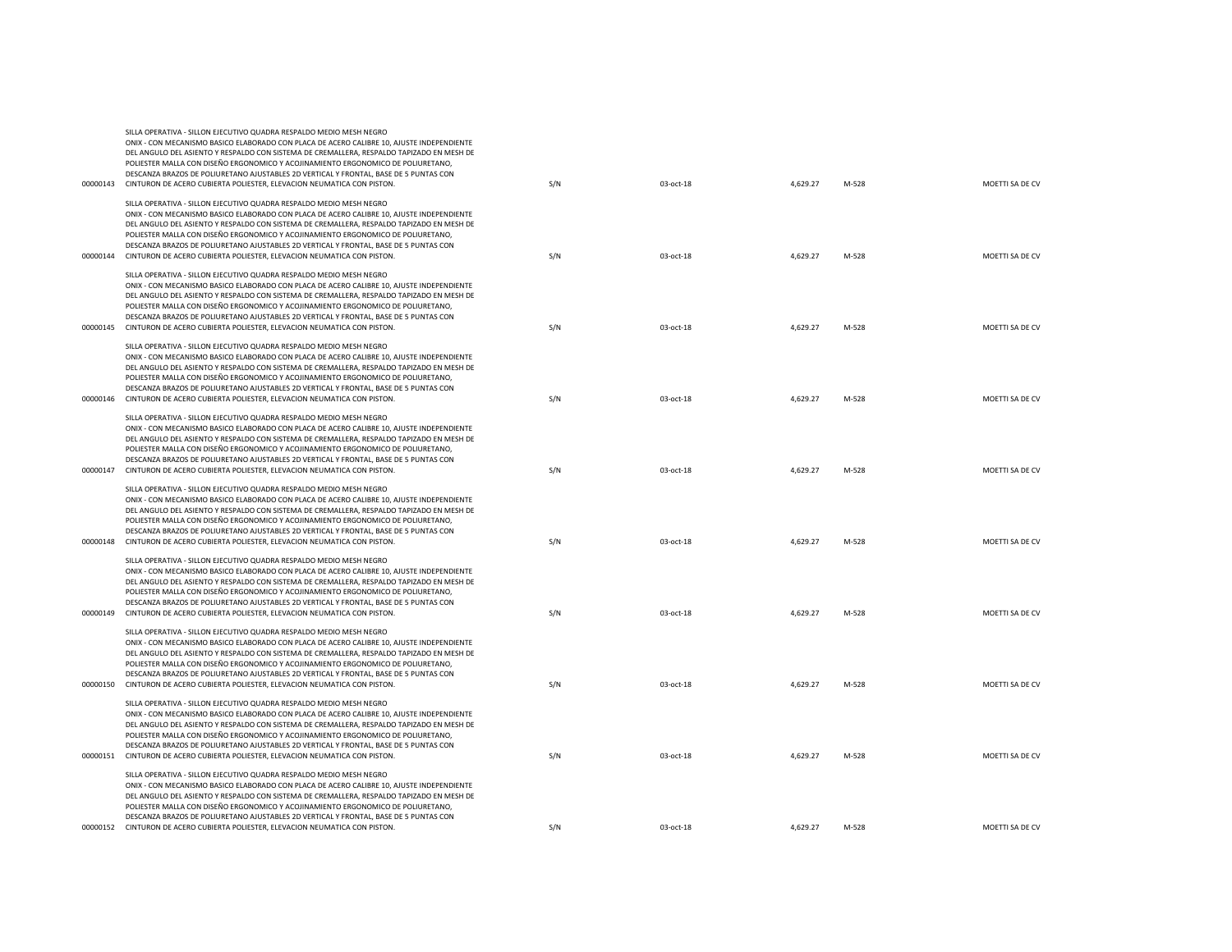|          | DEL ANGULO DEL ASIENTO Y RESPALDO CON SISTEMA DE CREMALLERA, RESPALDO TAPIZADO EN MESH DE<br>POLIESTER MALLA CON DISEÑO ERGONOMICO Y ACOJINAMIENTO ERGONOMICO DE POLIURETANO,<br>DESCANZA BRAZOS DE POLIURETANO AJUSTABLES 2D VERTICAL Y FRONTAL, BASE DE 5 PUNTAS CON<br>00000143 CINTURON DE ACERO CUBIERTA POLIESTER, ELEVACION NEUMATICA CON PISTON.                                                                                                                                                                     | S/N | 03-oct-18 | 4,629.27 | M-528 | MOETTI SA DE CV |
|----------|------------------------------------------------------------------------------------------------------------------------------------------------------------------------------------------------------------------------------------------------------------------------------------------------------------------------------------------------------------------------------------------------------------------------------------------------------------------------------------------------------------------------------|-----|-----------|----------|-------|-----------------|
|          | SILLA OPERATIVA - SILLON EJECUTIVO QUADRA RESPALDO MEDIO MESH NEGRO<br>ONIX - CON MECANISMO BASICO ELABORADO CON PLACA DE ACERO CALIBRE 10, AJUSTE INDEPENDIENTE<br>DEL ANGULO DEL ASIENTO Y RESPALDO CON SISTEMA DE CREMALLERA, RESPALDO TAPIZADO EN MESH DE<br>POLIESTER MALLA CON DISEÑO ERGONOMICO Y ACOJINAMIENTO ERGONOMICO DE POLIURETANO,<br>DESCANZA BRAZOS DE POLIURETANO AJUSTABLES 2D VERTICAL Y FRONTAL, BASE DE 5 PUNTAS CON<br>00000144 CINTURON DE ACERO CUBIERTA POLIESTER, ELEVACION NEUMATICA CON PISTON. | S/N | 03-oct-18 | 4,629.27 | M-528 | MOETTI SA DE CV |
| 00000145 | SILLA OPERATIVA - SILLON EJECUTIVO QUADRA RESPALDO MEDIO MESH NEGRO<br>ONIX - CON MECANISMO BASICO ELABORADO CON PLACA DE ACERO CALIBRE 10. AJUSTE INDEPENDIENTE<br>DEL ANGULO DEL ASIENTO Y RESPALDO CON SISTEMA DE CREMALLERA, RESPALDO TAPIZADO EN MESH DE<br>POLIESTER MALLA CON DISEÑO ERGONOMICO Y ACOJINAMIENTO ERGONOMICO DE POLIURETANO,<br>DESCANZA BRAZOS DE POLIURETANO AJUSTABLES 2D VERTICAL Y FRONTAL, BASE DE 5 PUNTAS CON<br>CINTURON DE ACERO CUBIERTA POLIESTER, ELEVACION NEUMATICA CON PISTON.          | S/N | 03-oct-18 | 4,629.27 | M-528 | MOETTI SA DE CV |
| 00000146 | SILLA OPERATIVA - SILLON EJECUTIVO QUADRA RESPALDO MEDIO MESH NEGRO<br>ONIX - CON MECANISMO BASICO ELABORADO CON PLACA DE ACERO CALIBRE 10, AJUSTE INDEPENDIENTE<br>DEL ANGULO DEL ASIENTO Y RESPALDO CON SISTEMA DE CREMALLERA, RESPALDO TAPIZADO EN MESH DE<br>POLIESTER MALLA CON DISEÑO ERGONOMICO Y ACOJINAMIENTO ERGONOMICO DE POLIURETANO,<br>DESCANZA BRAZOS DE POLIURETANO AJUSTABLES 2D VERTICAL Y FRONTAL. BASE DE 5 PUNTAS CON<br>CINTURON DE ACERO CUBIERTA POLIESTER, ELEVACION NEUMATICA CON PISTON.          | S/N | 03-oct-18 | 4,629.27 | M-528 | MOETTI SA DE CV |
| 00000147 | SILLA OPERATIVA - SILLON EJECUTIVO QUADRA RESPALDO MEDIO MESH NEGRO<br>ONIX - CON MECANISMO BASICO ELABORADO CON PLACA DE ACERO CALIBRE 10, AJUSTE INDEPENDIENTE<br>DEL ANGULO DEL ASIENTO Y RESPALDO CON SISTEMA DE CREMALLERA, RESPALDO TAPIZADO EN MESH DE<br>POLIESTER MALLA CON DISEÑO ERGONOMICO Y ACOJINAMIENTO ERGONOMICO DE POLIURETANO,<br>DESCANZA BRAZOS DE POLIURETANO AJUSTABLES 2D VERTICAL Y FRONTAL. BASE DE 5 PUNTAS CON<br>CINTURON DE ACERO CUBIERTA POLIESTER, ELEVACION NEUMATICA CON PISTON.          | S/N | 03-oct-18 | 4,629.27 | M-528 | MOETTI SA DE CV |
| 00000148 | SILLA OPERATIVA - SILLON EJECUTIVO QUADRA RESPALDO MEDIO MESH NEGRO<br>ONIX - CON MECANISMO BASICO ELABORADO CON PLACA DE ACERO CALIBRE 10, AJUSTE INDEPENDIENTE<br>DEL ANGULO DEL ASIENTO Y RESPALDO CON SISTEMA DE CREMALLERA, RESPALDO TAPIZADO EN MESH DE<br>POLIESTER MALLA CON DISEÑO ERGONOMICO Y ACOJINAMIENTO ERGONOMICO DE POLIURETANO,<br>DESCANZA BRAZOS DE POLIURETANO AJUSTABLES 2D VERTICAL Y FRONTAL, BASE DE 5 PUNTAS CON<br>CINTURON DE ACERO CUBIERTA POLIESTER, ELEVACION NEUMATICA CON PISTON.          | S/N | 03-oct-18 | 4,629.27 | M-528 | MOETTI SA DE CV |
|          | SILLA OPERATIVA - SILLON EJECUTIVO QUADRA RESPALDO MEDIO MESH NEGRO<br>ONIX - CON MECANISMO BASICO ELABORADO CON PLACA DE ACERO CALIBRE 10, AJUSTE INDEPENDIENTE<br>DEL ANGULO DEL ASIENTO Y RESPALDO CON SISTEMA DE CREMALLERA, RESPALDO TAPIZADO EN MESH DE<br>POLIESTER MALLA CON DISEÑO ERGONOMICO Y ACOJINAMIENTO ERGONOMICO DE POLIURETANO,<br>DESCANZA BRAZOS DE POLIURETANO AJUSTABLES 2D VERTICAL Y FRONTAL, BASE DE 5 PUNTAS CON<br>00000149 CINTURON DE ACERO CUBIERTA POLIESTER, ELEVACION NEUMATICA CON PISTON. | S/N | 03-oct-18 | 4,629.27 | M-528 | MOETTI SA DE CV |
| 00000150 | SILLA OPERATIVA - SILLON EJECUTIVO QUADRA RESPALDO MEDIO MESH NEGRO<br>ONIX - CON MECANISMO BASICO ELABORADO CON PLACA DE ACERO CALIBRE 10, AJUSTE INDEPENDIENTE<br>DEL ANGULO DEL ASIENTO Y RESPALDO CON SISTEMA DE CREMALLERA, RESPALDO TAPIZADO EN MESH DE<br>POLIESTER MALLA CON DISEÑO ERGONOMICO Y ACOJINAMIENTO ERGONOMICO DE POLIURETANO,<br>DESCANZA BRAZOS DE POLIURETANO AJUSTABLES 2D VERTICAL Y FRONTAL, BASE DE 5 PUNTAS CON<br>CINTURON DE ACERO CUBIERTA POLIESTER, ELEVACION NEUMATICA CON PISTON.          | S/N | 03-oct-18 | 4,629.27 | M-528 | MOETTI SA DE CV |
| 00000151 | SILLA OPERATIVA - SILLON EJECUTIVO QUADRA RESPALDO MEDIO MESH NEGRO<br>ONIX - CON MECANISMO BASICO ELABORADO CON PLACA DE ACERO CALIBRE 10, AJUSTE INDEPENDIENTE<br>DEL ANGULO DEL ASIENTO Y RESPALDO CON SISTEMA DE CREMALLERA, RESPALDO TAPIZADO EN MESH DE<br>POLIESTER MALLA CON DISEÑO ERGONOMICO Y ACOJINAMIENTO ERGONOMICO DE POLIURETANO,<br>DESCANZA BRAZOS DE POLIURETANO AJUSTABLES 2D VERTICAL Y FRONTAL, BASE DE 5 PUNTAS CON<br>CINTURON DE ACERO CUBIERTA POLIESTER, ELEVACION NEUMATICA CON PISTON.          | S/N | 03-oct-18 | 4,629.27 | M-528 | MOETTI SA DE CV |
| 00000152 | SILLA OPERATIVA - SILLON EJECUTIVO QUADRA RESPALDO MEDIO MESH NEGRO<br>ONIX - CON MECANISMO BASICO ELABORADO CON PLACA DE ACERO CALIBRE 10, AJUSTE INDEPENDIENTE<br>DEL ANGULO DEL ASIENTO Y RESPALDO CON SISTEMA DE CREMALLERA, RESPALDO TAPIZADO EN MESH DE<br>POLIESTER MALLA CON DISEÑO ERGONOMICO Y ACOJINAMIENTO ERGONOMICO DE POLIURETANO,<br>DESCANZA BRAZOS DE POLIURETANO AJUSTABLES 2D VERTICAL Y FRONTAL, BASE DE 5 PUNTAS CON<br>CINTURON DE ACERO CUBIERTA POLIESTER, ELEVACION NEUMATICA CON PISTON.          | S/N | 03-oct-18 | 4,629.27 | M-528 | MOETTI SA DE CV |
|          |                                                                                                                                                                                                                                                                                                                                                                                                                                                                                                                              |     |           |          |       |                 |

ONIX - CON MECANISMO BASICO ELABORADO CON PLACA DE ACERO CALIBRE 10, AJUSTE INDEPENDIENTE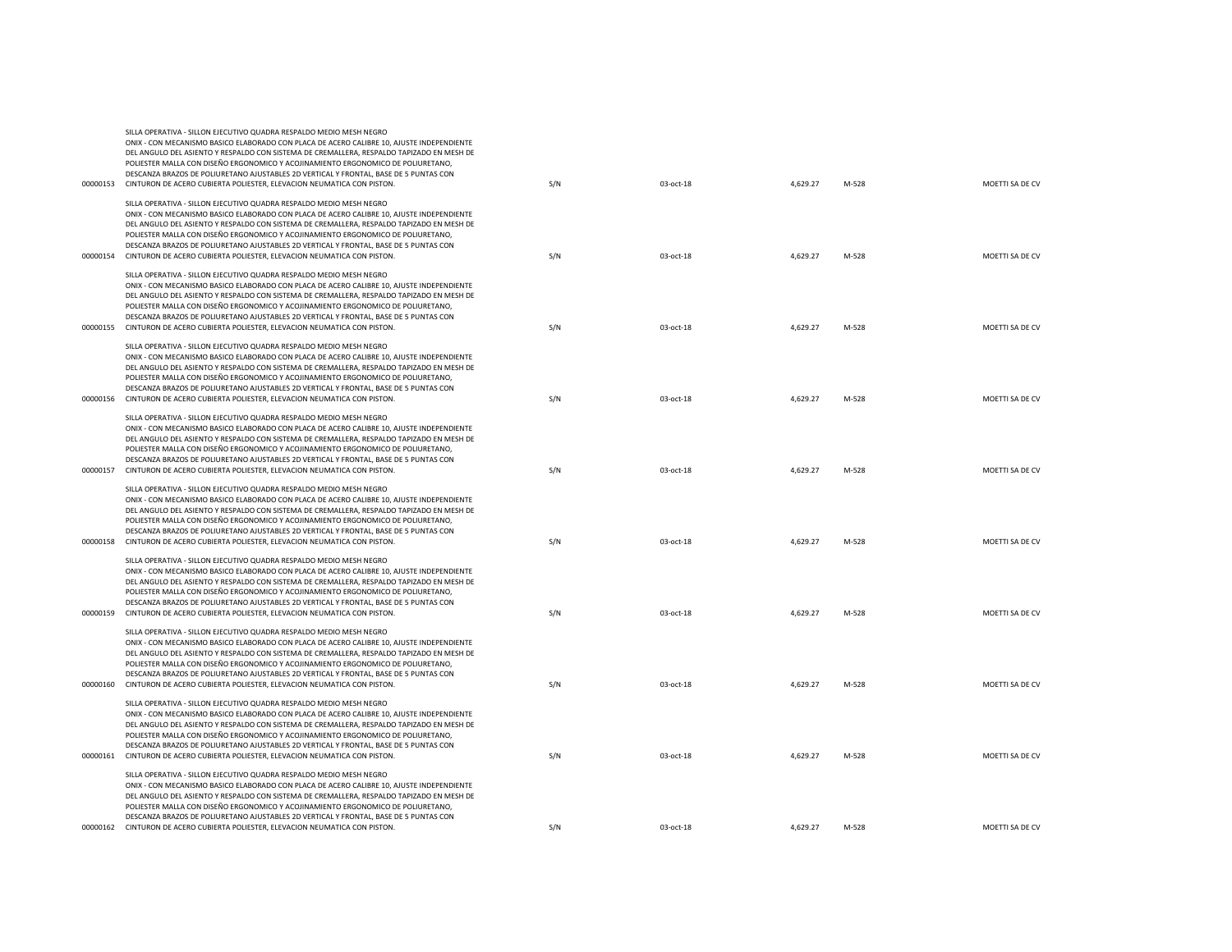|          | POLIESTER MALLA CON DISEÑO ERGONOMICO Y ACOJINAMIENTO ERGONOMICO DE POLIURETANO,<br>DESCANZA BRAZOS DE POLIURETANO AJUSTABLES 2D VERTICAL Y FRONTAL, BASE DE 5 PUNTAS CON<br>00000153 CINTURON DE ACERO CUBIERTA POLIESTER, ELEVACION NEUMATICA CON PISTON.                                                                                                                                                                                                                                                                  | S/N | 03-oct-18 | 4,629.27 | M-528 | MOETTI SA DE CV |
|----------|------------------------------------------------------------------------------------------------------------------------------------------------------------------------------------------------------------------------------------------------------------------------------------------------------------------------------------------------------------------------------------------------------------------------------------------------------------------------------------------------------------------------------|-----|-----------|----------|-------|-----------------|
|          | SILLA OPERATIVA - SILLON EJECUTIVO QUADRA RESPALDO MEDIO MESH NEGRO<br>ONIX - CON MECANISMO BASICO ELABORADO CON PLACA DE ACERO CALIBRE 10, AJUSTE INDEPENDIENTE<br>DEL ANGULO DEL ASIENTO Y RESPALDO CON SISTEMA DE CREMALLERA, RESPALDO TAPIZADO EN MESH DE<br>POLIESTER MALLA CON DISEÑO ERGONOMICO Y ACOJINAMIENTO ERGONOMICO DE POLIURETANO.                                                                                                                                                                            |     |           |          |       |                 |
|          | DESCANZA BRAZOS DE POLIURETANO AJUSTABLES 2D VERTICAL Y FRONTAL, BASE DE 5 PUNTAS CON<br>00000154 CINTURON DE ACERO CUBIERTA POLIESTER, ELEVACION NEUMATICA CON PISTON.                                                                                                                                                                                                                                                                                                                                                      | S/N | 03-oct-18 | 4,629.27 | M-528 | MOETTI SA DE CV |
|          | SILLA OPERATIVA - SILLON EJECUTIVO QUADRA RESPALDO MEDIO MESH NEGRO<br>ONIX - CON MECANISMO BASICO ELABORADO CON PLACA DE ACERO CALIBRE 10, AJUSTE INDEPENDIENTE<br>DEL ANGULO DEL ASIENTO Y RESPALDO CON SISTEMA DE CREMALLERA, RESPALDO TAPIZADO EN MESH DE<br>POLIESTER MALLA CON DISEÑO ERGONOMICO Y ACOJINAMIENTO ERGONOMICO DE POLIURETANO,<br>DESCANZA BRAZOS DE POLIURETANO AJUSTABLES 2D VERTICAL Y FRONTAL, BASE DE 5 PUNTAS CON<br>00000155 CINTURON DE ACERO CUBIERTA POLIESTER, ELEVACION NEUMATICA CON PISTON. | S/N | 03-oct-18 | 4,629.27 | M-528 | MOETTI SA DE CV |
|          | SILLA OPERATIVA - SILLON EJECUTIVO QUADRA RESPALDO MEDIO MESH NEGRO<br>ONIX - CON MECANISMO BASICO ELABORADO CON PLACA DE ACERO CALIBRE 10, AJUSTE INDEPENDIENTE<br>DEL ANGULO DEL ASIENTO Y RESPALDO CON SISTEMA DE CREMALLERA, RESPALDO TAPIZADO EN MESH DE<br>POLIESTER MALLA CON DISEÑO ERGONOMICO Y ACOJINAMIENTO ERGONOMICO DE POLIURETANO,<br>DESCANZA BRAZOS DE POLIURETANO AJUSTABLES 2D VERTICAL Y FRONTAL, BASE DE 5 PUNTAS CON                                                                                   |     |           |          |       |                 |
| 00000156 | CINTURON DE ACERO CUBIERTA POLIESTER, ELEVACION NEUMATICA CON PISTON.                                                                                                                                                                                                                                                                                                                                                                                                                                                        | S/N | 03-oct-18 | 4,629.27 | M-528 | MOETTI SA DE CV |
| 00000157 | SILLA OPERATIVA - SILLON EJECUTIVO QUADRA RESPALDO MEDIO MESH NEGRO<br>ONIX - CON MECANISMO BASICO ELABORADO CON PLACA DE ACERO CALIBRE 10, AJUSTE INDEPENDIENTE<br>DEL ANGULO DEL ASIENTO Y RESPALDO CON SISTEMA DE CREMALLERA, RESPALDO TAPIZADO EN MESH DE<br>POLIESTER MALLA CON DISEÑO ERGONOMICO Y ACOJINAMIENTO ERGONOMICO DE POLIURETANO,<br>DESCANZA BRAZOS DE POLIURETANO AJUSTABLES 2D VERTICAL Y FRONTAL, BASE DE 5 PUNTAS CON<br>CINTURON DE ACERO CUBIERTA POLIESTER. ELEVACION NEUMATICA CON PISTON.          | S/N | 03-oct-18 | 4,629.27 | M-528 | MOETTI SA DE CV |
| 00000158 | SILLA OPERATIVA - SILLON EJECUTIVO QUADRA RESPALDO MEDIO MESH NEGRO<br>ONIX - CON MECANISMO BASICO ELABORADO CON PLACA DE ACERO CALIBRE 10, AJUSTE INDEPENDIENTE<br>DEL ANGULO DEL ASIENTO Y RESPALDO CON SISTEMA DE CREMALLERA, RESPALDO TAPIZADO EN MESH DE<br>POLIESTER MALLA CON DISEÑO ERGONOMICO Y ACOJINAMIENTO ERGONOMICO DE POLIURETANO,<br>DESCANZA BRAZOS DE POLIURETANO AJUSTABLES 2D VERTICAL Y FRONTAL, BASE DE 5 PUNTAS CON<br>CINTURON DE ACERO CUBIERTA POLIESTER, ELEVACION NEUMATICA CON PISTON.          | S/N | 03-oct-18 | 4,629.27 | M-528 | MOETTI SA DE CV |
| 00000159 | SILLA OPERATIVA - SILLON EJECUTIVO QUADRA RESPALDO MEDIO MESH NEGRO<br>ONIX - CON MECANISMO BASICO ELABORADO CON PLACA DE ACERO CALIBRE 10, AJUSTE INDEPENDIENTE<br>DEL ANGULO DEL ASIENTO Y RESPALDO CON SISTEMA DE CREMALLERA, RESPALDO TAPIZADO EN MESH DE<br>POLIESTER MALLA CON DISEÑO ERGONOMICO Y ACOJINAMIENTO ERGONOMICO DE POLIURETANO,<br>DESCANZA BRAZOS DE POLIURETANO AJUSTABLES 2D VERTICAL Y FRONTAL, BASE DE 5 PUNTAS CON<br>CINTURON DE ACERO CUBIERTA POLIESTER, ELEVACION NEUMATICA CON PISTON.          | S/N | 03-oct-18 | 4,629.27 | M-528 | MOETTI SA DE CV |
| 00000160 | SILLA OPERATIVA - SILLON EJECUTIVO QUADRA RESPALDO MEDIO MESH NEGRO<br>ONIX - CON MECANISMO BASICO ELABORADO CON PLACA DE ACERO CALIBRE 10, AJUSTE INDEPENDIENTE<br>DEL ANGULO DEL ASIENTO Y RESPALDO CON SISTEMA DE CREMALLERA, RESPALDO TAPIZADO EN MESH DE<br>POLIESTER MALLA CON DISEÑO ERGONOMICO Y ACOJINAMIENTO ERGONOMICO DE POLIURETANO,<br>DESCANZA BRAZOS DE POLIURETANO AJUSTABLES 2D VERTICAL Y FRONTAL, BASE DE 5 PUNTAS CON<br>CINTURON DE ACERO CUBIERTA POLIESTER, ELEVACION NEUMATICA CON PISTON.          | S/N | 03-oct-18 | 4,629.27 | M-528 | MOETTI SA DE CV |
| 00000161 | SILLA OPERATIVA - SILLON EJECUTIVO QUADRA RESPALDO MEDIO MESH NEGRO<br>ONIX - CON MECANISMO BASICO ELABORADO CON PLACA DE ACERO CALIBRE 10, AJUSTE INDEPENDIENTE<br>DEL ANGULO DEL ASIENTO Y RESPALDO CON SISTEMA DE CREMALLERA, RESPALDO TAPIZADO EN MESH DE<br>POLIESTER MALLA CON DISEÑO ERGONOMICO Y ACOJINAMIENTO ERGONOMICO DE POLIURETANO,<br>DESCANZA BRAZOS DE POLIURETANO AJUSTABLES 2D VERTICAL Y FRONTAL. BASE DE 5 PUNTAS CON<br>CINTURON DE ACERO CUBIERTA POLIESTER, ELEVACION NEUMATICA CON PISTON.          | S/N | 03-oct-18 | 4,629.27 | M-528 | MOETTI SA DE CV |
|          | SILLA OPERATIVA - SILLON EJECUTIVO QUADRA RESPALDO MEDIO MESH NEGRO<br>ONIX - CON MECANISMO BASICO ELABORADO CON PLACA DE ACERO CALIBRE 10, AJUSTE INDEPENDIENTE<br>DEL ANGULO DEL ASIENTO Y RESPALDO CON SISTEMA DE CREMALLERA, RESPALDO TAPIZADO EN MESH DE<br>POLIESTER MALLA CON DISEÑO ERGONOMICO Y ACOJINAMIENTO ERGONOMICO DE POLIURETANO,<br>DESCANZA BRAZOS DE POLIURETANO AJUSTABLES 2D VERTICAL Y FRONTAL, BASE DE 5 PUNTAS CON<br>00000162 CINTURON DE ACERO CUBIERTA POLIESTER, ELEVACION NEUMATICA CON PISTON. | S/N | 03-oct-18 | 4,629.27 | M-528 | MOETTI SA DE CV |
|          |                                                                                                                                                                                                                                                                                                                                                                                                                                                                                                                              |     |           |          |       |                 |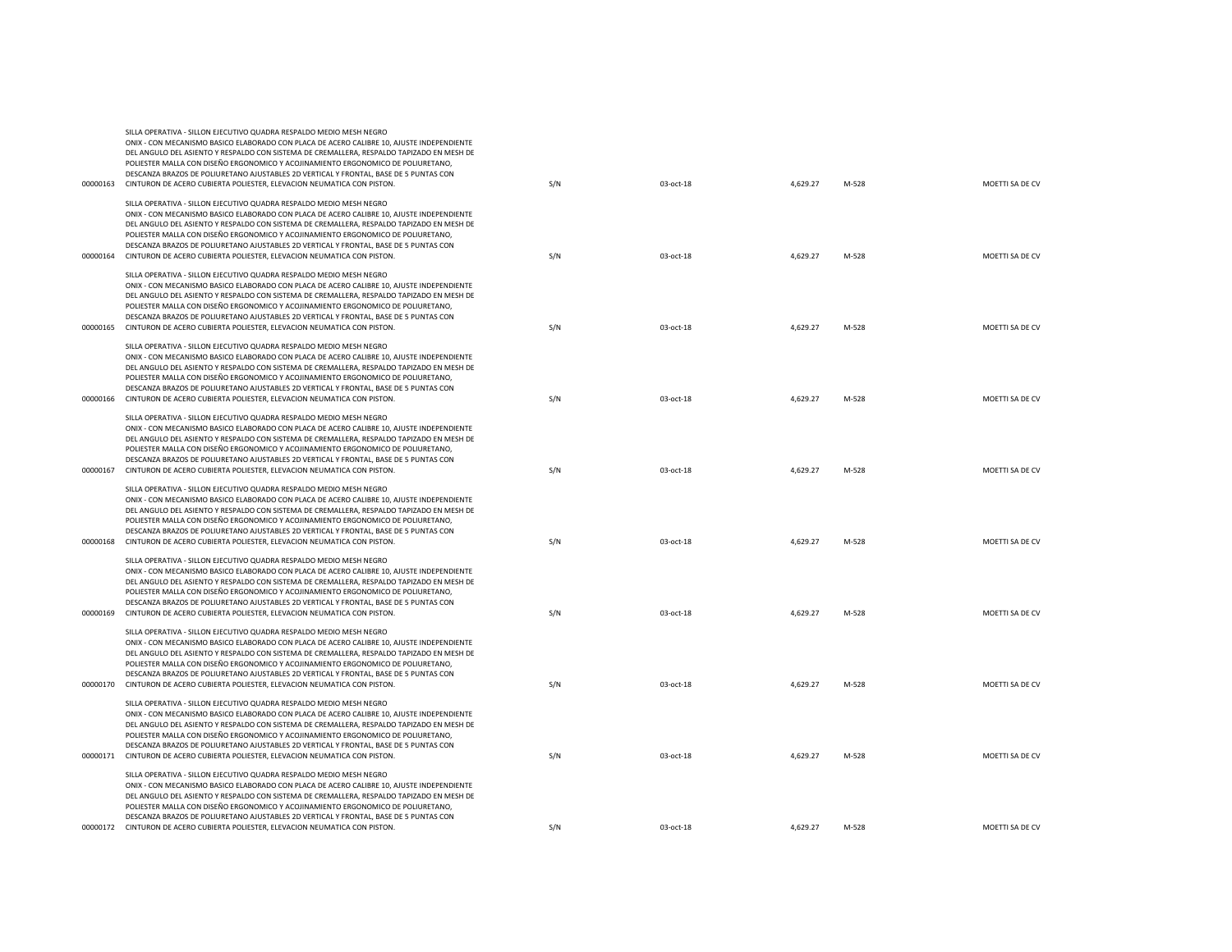|          | POLIESTER MALLA CON DISEÑO ERGONOMICO Y ACOJINAMIENTO ERGONOMICO DE POLIURETANO,<br>DESCANZA BRAZOS DE POLIURETANO AJUSTABLES 2D VERTICAL Y FRONTAL, BASE DE 5 PUNTAS CON                                                                                                                                                                                                                                                                                                                                                    |     |           |          |       |                 |
|----------|------------------------------------------------------------------------------------------------------------------------------------------------------------------------------------------------------------------------------------------------------------------------------------------------------------------------------------------------------------------------------------------------------------------------------------------------------------------------------------------------------------------------------|-----|-----------|----------|-------|-----------------|
|          | 00000163 CINTURON DE ACERO CUBIERTA POLIESTER, ELEVACION NEUMATICA CON PISTON.                                                                                                                                                                                                                                                                                                                                                                                                                                               | S/N | 03-oct-18 | 4,629.27 | M-528 | MOETTI SA DE CV |
|          | SILLA OPERATIVA - SILLON EJECUTIVO QUADRA RESPALDO MEDIO MESH NEGRO<br>ONIX - CON MECANISMO BASICO ELABORADO CON PLACA DE ACERO CALIBRE 10, AJUSTE INDEPENDIENTE<br>DEL ANGULO DEL ASIENTO Y RESPALDO CON SISTEMA DE CREMALLERA, RESPALDO TAPIZADO EN MESH DE                                                                                                                                                                                                                                                                |     |           |          |       |                 |
|          | POLIESTER MALLA CON DISEÑO ERGONOMICO Y ACOJINAMIENTO ERGONOMICO DE POLIURETANO,<br>DESCANZA BRAZOS DE POLIURETANO AJUSTABLES 2D VERTICAL Y FRONTAL, BASE DE 5 PUNTAS CON<br>00000164 CINTURON DE ACERO CUBIERTA POLIESTER, ELEVACION NEUMATICA CON PISTON.                                                                                                                                                                                                                                                                  | S/N | 03-oct-18 | 4,629.27 | M-528 | MOETTI SA DE CV |
|          | SILLA OPERATIVA - SILLON EJECUTIVO QUADRA RESPALDO MEDIO MESH NEGRO<br>ONIX - CON MECANISMO BASICO ELABORADO CON PLACA DE ACERO CALIBRE 10, AJUSTE INDEPENDIENTE<br>DEL ANGULO DEL ASIENTO Y RESPALDO CON SISTEMA DE CREMALLERA, RESPALDO TAPIZADO EN MESH DE<br>POLIESTER MALLA CON DISEÑO ERGONOMICO Y ACOJINAMIENTO ERGONOMICO DE POLIURETANO,<br>DESCANZA BRAZOS DE POLIURETANO AJUSTABLES 2D VERTICAL Y FRONTAL, BASE DE 5 PUNTAS CON<br>00000165 CINTURON DE ACERO CUBIERTA POLIESTER, ELEVACION NEUMATICA CON PISTON. | S/N | 03-oct-18 | 4,629.27 | M-528 | MOETTI SA DE CV |
|          | SILLA OPERATIVA - SILLON EJECUTIVO QUADRA RESPALDO MEDIO MESH NEGRO<br>ONIX - CON MECANISMO BASICO ELABORADO CON PLACA DE ACERO CALIBRE 10, AJUSTE INDEPENDIENTE<br>DEL ANGULO DEL ASIENTO Y RESPALDO CON SISTEMA DE CREMALLERA, RESPALDO TAPIZADO EN MESH DE                                                                                                                                                                                                                                                                |     |           |          |       |                 |
| 00000166 | POLIESTER MALLA CON DISEÑO ERGONOMICO Y ACOJINAMIENTO ERGONOMICO DE POLIURETANO,<br>DESCANZA BRAZOS DE POLIURETANO AJUSTABLES 2D VERTICAL Y FRONTAL, BASE DE 5 PUNTAS CON<br>CINTURON DE ACERO CUBIERTA POLIESTER, ELEVACION NEUMATICA CON PISTON.                                                                                                                                                                                                                                                                           | S/N | 03-oct-18 | 4,629.27 | M-528 | MOETTI SA DE CV |
| 00000167 | SILLA OPERATIVA - SILLON EJECUTIVO QUADRA RESPALDO MEDIO MESH NEGRO<br>ONIX - CON MECANISMO BASICO ELABORADO CON PLACA DE ACERO CALIBRE 10, AJUSTE INDEPENDIENTE<br>DEL ANGULO DEL ASIENTO Y RESPALDO CON SISTEMA DE CREMALLERA, RESPALDO TAPIZADO EN MESH DE<br>POLIESTER MALLA CON DISEÑO ERGONOMICO Y ACOJINAMIENTO ERGONOMICO DE POLIURETANO,<br>DESCANZA BRAZOS DE POLIURETANO AJUSTABLES 2D VERTICAL Y FRONTAL, BASE DE 5 PUNTAS CON<br>CINTURON DE ACERO CUBIERTA POLIESTER, ELEVACION NEUMATICA CON PISTON.          | S/N | 03-oct-18 | 4,629.27 | M-528 | MOETTI SA DE CV |
| 00000168 | SILLA OPERATIVA - SILLON EJECUTIVO QUADRA RESPALDO MEDIO MESH NEGRO<br>ONIX - CON MECANISMO BASICO ELABORADO CON PLACA DE ACERO CALIBRE 10, AJUSTE INDEPENDIENTE<br>DEL ANGULO DEL ASIENTO Y RESPALDO CON SISTEMA DE CREMALLERA, RESPALDO TAPIZADO EN MESH DE<br>POLIESTER MALLA CON DISEÑO ERGONOMICO Y ACOJINAMIENTO ERGONOMICO DE POLIURETANO,<br>DESCANZA BRAZOS DE POLIURETANO AJUSTABLES 2D VERTICAL Y FRONTAL, BASE DE 5 PUNTAS CON<br>CINTURON DE ACERO CUBIERTA POLIESTER, ELEVACION NEUMATICA CON PISTON.          | S/N | 03-oct-18 | 4,629.27 | M-528 | MOETTI SA DE CV |
| 00000169 | SILLA OPERATIVA - SILLON EJECUTIVO QUADRA RESPALDO MEDIO MESH NEGRO<br>ONIX - CON MECANISMO BASICO ELABORADO CON PLACA DE ACERO CALIBRE 10, AJUSTE INDEPENDIENTE<br>DEL ANGULO DEL ASIENTO Y RESPALDO CON SISTEMA DE CREMALLERA, RESPALDO TAPIZADO EN MESH DE<br>POLIESTER MALLA CON DISEÑO ERGONOMICO Y ACOJINAMIENTO ERGONOMICO DE POLIURETANO,<br>DESCANZA BRAZOS DE POLIURETANO AJUSTABLES 2D VERTICAL Y FRONTAL, BASE DE 5 PUNTAS CON<br>CINTURON DE ACERO CUBIERTA POLIESTER, ELEVACION NEUMATICA CON PISTON.          | S/N | 03-oct-18 | 4,629.27 | M-528 | MOETTI SA DE CV |
| 00000170 | SILLA OPERATIVA - SILLON EJECUTIVO QUADRA RESPALDO MEDIO MESH NEGRO<br>ONIX - CON MECANISMO BASICO ELABORADO CON PLACA DE ACERO CALIBRE 10, AJUSTE INDEPENDIENTE<br>DEL ANGULO DEL ASIENTO Y RESPALDO CON SISTEMA DE CREMALLERA, RESPALDO TAPIZADO EN MESH DE<br>POLIESTER MALLA CON DISEÑO ERGONOMICO Y ACOJINAMIENTO ERGONOMICO DE POLIURETANO.<br>DESCANZA BRAZOS DE POLIURETANO AJUSTABLES 2D VERTICAL Y FRONTAL, BASE DE 5 PUNTAS CON<br>CINTURON DE ACERO CUBIERTA POLIESTER, ELEVACION NEUMATICA CON PISTON.          | S/N | 03-oct-18 | 4,629.27 | M-528 | MOETTI SA DE CV |
|          | SILLA OPERATIVA - SILLON EJECUTIVO QUADRA RESPALDO MEDIO MESH NEGRO<br>ONIX - CON MECANISMO BASICO ELABORADO CON PLACA DE ACERO CALIBRE 10, AJUSTE INDEPENDIENTE<br>DEL ANGULO DEL ASIENTO Y RESPALDO CON SISTEMA DE CREMALLERA, RESPALDO TAPIZADO EN MESH DE<br>POLIESTER MALLA CON DISEÑO ERGONOMICO Y ACOJINAMIENTO ERGONOMICO DE POLIURETANO,<br>DESCANZA BRAZOS DE POLIURETANO AJUSTABLES 2D VERTICAL Y FRONTAL, BASE DE 5 PUNTAS CON<br>00000171 CINTURON DE ACERO CUBIERTA POLIESTER, ELEVACION NEUMATICA CON PISTON. | S/N | 03-oct-18 | 4,629.27 | M-528 | MOETTI SA DE CV |
|          | SILLA OPERATIVA - SILLON EJECUTIVO QUADRA RESPALDO MEDIO MESH NEGRO<br>ONIX - CON MECANISMO BASICO ELABORADO CON PLACA DE ACERO CALIBRE 10, AJUSTE INDEPENDIENTE<br>DEL ANGULO DEL ASIENTO Y RESPALDO CON SISTEMA DE CREMALLERA, RESPALDO TAPIZADO EN MESH DE<br>POLIESTER MALLA CON DISEÑO ERGONOMICO Y ACOJINAMIENTO ERGONOMICO DE POLIURETANO,<br>DESCANZA BRAZOS DE POLIURETANO AJUSTABLES 2D VERTICAL Y FRONTAL. BASE DE 5 PUNTAS CON<br>00000172 CINTURON DE ACERO CUBIERTA POLIESTER, ELEVACION NEUMATICA CON PISTON. | S/N | 03-oct-18 | 4,629.27 | M-528 | MOETTI SA DE CV |
|          |                                                                                                                                                                                                                                                                                                                                                                                                                                                                                                                              |     |           |          |       |                 |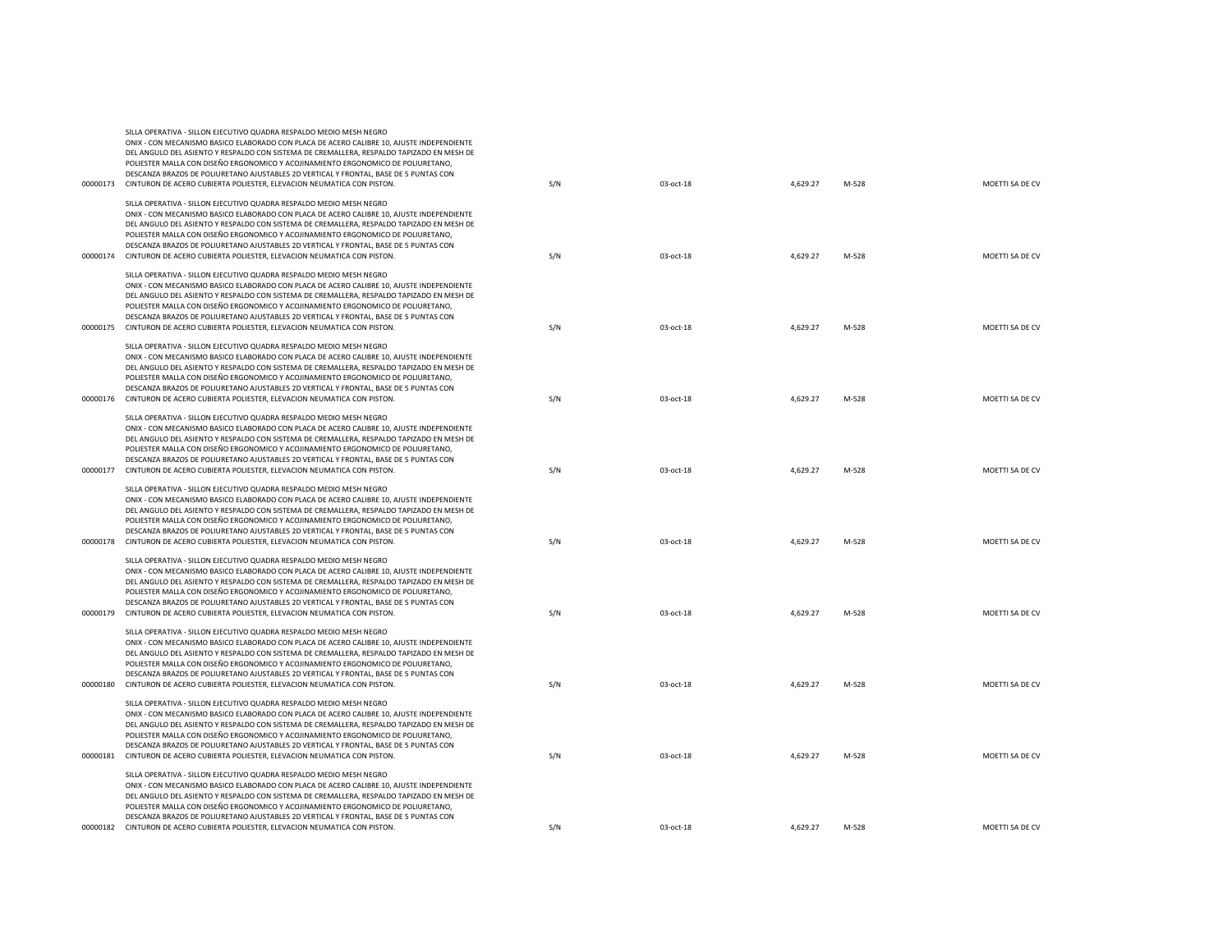|          | DEL ANGULO DEL ASIENTO Y RESPALDO CON SISTEMA DE CREMALLERA, RESPALDO TAPIZADO EN MESH DE<br>POLIESTER MALLA CON DISEÑO ERGONOMICO Y ACOJINAMIENTO ERGONOMICO DE POLIURETANO,<br>DESCANZA BRAZOS DE POLIURETANO AJUSTABLES 2D VERTICAL Y FRONTAL, BASE DE 5 PUNTAS CON<br>00000173 CINTURON DE ACERO CUBIERTA POLIESTER, ELEVACION NEUMATICA CON PISTON.                                                                                                                                                                     | S/N | 03-oct-18 | 4,629.27 | M-528 | MOETTI SA DE CV |
|----------|------------------------------------------------------------------------------------------------------------------------------------------------------------------------------------------------------------------------------------------------------------------------------------------------------------------------------------------------------------------------------------------------------------------------------------------------------------------------------------------------------------------------------|-----|-----------|----------|-------|-----------------|
|          | SILLA OPERATIVA - SILLON EJECUTIVO QUADRA RESPALDO MEDIO MESH NEGRO<br>ONIX - CON MECANISMO BASICO ELABORADO CON PLACA DE ACERO CALIBRE 10, AJUSTE INDEPENDIENTE<br>DEL ANGULO DEL ASIENTO Y RESPALDO CON SISTEMA DE CREMALLERA, RESPALDO TAPIZADO EN MESH DE<br>POLIESTER MALLA CON DISEÑO ERGONOMICO Y ACOJINAMIENTO ERGONOMICO DE POLIURETANO,<br>DESCANZA BRAZOS DE POLIURETANO AJUSTABLES 2D VERTICAL Y FRONTAL, BASE DE 5 PUNTAS CON<br>00000174 CINTURON DE ACERO CUBIERTA POLIESTER, ELEVACION NEUMATICA CON PISTON. | S/N | 03-oct-18 | 4,629.27 | M-528 | MOETTI SA DE CV |
| 00000175 | SILLA OPERATIVA - SILLON EJECUTIVO QUADRA RESPALDO MEDIO MESH NEGRO<br>ONIX - CON MECANISMO BASICO ELABORADO CON PLACA DE ACERO CALIBRE 10. AJUSTE INDEPENDIENTE<br>DEL ANGULO DEL ASIENTO Y RESPALDO CON SISTEMA DE CREMALLERA, RESPALDO TAPIZADO EN MESH DE<br>POLIESTER MALLA CON DISEÑO ERGONOMICO Y ACOJINAMIENTO ERGONOMICO DE POLIURETANO,<br>DESCANZA BRAZOS DE POLIURETANO AJUSTABLES 2D VERTICAL Y FRONTAL, BASE DE 5 PUNTAS CON<br>CINTURON DE ACERO CUBIERTA POLIESTER, ELEVACION NEUMATICA CON PISTON.          | S/N | 03-oct-18 | 4,629.27 | M-528 | MOETTI SA DE CV |
| 00000176 | SILLA OPERATIVA - SILLON EJECUTIVO QUADRA RESPALDO MEDIO MESH NEGRO<br>ONIX - CON MECANISMO BASICO ELABORADO CON PLACA DE ACERO CALIBRE 10, AJUSTE INDEPENDIENTE<br>DEL ANGULO DEL ASIENTO Y RESPALDO CON SISTEMA DE CREMALLERA, RESPALDO TAPIZADO EN MESH DE<br>POLIESTER MALLA CON DISEÑO ERGONOMICO Y ACOJINAMIENTO ERGONOMICO DE POLIURETANO,<br>DESCANZA BRAZOS DE POLIURETANO AJUSTABLES 2D VERTICAL Y FRONTAL. BASE DE 5 PUNTAS CON<br>CINTURON DE ACERO CUBIERTA POLIESTER, ELEVACION NEUMATICA CON PISTON.          | S/N | 03-oct-18 | 4,629.27 | M-528 | MOETTI SA DE CV |
| 00000177 | SILLA OPERATIVA - SILLON EJECUTIVO QUADRA RESPALDO MEDIO MESH NEGRO<br>ONIX - CON MECANISMO BASICO ELABORADO CON PLACA DE ACERO CALIBRE 10, AJUSTE INDEPENDIENTE<br>DEL ANGULO DEL ASIENTO Y RESPALDO CON SISTEMA DE CREMALLERA, RESPALDO TAPIZADO EN MESH DE<br>POLIESTER MALLA CON DISEÑO ERGONOMICO Y ACOJINAMIENTO ERGONOMICO DE POLIURETANO,<br>DESCANZA BRAZOS DE POLIURETANO AJUSTABLES 2D VERTICAL Y FRONTAL. BASE DE 5 PUNTAS CON<br>CINTURON DE ACERO CUBIERTA POLIESTER, ELEVACION NEUMATICA CON PISTON.          | S/N | 03-oct-18 | 4,629.27 | M-528 | MOETTI SA DE CV |
|          | SILLA OPERATIVA - SILLON EJECUTIVO QUADRA RESPALDO MEDIO MESH NEGRO<br>ONIX - CON MECANISMO BASICO ELABORADO CON PLACA DE ACERO CALIBRE 10, AJUSTE INDEPENDIENTE<br>DEL ANGULO DEL ASIENTO Y RESPALDO CON SISTEMA DE CREMALLERA, RESPALDO TAPIZADO EN MESH DE<br>POLIESTER MALLA CON DISEÑO ERGONOMICO Y ACOJINAMIENTO ERGONOMICO DE POLIURETANO,<br>DESCANZA BRAZOS DE POLIURETANO AJUSTABLES 2D VERTICAL Y FRONTAL, BASE DE 5 PUNTAS CON<br>00000178 CINTURON DE ACERO CUBIERTA POLIESTER, ELEVACION NEUMATICA CON PISTON. | S/N | 03-oct-18 | 4,629.27 | M-528 | MOETTI SA DE CV |
|          | SILLA OPERATIVA - SILLON EJECUTIVO QUADRA RESPALDO MEDIO MESH NEGRO<br>ONIX - CON MECANISMO BASICO ELABORADO CON PLACA DE ACERO CALIBRE 10, AJUSTE INDEPENDIENTE<br>DEL ANGULO DEL ASIENTO Y RESPALDO CON SISTEMA DE CREMALLERA, RESPALDO TAPIZADO EN MESH DE<br>POLIESTER MALLA CON DISEÑO ERGONOMICO Y ACOJINAMIENTO ERGONOMICO DE POLIURETANO,<br>DESCANZA BRAZOS DE POLIURETANO AJUSTABLES 2D VERTICAL Y FRONTAL, BASE DE 5 PUNTAS CON<br>00000179 CINTURON DE ACERO CUBIERTA POLIESTER, ELEVACION NEUMATICA CON PISTON. | S/N | 03-oct-18 | 4,629.27 | M-528 | MOETTI SA DE CV |
| 00000180 | SILLA OPERATIVA - SILLON EJECUTIVO QUADRA RESPALDO MEDIO MESH NEGRO<br>ONIX - CON MECANISMO BASICO ELABORADO CON PLACA DE ACERO CALIBRE 10, AJUSTE INDEPENDIENTE<br>DEL ANGULO DEL ASIENTO Y RESPALDO CON SISTEMA DE CREMALLERA, RESPALDO TAPIZADO EN MESH DE<br>POLIESTER MALLA CON DISEÑO ERGONOMICO Y ACOJINAMIENTO ERGONOMICO DE POLIURETANO,<br>DESCANZA BRAZOS DE POLIURETANO AJUSTABLES 2D VERTICAL Y FRONTAL, BASE DE 5 PUNTAS CON<br>CINTURON DE ACERO CUBIERTA POLIESTER, ELEVACION NEUMATICA CON PISTON.          | S/N | 03-oct-18 | 4,629.27 | M-528 | MOETTI SA DE CV |
| 00000181 | SILLA OPERATIVA - SILLON EJECUTIVO QUADRA RESPALDO MEDIO MESH NEGRO<br>ONIX - CON MECANISMO BASICO ELABORADO CON PLACA DE ACERO CALIBRE 10, AJUSTE INDEPENDIENTE<br>DEL ANGULO DEL ASIENTO Y RESPALDO CON SISTEMA DE CREMALLERA, RESPALDO TAPIZADO EN MESH DE<br>POLIESTER MALLA CON DISEÑO ERGONOMICO Y ACOJINAMIENTO ERGONOMICO DE POLIURETANO,<br>DESCANZA BRAZOS DE POLIURETANO AJUSTABLES 2D VERTICAL Y FRONTAL, BASE DE 5 PUNTAS CON<br>CINTURON DE ACERO CUBIERTA POLIESTER, ELEVACION NEUMATICA CON PISTON.          | S/N | 03-oct-18 | 4,629.27 | M-528 | MOETTI SA DE CV |
| 00000182 | SILLA OPERATIVA - SILLON EJECUTIVO QUADRA RESPALDO MEDIO MESH NEGRO<br>ONIX - CON MECANISMO BASICO ELABORADO CON PLACA DE ACERO CALIBRE 10, AJUSTE INDEPENDIENTE<br>DEL ANGULO DEL ASIENTO Y RESPALDO CON SISTEMA DE CREMALLERA, RESPALDO TAPIZADO EN MESH DE<br>POLIESTER MALLA CON DISEÑO ERGONOMICO Y ACOJINAMIENTO ERGONOMICO DE POLIURETANO,<br>DESCANZA BRAZOS DE POLIURETANO AJUSTABLES 2D VERTICAL Y FRONTAL, BASE DE 5 PUNTAS CON<br>CINTURON DE ACERO CUBIERTA POLIESTER, ELEVACION NEUMATICA CON PISTON.          | S/N | 03-oct-18 | 4,629.27 | M-528 | MOETTI SA DE CV |
|          |                                                                                                                                                                                                                                                                                                                                                                                                                                                                                                                              |     |           |          |       |                 |

ONIX - CON MECANISMO BASICO ELABORADO CON PLACA DE ACERO CALIBRE 10, AJUSTE INDEPENDIENTE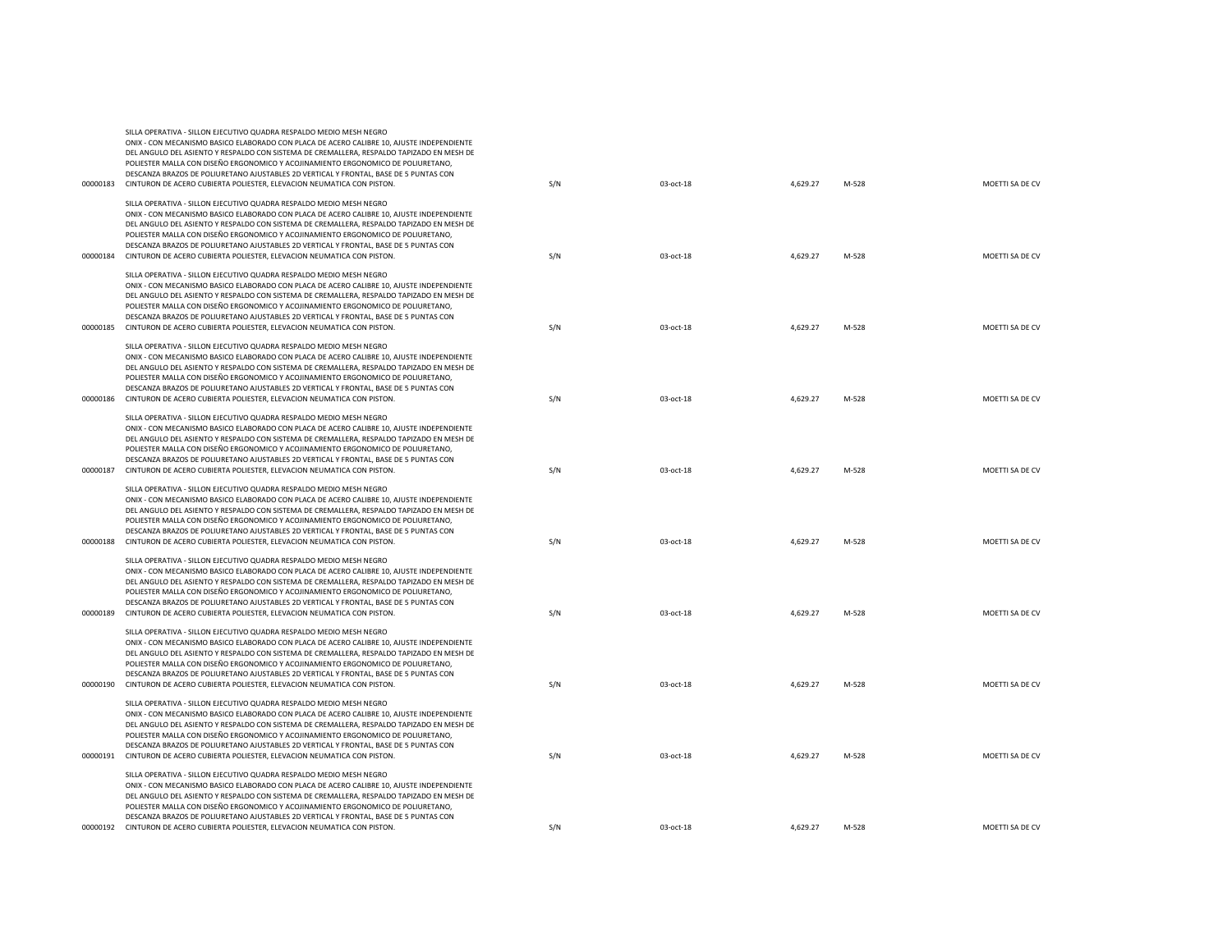|          | POLIESTER MALLA CON DISEÑO ERGONOMICO Y ACOJINAMIENTO ERGONOMICO DE POLIURETANO,<br>DESCANZA BRAZOS DE POLIURETANO AJUSTABLES 2D VERTICAL Y FRONTAL, BASE DE 5 PUNTAS CON<br>00000183 CINTURON DE ACERO CUBIERTA POLIESTER, ELEVACION NEUMATICA CON PISTON.                                                                                                                                                                                                                                                                  | S/N | 03-oct-18 | 4,629.27 | M-528 | MOETTI SA DE CV |
|----------|------------------------------------------------------------------------------------------------------------------------------------------------------------------------------------------------------------------------------------------------------------------------------------------------------------------------------------------------------------------------------------------------------------------------------------------------------------------------------------------------------------------------------|-----|-----------|----------|-------|-----------------|
|          | SILLA OPERATIVA - SILLON EJECUTIVO QUADRA RESPALDO MEDIO MESH NEGRO<br>ONIX - CON MECANISMO BASICO ELABORADO CON PLACA DE ACERO CALIBRE 10, AJUSTE INDEPENDIENTE<br>DEL ANGULO DEL ASIENTO Y RESPALDO CON SISTEMA DE CREMALLERA, RESPALDO TAPIZADO EN MESH DE                                                                                                                                                                                                                                                                |     |           |          |       |                 |
|          | POLIESTER MALLA CON DISEÑO ERGONOMICO Y ACOJINAMIENTO ERGONOMICO DE POLIURETANO.<br>DESCANZA BRAZOS DE POLIURETANO AJUSTABLES 2D VERTICAL Y FRONTAL, BASE DE 5 PUNTAS CON<br>00000184 CINTURON DE ACERO CUBIERTA POLIESTER, ELEVACION NEUMATICA CON PISTON.                                                                                                                                                                                                                                                                  | S/N | 03-oct-18 | 4,629.27 | M-528 | MOETTI SA DE CV |
|          | SILLA OPERATIVA - SILLON EJECUTIVO QUADRA RESPALDO MEDIO MESH NEGRO<br>ONIX - CON MECANISMO BASICO ELABORADO CON PLACA DE ACERO CALIBRE 10, AJUSTE INDEPENDIENTE<br>DEL ANGULO DEL ASIENTO Y RESPALDO CON SISTEMA DE CREMALLERA, RESPALDO TAPIZADO EN MESH DE<br>POLIESTER MALLA CON DISEÑO ERGONOMICO Y ACOJINAMIENTO ERGONOMICO DE POLIURETANO,<br>DESCANZA BRAZOS DE POLIURETANO AJUSTABLES 2D VERTICAL Y FRONTAL, BASE DE 5 PUNTAS CON<br>00000185 CINTURON DE ACERO CUBIERTA POLIESTER, ELEVACION NEUMATICA CON PISTON. | S/N | 03-oct-18 | 4,629.27 | M-528 | MOETTI SA DE CV |
|          | SILLA OPERATIVA - SILLON EJECUTIVO QUADRA RESPALDO MEDIO MESH NEGRO<br>ONIX - CON MECANISMO BASICO ELABORADO CON PLACA DE ACERO CALIBRE 10, AJUSTE INDEPENDIENTE<br>DEL ANGULO DEL ASIENTO Y RESPALDO CON SISTEMA DE CREMALLERA, RESPALDO TAPIZADO EN MESH DE<br>POLIESTER MALLA CON DISEÑO ERGONOMICO Y ACOJINAMIENTO ERGONOMICO DE POLIURETANO,<br>DESCANZA BRAZOS DE POLIURETANO AJUSTABLES 2D VERTICAL Y FRONTAL, BASE DE 5 PUNTAS CON                                                                                   |     |           |          |       |                 |
| 00000186 | CINTURON DE ACERO CUBIERTA POLIESTER, ELEVACION NEUMATICA CON PISTON.                                                                                                                                                                                                                                                                                                                                                                                                                                                        | S/N | 03-oct-18 | 4,629.27 | M-528 | MOETTI SA DE CV |
| 00000187 | SILLA OPERATIVA - SILLON EJECUTIVO QUADRA RESPALDO MEDIO MESH NEGRO<br>ONIX - CON MECANISMO BASICO ELABORADO CON PLACA DE ACERO CALIBRE 10, AJUSTE INDEPENDIENTE<br>DEL ANGULO DEL ASIENTO Y RESPALDO CON SISTEMA DE CREMALLERA, RESPALDO TAPIZADO EN MESH DE<br>POLIESTER MALLA CON DISEÑO ERGONOMICO Y ACOJINAMIENTO ERGONOMICO DE POLIURETANO,<br>DESCANZA BRAZOS DE POLIURETANO AJUSTABLES 2D VERTICAL Y FRONTAL, BASE DE 5 PUNTAS CON<br>CINTURON DE ACERO CUBIERTA POLIESTER, ELEVACION NEUMATICA CON PISTON.          | S/N | 03-oct-18 | 4,629.27 | M-528 | MOETTI SA DE CV |
| 00000188 | SILLA OPERATIVA - SILLON EJECUTIVO QUADRA RESPALDO MEDIO MESH NEGRO<br>ONIX - CON MECANISMO BASICO ELABORADO CON PLACA DE ACERO CALIBRE 10, AJUSTE INDEPENDIENTE<br>DEL ANGULO DEL ASIENTO Y RESPALDO CON SISTEMA DE CREMALLERA, RESPALDO TAPIZADO EN MESH DE<br>POLIESTER MALLA CON DISEÑO ERGONOMICO Y ACOJINAMIENTO ERGONOMICO DE POLIURETANO,<br>DESCANZA BRAZOS DE POLIURETANO AJUSTABLES 2D VERTICAL Y FRONTAL, BASE DE 5 PUNTAS CON<br>CINTURON DE ACERO CUBIERTA POLIESTER, ELEVACION NEUMATICA CON PISTON.          | S/N | 03-oct-18 | 4,629.27 | M-528 | MOETTI SA DE CV |
| 00000189 | SILLA OPERATIVA - SILLON EJECUTIVO QUADRA RESPALDO MEDIO MESH NEGRO<br>ONIX - CON MECANISMO BASICO ELABORADO CON PLACA DE ACERO CALIBRE 10, AJUSTE INDEPENDIENTE<br>DEL ANGULO DEL ASIENTO Y RESPALDO CON SISTEMA DE CREMALLERA, RESPALDO TAPIZADO EN MESH DE<br>POLIESTER MALLA CON DISEÑO ERGONOMICO Y ACOJINAMIENTO ERGONOMICO DE POLIURETANO,<br>DESCANZA BRAZOS DE POLIURETANO AJUSTABLES 2D VERTICAL Y FRONTAL, BASE DE 5 PUNTAS CON<br>CINTURON DE ACERO CUBIERTA POLIESTER, ELEVACION NEUMATICA CON PISTON.          | S/N | 03-oct-18 | 4,629.27 | M-528 | MOETTI SA DE CV |
| 00000190 | SILLA OPERATIVA - SILLON EJECUTIVO QUADRA RESPALDO MEDIO MESH NEGRO<br>ONIX - CON MECANISMO BASICO ELABORADO CON PLACA DE ACERO CALIBRE 10, AJUSTE INDEPENDIENTE<br>DEL ANGULO DEL ASIENTO Y RESPALDO CON SISTEMA DE CREMALLERA, RESPALDO TAPIZADO EN MESH DE<br>POLIESTER MALLA CON DISEÑO ERGONOMICO Y ACOJINAMIENTO ERGONOMICO DE POLIURETANO,<br>DESCANZA BRAZOS DE POLIURETANO AJUSTABLES 2D VERTICAL Y FRONTAL, BASE DE 5 PUNTAS CON<br>CINTURON DE ACERO CUBIERTA POLIESTER, ELEVACION NEUMATICA CON PISTON.          | S/N | 03-oct-18 | 4,629.27 | M-528 | MOETTI SA DE CV |
| 00000191 | SILLA OPERATIVA - SILLON EJECUTIVO QUADRA RESPALDO MEDIO MESH NEGRO<br>ONIX - CON MECANISMO BASICO ELABORADO CON PLACA DE ACERO CALIBRE 10, AJUSTE INDEPENDIENTE<br>DEL ANGULO DEL ASIENTO Y RESPALDO CON SISTEMA DE CREMALLERA, RESPALDO TAPIZADO EN MESH DE<br>POLIESTER MALLA CON DISEÑO ERGONOMICO Y ACOJINAMIENTO ERGONOMICO DE POLIURETANO,<br>DESCANZA BRAZOS DE POLIURETANO AJUSTABLES 2D VERTICAL Y FRONTAL. BASE DE 5 PUNTAS CON<br>CINTURON DE ACERO CUBIERTA POLIESTER, ELEVACION NEUMATICA CON PISTON.          | S/N | 03-oct-18 | 4,629.27 | M-528 | MOETTI SA DE CV |
|          | SILLA OPERATIVA - SILLON EJECUTIVO QUADRA RESPALDO MEDIO MESH NEGRO<br>ONIX - CON MECANISMO BASICO ELABORADO CON PLACA DE ACERO CALIBRE 10, AJUSTE INDEPENDIENTE<br>DEL ANGULO DEL ASIENTO Y RESPALDO CON SISTEMA DE CREMALLERA, RESPALDO TAPIZADO EN MESH DE<br>POLIESTER MALLA CON DISEÑO ERGONOMICO Y ACOJINAMIENTO ERGONOMICO DE POLIURETANO,<br>DESCANZA BRAZOS DE POLIURETANO AJUSTABLES 2D VERTICAL Y FRONTAL, BASE DE 5 PUNTAS CON<br>00000192 CINTURON DE ACERO CUBIERTA POLIESTER, ELEVACION NEUMATICA CON PISTON. | S/N | 03-oct-18 | 4,629.27 | M-528 | MOETTI SA DE CV |
|          |                                                                                                                                                                                                                                                                                                                                                                                                                                                                                                                              |     |           |          |       |                 |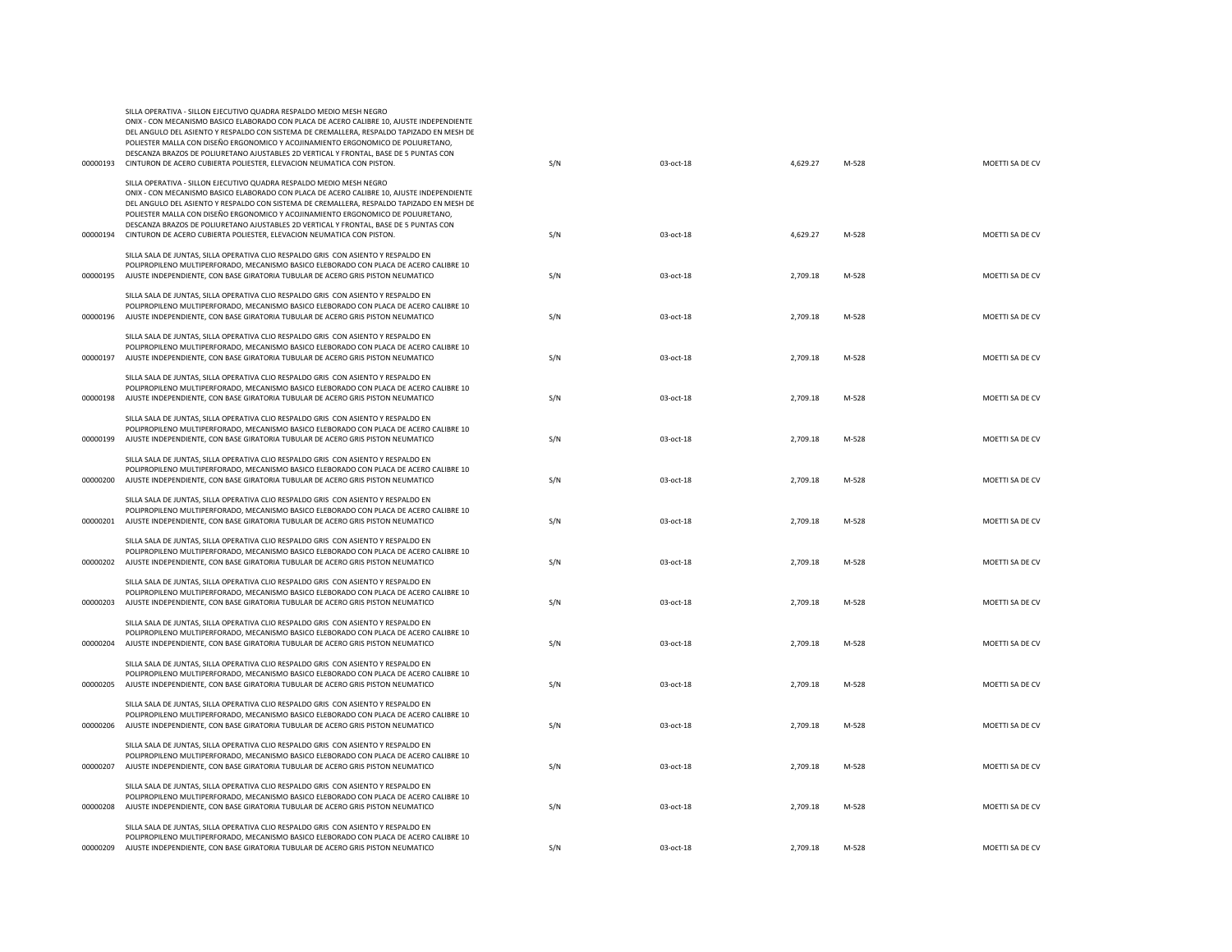| 00000193 | POLIESTER MALLA CON DISEÑO ERGONOMICO Y ACOJINAMIENTO ERGONOMICO DE POLIURETANO,<br>DESCANZA BRAZOS DE POLIURETANO AJUSTABLES 2D VERTICAL Y FRONTAL, BASE DE 5 PUNTAS CON<br>CINTURON DE ACERO CUBIERTA POLIESTER, ELEVACION NEUMATICA CON PISTON.                                                                                                                                                                                                                                                                  | S/N | 03-oct-18 | 4,629.27 | M-528 | MOETTI SA DE CV |
|----------|---------------------------------------------------------------------------------------------------------------------------------------------------------------------------------------------------------------------------------------------------------------------------------------------------------------------------------------------------------------------------------------------------------------------------------------------------------------------------------------------------------------------|-----|-----------|----------|-------|-----------------|
| 00000194 | SILLA OPERATIVA - SILLON EJECUTIVO QUADRA RESPALDO MEDIO MESH NEGRO<br>ONIX - CON MECANISMO BASICO ELABORADO CON PLACA DE ACERO CALIBRE 10, AJUSTE INDEPENDIENTE<br>DEL ANGULO DEL ASIENTO Y RESPALDO CON SISTEMA DE CREMALLERA, RESPALDO TAPIZADO EN MESH DE<br>POLIESTER MALLA CON DISEÑO ERGONOMICO Y ACOJINAMIENTO ERGONOMICO DE POLIURETANO,<br>DESCANZA BRAZOS DE POLIURETANO AJUSTABLES 2D VERTICAL Y FRONTAL, BASE DE 5 PUNTAS CON<br>CINTURON DE ACERO CUBIERTA POLIESTER, ELEVACION NEUMATICA CON PISTON. | S/N | 03-oct-18 | 4,629.27 | M-528 | MOETTI SA DE CV |
|          | SILLA SALA DE JUNTAS, SILLA OPERATIVA CLIO RESPALDO GRIS CON ASIENTO Y RESPALDO EN<br>POLIPROPILENO MULTIPERFORADO, MECANISMO BASICO ELEBORADO CON PLACA DE ACERO CALIBRE 10<br>00000195 AJUSTE INDEPENDIENTE, CON BASE GIRATORIA TUBULAR DE ACERO GRIS PISTON NEUMATICO                                                                                                                                                                                                                                            | S/N | 03-oct-18 | 2,709.18 | M-528 | MOETTI SA DE CV |
|          | SILLA SALA DE JUNTAS, SILLA OPERATIVA CLIO RESPALDO GRIS CON ASIENTO Y RESPALDO EN<br>POLIPROPILENO MULTIPERFORADO, MECANISMO BASICO ELEBORADO CON PLACA DE ACERO CALIBRE 10<br>00000196 AJUSTE INDEPENDIENTE, CON BASE GIRATORIA TUBULAR DE ACERO GRIS PISTON NEUMATICO                                                                                                                                                                                                                                            | S/N | 03-oct-18 | 2,709.18 | M-528 | MOETTI SA DE CV |
| 00000197 | SILLA SALA DE JUNTAS, SILLA OPERATIVA CLIO RESPALDO GRIS CON ASIENTO Y RESPALDO EN<br>POLIPROPILENO MULTIPERFORADO, MECANISMO BASICO ELEBORADO CON PLACA DE ACERO CALIBRE 10<br>AJUSTE INDEPENDIENTE, CON BASE GIRATORIA TUBULAR DE ACERO GRIS PISTON NEUMATICO                                                                                                                                                                                                                                                     | S/N | 03-oct-18 | 2,709.18 | M-528 | MOETTI SA DE CV |
| 00000198 | SILLA SALA DE JUNTAS, SILLA OPERATIVA CLIO RESPALDO GRIS CON ASIENTO Y RESPALDO EN<br>POLIPROPILENO MULTIPERFORADO, MECANISMO BASICO ELEBORADO CON PLACA DE ACERO CALIBRE 10<br>AJUSTE INDEPENDIENTE, CON BASE GIRATORIA TUBULAR DE ACERO GRIS PISTON NEUMATICO                                                                                                                                                                                                                                                     | S/N | 03-oct-18 | 2,709.18 | M-528 | MOETTI SA DE CV |
|          | SILLA SALA DE JUNTAS, SILLA OPERATIVA CLIO RESPALDO GRIS CON ASIENTO Y RESPALDO EN<br>POLIPROPILENO MULTIPERFORADO, MECANISMO BASICO ELEBORADO CON PLACA DE ACERO CALIBRE 10<br>00000199 AJUSTE INDEPENDIENTE, CON BASE GIRATORIA TUBULAR DE ACERO GRIS PISTON NEUMATICO                                                                                                                                                                                                                                            | S/N | 03-oct-18 | 2,709.18 | M-528 | MOETTI SA DE CV |
|          | SILLA SALA DE JUNTAS, SILLA OPERATIVA CLIO RESPALDO GRIS CON ASIENTO Y RESPALDO EN<br>POLIPROPILENO MULTIPERFORADO, MECANISMO BASICO ELEBORADO CON PLACA DE ACERO CALIBRE 10<br>00000200 AJUSTE INDEPENDIENTE, CON BASE GIRATORIA TUBULAR DE ACERO GRIS PISTON NEUMATICO                                                                                                                                                                                                                                            | S/N | 03-oct-18 | 2,709.18 | M-528 | MOETTI SA DE CV |
|          | SILLA SALA DE JUNTAS, SILLA OPERATIVA CLIO RESPALDO GRIS CON ASIENTO Y RESPALDO EN<br>POLIPROPILENO MULTIPERFORADO, MECANISMO BASICO ELEBORADO CON PLACA DE ACERO CALIBRE 10<br>00000201 AJUSTE INDEPENDIENTE, CON BASE GIRATORIA TUBULAR DE ACERO GRIS PISTON NEUMATICO                                                                                                                                                                                                                                            | S/N | 03-oct-18 | 2,709.18 | M-528 | MOETTI SA DE CV |
|          | SILLA SALA DE JUNTAS, SILLA OPERATIVA CLIO RESPALDO GRIS CON ASIENTO Y RESPALDO EN<br>POLIPROPILENO MULTIPERFORADO, MECANISMO BASICO ELEBORADO CON PLACA DE ACERO CALIBRE 10<br>00000202 AJUSTE INDEPENDIENTE, CON BASE GIRATORIA TUBULAR DE ACERO GRIS PISTON NEUMATICO                                                                                                                                                                                                                                            | S/N | 03-oct-18 | 2,709.18 | M-528 | MOETTI SA DE CV |
| 00000203 | SILLA SALA DE JUNTAS, SILLA OPERATIVA CLIO RESPALDO GRIS CON ASIENTO Y RESPALDO EN<br>POLIPROPILENO MULTIPERFORADO, MECANISMO BASICO ELEBORADO CON PLACA DE ACERO CALIBRE 10<br>AJUSTE INDEPENDIENTE, CON BASE GIRATORIA TUBULAR DE ACERO GRIS PISTON NEUMATICO                                                                                                                                                                                                                                                     | S/N | 03-oct-18 | 2,709.18 | M-528 | MOETTI SA DE CV |
| 00000204 | SILLA SALA DE JUNTAS, SILLA OPERATIVA CLIO RESPALDO GRIS CON ASIENTO Y RESPALDO EN<br>POLIPROPILENO MULTIPERFORADO, MECANISMO BASICO ELEBORADO CON PLACA DE ACERO CALIBRE 10<br>AJUSTE INDEPENDIENTE, CON BASE GIRATORIA TUBULAR DE ACERO GRIS PISTON NEUMATICO                                                                                                                                                                                                                                                     | S/N | 03-oct-18 | 2,709.18 | M-528 | MOETTI SA DE CV |
| 00000205 | SILLA SALA DE JUNTAS, SILLA OPERATIVA CLIO RESPALDO GRIS CON ASIENTO Y RESPALDO EN<br>POLIPROPILENO MULTIPERFORADO, MECANISMO BASICO ELEBORADO CON PLACA DE ACERO CALIBRE 10<br>AJUSTE INDEPENDIENTE, CON BASE GIRATORIA TUBULAR DE ACERO GRIS PISTON NEUMATICO                                                                                                                                                                                                                                                     | S/N | 03-oct-18 | 2,709.18 | M-528 | MOETTI SA DE CV |
| 00000206 | SILLA SALA DE JUNTAS, SILLA OPERATIVA CLIO RESPALDO GRIS CON ASIENTO Y RESPALDO EN<br>POLIPROPILENO MULTIPERFORADO, MECANISMO BASICO ELEBORADO CON PLACA DE ACERO CALIBRE 10<br>AJUSTE INDEPENDIENTE, CON BASE GIRATORIA TUBULAR DE ACERO GRIS PISTON NEUMATICO                                                                                                                                                                                                                                                     | S/N | 03-oct-18 | 2,709.18 | M-528 | MOETTI SA DE CV |
| 00000207 | SILLA SALA DE JUNTAS, SILLA OPERATIVA CLIO RESPALDO GRIS CON ASIENTO Y RESPALDO EN<br>POLIPROPILENO MULTIPERFORADO, MECANISMO BASICO ELEBORADO CON PLACA DE ACERO CALIBRE 10<br>AJUSTE INDEPENDIENTE, CON BASE GIRATORIA TUBULAR DE ACERO GRIS PISTON NEUMATICO                                                                                                                                                                                                                                                     | S/N | 03-oct-18 | 2,709.18 | M-528 | MOETTI SA DE CV |
|          | SILLA SALA DE JUNTAS, SILLA OPERATIVA CLIO RESPALDO GRIS CON ASIENTO Y RESPALDO EN<br>POLIPROPILENO MULTIPERFORADO, MECANISMO BASICO ELEBORADO CON PLACA DE ACERO CALIBRE 10<br>00000208 AJUSTE INDEPENDIENTE, CON BASE GIRATORIA TUBULAR DE ACERO GRIS PISTON NEUMATICO                                                                                                                                                                                                                                            | S/N | 03-oct-18 | 2,709.18 | M-528 | MOETTI SA DE CV |
| 00000209 | SILLA SALA DE JUNTAS, SILLA OPERATIVA CLIO RESPALDO GRIS CON ASIENTO Y RESPALDO EN<br>POLIPROPILENO MULTIPERFORADO, MECANISMO BASICO ELEBORADO CON PLACA DE ACERO CALIBRE 10<br>AJUSTE INDEPENDIENTE, CON BASE GIRATORIA TUBULAR DE ACERO GRIS PISTON NEUMATICO                                                                                                                                                                                                                                                     | S/N | 03-oct-18 | 2,709.18 | M-528 | MOETTI SA DE CV |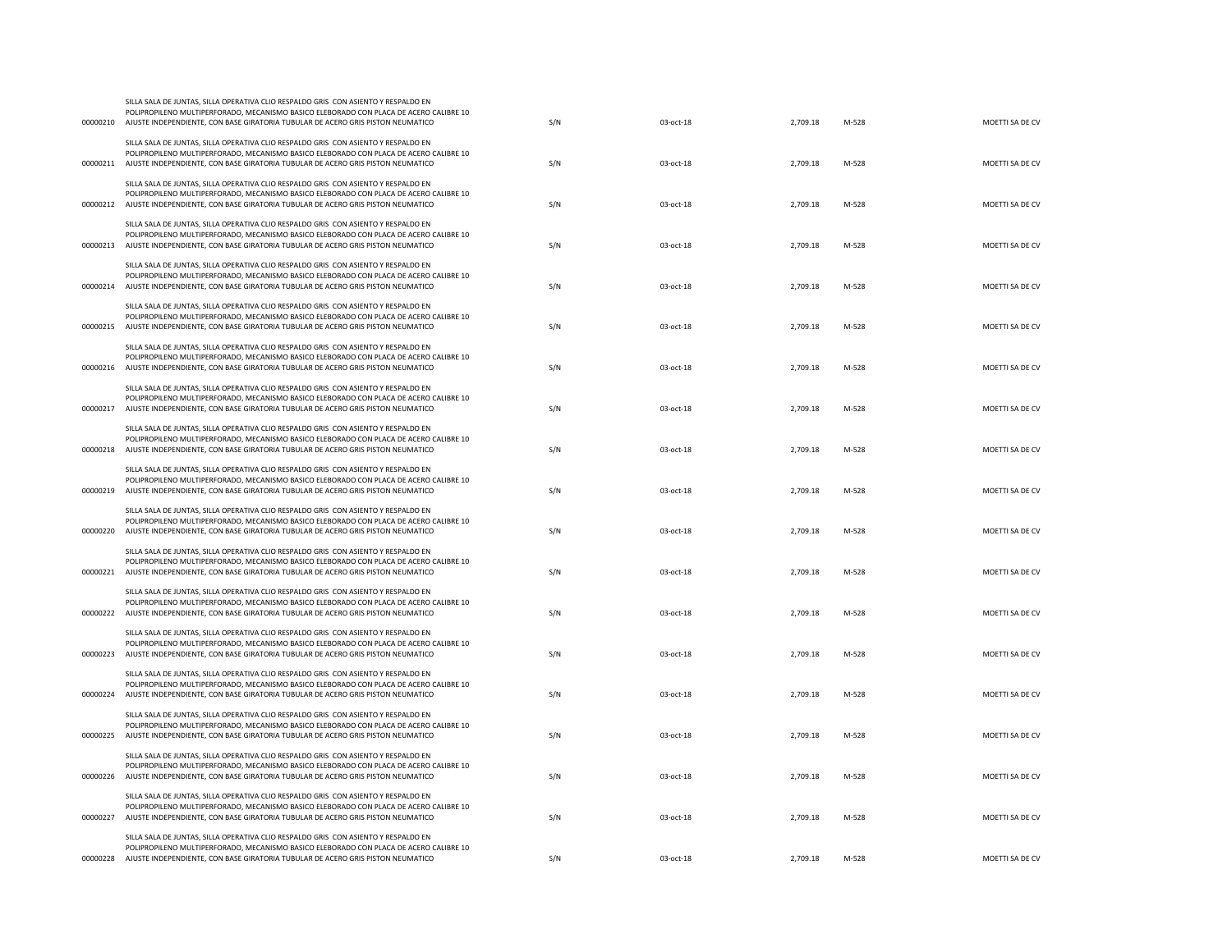| 00000210 | POLIPROPILENO MULTIPERFORADO, MECANISMO BASICO ELEBORADO CON PLACA DE ACERO CALIBRE 10<br>AJUSTE INDEPENDIENTE, CON BASE GIRATORIA TUBULAR DE ACERO GRIS PISTON NEUMATICO                                                                                                | S/N | 03-oct-18 | 2,709.18 | M-528 | MOETTI SA DE CV |
|----------|--------------------------------------------------------------------------------------------------------------------------------------------------------------------------------------------------------------------------------------------------------------------------|-----|-----------|----------|-------|-----------------|
| 00000211 | SILLA SALA DE JUNTAS, SILLA OPERATIVA CLIO RESPALDO GRIS CON ASIENTO Y RESPALDO EN<br>POLIPROPILENO MULTIPERFORADO, MECANISMO BASICO ELEBORADO CON PLACA DE ACERO CALIBRE 10<br>AJUSTE INDEPENDIENTE, CON BASE GIRATORIA TUBULAR DE ACERO GRIS PISTON NEUMATICO          | S/N | 03-oct-18 | 2,709.18 | M-528 | MOETTI SA DE CV |
| 00000212 | SILLA SALA DE JUNTAS, SILLA OPERATIVA CLIO RESPALDO GRIS CON ASIENTO Y RESPALDO EN<br>POLIPROPILENO MULTIPERFORADO, MECANISMO BASICO ELEBORADO CON PLACA DE ACERO CALIBRE 10<br>AJUSTE INDEPENDIENTE, CON BASE GIRATORIA TUBULAR DE ACERO GRIS PISTON NEUMATICO          | S/N | 03-oct-18 | 2,709.18 | M-528 | MOETTI SA DE CV |
| 00000213 | SILLA SALA DE JUNTAS, SILLA OPERATIVA CLIO RESPALDO GRIS CON ASIENTO Y RESPALDO EN<br>POLIPROPILENO MULTIPERFORADO, MECANISMO BASICO ELEBORADO CON PLACA DE ACERO CALIBRE 10<br>AJUSTE INDEPENDIENTE, CON BASE GIRATORIA TUBULAR DE ACERO GRIS PISTON NEUMATICO          | S/N | 03-oct-18 | 2,709.18 | M-528 | MOETTI SA DE CV |
|          | SILLA SALA DE JUNTAS, SILLA OPERATIVA CLIO RESPALDO GRIS CON ASIENTO Y RESPALDO EN<br>POLIPROPILENO MULTIPERFORADO, MECANISMO BASICO ELEBORADO CON PLACA DE ACERO CALIBRE 10<br>00000214 AJUSTE INDEPENDIENTE, CON BASE GIRATORIA TUBULAR DE ACERO GRIS PISTON NEUMATICO | S/N | 03-oct-18 | 2,709.18 | M-528 | MOETTI SA DE CV |
| 00000215 | SILLA SALA DE JUNTAS, SILLA OPERATIVA CLIO RESPALDO GRIS CON ASIENTO Y RESPALDO EN<br>POLIPROPILENO MULTIPERFORADO, MECANISMO BASICO ELEBORADO CON PLACA DE ACERO CALIBRE 10<br>AJUSTE INDEPENDIENTE, CON BASE GIRATORIA TUBULAR DE ACERO GRIS PISTON NEUMATICO          | S/N | 03-oct-18 | 2,709.18 | M-528 | MOETTI SA DE CV |
|          | SILLA SALA DE JUNTAS, SILLA OPERATIVA CLIO RESPALDO GRIS CON ASIENTO Y RESPALDO EN<br>POLIPROPILENO MULTIPERFORADO, MECANISMO BASICO ELEBORADO CON PLACA DE ACERO CALIBRE 10<br>00000216 AJUSTE INDEPENDIENTE, CON BASE GIRATORIA TUBULAR DE ACERO GRIS PISTON NEUMATICO | S/N | 03-oct-18 | 2,709.18 | M-528 | MOETTI SA DE CV |
| 00000217 | SILLA SALA DE JUNTAS, SILLA OPERATIVA CLIO RESPALDO GRIS CON ASIENTO Y RESPALDO EN<br>POLIPROPILENO MULTIPERFORADO, MECANISMO BASICO ELEBORADO CON PLACA DE ACERO CALIBRE 10<br>AJUSTE INDEPENDIENTE, CON BASE GIRATORIA TUBULAR DE ACERO GRIS PISTON NEUMATICO          | S/N | 03-oct-18 | 2,709.18 | M-528 | MOETTI SA DE CV |
|          | SILLA SALA DE JUNTAS, SILLA OPERATIVA CLIO RESPALDO GRIS CON ASIENTO Y RESPALDO EN<br>POLIPROPILENO MULTIPERFORADO, MECANISMO BASICO ELEBORADO CON PLACA DE ACERO CALIBRE 10<br>00000218 AJUSTE INDEPENDIENTE, CON BASE GIRATORIA TUBULAR DE ACERO GRIS PISTON NEUMATICO | S/N | 03-oct-18 | 2,709.18 | M-528 | MOETTI SA DE CV |
| 00000219 | SILLA SALA DE JUNTAS, SILLA OPERATIVA CLIO RESPALDO GRIS CON ASIENTO Y RESPALDO EN<br>POLIPROPILENO MULTIPERFORADO, MECANISMO BASICO ELEBORADO CON PLACA DE ACERO CALIBRE 10<br>AJUSTE INDEPENDIENTE, CON BASE GIRATORIA TUBULAR DE ACERO GRIS PISTON NEUMATICO          | S/N | 03-oct-18 | 2,709.18 | M-528 | MOETTI SA DE CV |
| 00000220 | SILLA SALA DE JUNTAS, SILLA OPERATIVA CLIO RESPALDO GRIS CON ASIENTO Y RESPALDO EN<br>POLIPROPILENO MULTIPERFORADO, MECANISMO BASICO ELEBORADO CON PLACA DE ACERO CALIBRE 10<br>AJUSTE INDEPENDIENTE, CON BASE GIRATORIA TUBULAR DE ACERO GRIS PISTON NEUMATICO          | S/N | 03-oct-18 | 2,709.18 | M-528 | MOETTI SA DE CV |
| 00000221 | SILLA SALA DE JUNTAS, SILLA OPERATIVA CLIO RESPALDO GRIS CON ASIENTO Y RESPALDO EN<br>POLIPROPILENO MULTIPERFORADO. MECANISMO BASICO ELEBORADO CON PLACA DE ACERO CALIBRE 10<br>AJUSTE INDEPENDIENTE, CON BASE GIRATORIA TUBULAR DE ACERO GRIS PISTON NEUMATICO          | S/N | 03-oct-18 | 2,709.18 | M-528 | MOETTI SA DE CV |
| 00000222 | SILLA SALA DE JUNTAS, SILLA OPERATIVA CLIO RESPALDO GRIS CON ASIENTO Y RESPALDO EN<br>POLIPROPILENO MULTIPERFORADO, MECANISMO BASICO ELEBORADO CON PLACA DE ACERO CALIBRE 10<br>AJUSTE INDEPENDIENTE, CON BASE GIRATORIA TUBULAR DE ACERO GRIS PISTON NEUMATICO          | S/N | 03-oct-18 | 2,709.18 | M-528 | MOETTI SA DE CV |
| 00000223 | SILLA SALA DE JUNTAS, SILLA OPERATIVA CLIO RESPALDO GRIS CON ASIENTO Y RESPALDO EN<br>POLIPROPILENO MULTIPERFORADO, MECANISMO BASICO ELEBORADO CON PLACA DE ACERO CALIBRE 10<br>AJUSTE INDEPENDIENTE, CON BASE GIRATORIA TUBULAR DE ACERO GRIS PISTON NEUMATICO          | S/N | 03-oct-18 | 2,709.18 | M-528 | MOETTI SA DE CV |
| 00000224 | SILLA SALA DE JUNTAS, SILLA OPERATIVA CLIO RESPALDO GRIS CON ASIENTO Y RESPALDO EN<br>POLIPROPILENO MULTIPERFORADO, MECANISMO BASICO ELEBORADO CON PLACA DE ACERO CALIBRE 10<br>AJUSTE INDEPENDIENTE, CON BASE GIRATORIA TUBULAR DE ACERO GRIS PISTON NEUMATICO          | S/N | 03-oct-18 | 2,709.18 | M-528 | MOETTI SA DE CV |
| 00000225 | SILLA SALA DE JUNTAS, SILLA OPERATIVA CLIO RESPALDO GRIS CON ASIENTO Y RESPALDO EN<br>POLIPROPILENO MULTIPERFORADO, MECANISMO BASICO ELEBORADO CON PLACA DE ACERO CALIBRE 10<br>AJUSTE INDEPENDIENTE, CON BASE GIRATORIA TUBULAR DE ACERO GRIS PISTON NEUMATICO          | S/N | 03-oct-18 | 2,709.18 | M-528 | MOETTI SA DE CV |
| 00000226 | SILLA SALA DE JUNTAS, SILLA OPERATIVA CLIO RESPALDO GRIS CON ASIENTO Y RESPALDO EN<br>POLIPROPILENO MULTIPERFORADO, MECANISMO BASICO ELEBORADO CON PLACA DE ACERO CALIBRE 10<br>AJUSTE INDEPENDIENTE, CON BASE GIRATORIA TUBULAR DE ACERO GRIS PISTON NEUMATICO          | S/N | 03-oct-18 | 2,709.18 | M-528 | MOETTI SA DE CV |
| 00000227 | SILLA SALA DE JUNTAS, SILLA OPERATIVA CLIO RESPALDO GRIS CON ASIENTO Y RESPALDO EN<br>POLIPROPILENO MULTIPERFORADO, MECANISMO BASICO ELEBORADO CON PLACA DE ACERO CALIBRE 10<br>AJUSTE INDEPENDIENTE, CON BASE GIRATORIA TUBULAR DE ACERO GRIS PISTON NEUMATICO          | S/N | 03-oct-18 | 2,709.18 | M-528 | MOETTI SA DE CV |
|          | SILLA SALA DE JUNTAS, SILLA OPERATIVA CLIO RESPALDO GRIS CON ASIENTO Y RESPALDO EN<br>POLIPROPILENO MULTIPERFORADO, MECANISMO BASICO ELEBORADO CON PLACA DE ACERO CALIBRE 10<br>00000228 AJUSTE INDEPENDIENTE, CON BASE GIRATORIA TUBULAR DE ACERO GRIS PISTON NEUMATICO | S/N | 03-oct-18 | 2,709.18 | M-528 | MOETTI SA DE CV |
|          |                                                                                                                                                                                                                                                                          |     |           |          |       |                 |

SILLA SALA DE JUNTAS, SILLA OPERATIVA CLIO RESPALDO GRIS CON ASIENTO Y RESPALDO EN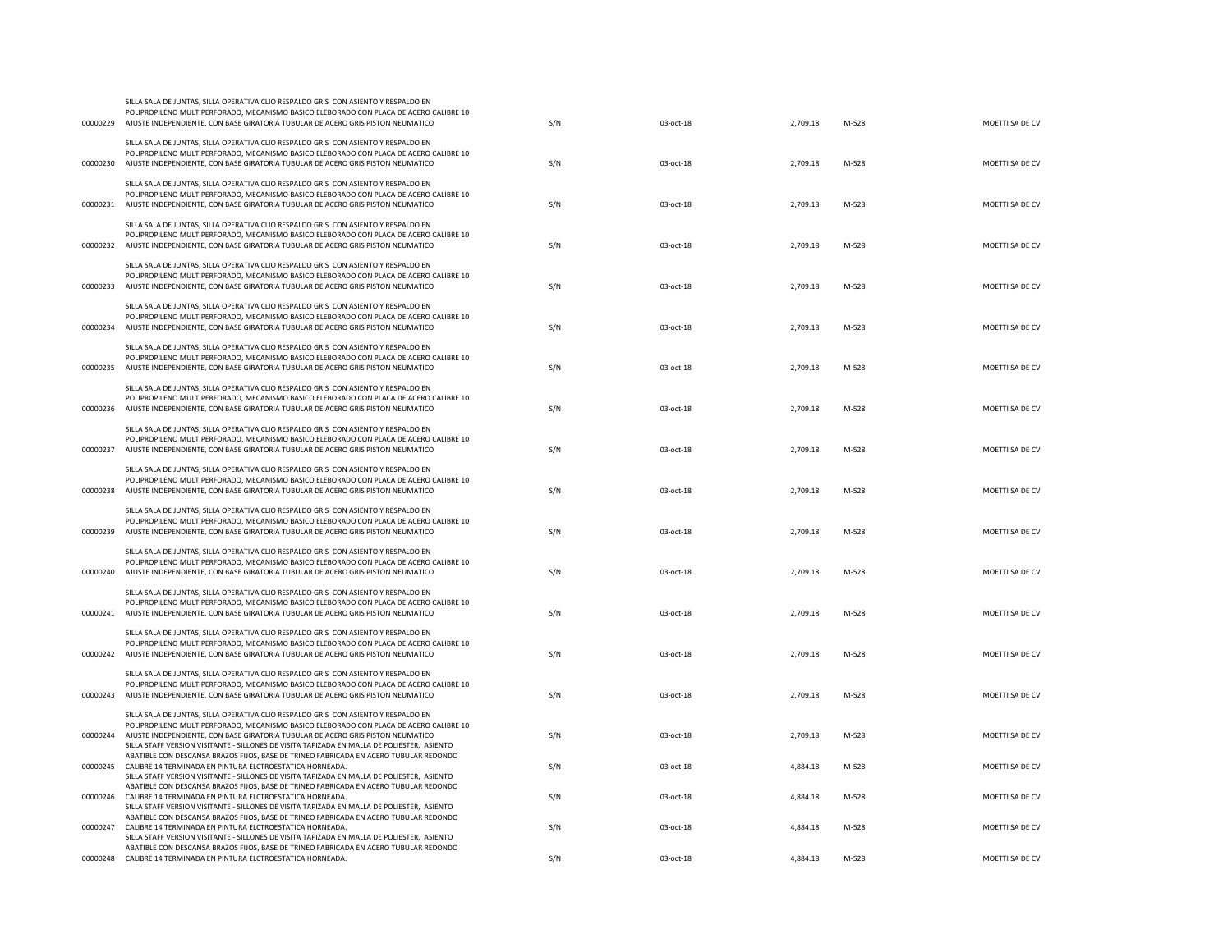| 00000229 | POLIPROPILENO MULTIPERFORADO, MECANISMO BASICO ELEBORADO CON PLACA DE ACERO CALIBRE 10<br>AJUSTE INDEPENDIENTE, CON BASE GIRATORIA TUBULAR DE ACERO GRIS PISTON NEUMATICO                                                                                                                                                                                     | S/N | 03-oct-18 | 2,709.18 | M-528 | MOETTI SA DE CV |
|----------|---------------------------------------------------------------------------------------------------------------------------------------------------------------------------------------------------------------------------------------------------------------------------------------------------------------------------------------------------------------|-----|-----------|----------|-------|-----------------|
| 00000230 | SILLA SALA DE JUNTAS, SILLA OPERATIVA CLIO RESPALDO GRIS CON ASIENTO Y RESPALDO EN<br>POLIPROPILENO MULTIPERFORADO, MECANISMO BASICO ELEBORADO CON PLACA DE ACERO CALIBRE 10<br>AJUSTE INDEPENDIENTE, CON BASE GIRATORIA TUBULAR DE ACERO GRIS PISTON NEUMATICO                                                                                               | S/N | 03-oct-18 | 2,709.18 | M-528 | MOETTI SA DE CV |
| 00000231 | SILLA SALA DE JUNTAS, SILLA OPERATIVA CLIO RESPALDO GRIS CON ASIENTO Y RESPALDO EN<br>POLIPROPILENO MULTIPERFORADO, MECANISMO BASICO ELEBORADO CON PLACA DE ACERO CALIBRE 10<br>AJUSTE INDEPENDIENTE, CON BASE GIRATORIA TUBULAR DE ACERO GRIS PISTON NEUMATICO                                                                                               | S/N | 03-oct-18 | 2,709.18 | M-528 | MOETTI SA DE CV |
| 00000232 | SILLA SALA DE JUNTAS, SILLA OPERATIVA CLIO RESPALDO GRIS CON ASIENTO Y RESPALDO EN<br>POLIPROPILENO MULTIPERFORADO, MECANISMO BASICO ELEBORADO CON PLACA DE ACERO CALIBRE 10<br>AJUSTE INDEPENDIENTE, CON BASE GIRATORIA TUBULAR DE ACERO GRIS PISTON NEUMATICO                                                                                               | S/N | 03-oct-18 | 2,709.18 | M-528 | MOETTI SA DE CV |
| 00000233 | SILLA SALA DE JUNTAS, SILLA OPERATIVA CLIO RESPALDO GRIS CON ASIENTO Y RESPALDO EN<br>POLIPROPILENO MULTIPERFORADO, MECANISMO BASICO ELEBORADO CON PLACA DE ACERO CALIBRE 10<br>AJUSTE INDEPENDIENTE, CON BASE GIRATORIA TUBULAR DE ACERO GRIS PISTON NEUMATICO                                                                                               | S/N | 03-oct-18 | 2,709.18 | M-528 | MOETTI SA DE CV |
| 00000234 | SILLA SALA DE JUNTAS, SILLA OPERATIVA CLIO RESPALDO GRIS CON ASIENTO Y RESPALDO EN<br>POLIPROPILENO MULTIPERFORADO, MECANISMO BASICO ELEBORADO CON PLACA DE ACERO CALIBRE 10<br>AJUSTE INDEPENDIENTE, CON BASE GIRATORIA TUBULAR DE ACERO GRIS PISTON NEUMATICO                                                                                               | S/N | 03-oct-18 | 2,709.18 | M-528 | MOETTI SA DE CV |
| 00000235 | SILLA SALA DE JUNTAS, SILLA OPERATIVA CLIO RESPALDO GRIS CON ASIENTO Y RESPALDO EN<br>POLIPROPILENO MULTIPERFORADO, MECANISMO BASICO ELEBORADO CON PLACA DE ACERO CALIBRE 10<br>AJUSTE INDEPENDIENTE, CON BASE GIRATORIA TUBULAR DE ACERO GRIS PISTON NEUMATICO                                                                                               | S/N | 03-oct-18 | 2,709.18 | M-528 | MOETTI SA DE CV |
| 00000236 | SILLA SALA DE JUNTAS, SILLA OPERATIVA CLIO RESPALDO GRIS CON ASIENTO Y RESPALDO EN<br>POLIPROPILENO MULTIPERFORADO, MECANISMO BASICO ELEBORADO CON PLACA DE ACERO CALIBRE 10<br>AJUSTE INDEPENDIENTE, CON BASE GIRATORIA TUBULAR DE ACERO GRIS PISTON NEUMATICO                                                                                               | S/N | 03-oct-18 | 2,709.18 | M-528 | MOETTI SA DE CV |
| 00000237 | SILLA SALA DE JUNTAS, SILLA OPERATIVA CLIO RESPALDO GRIS CON ASIENTO Y RESPALDO EN<br>POLIPROPILENO MULTIPERFORADO, MECANISMO BASICO ELEBORADO CON PLACA DE ACERO CALIBRE 10<br>AJUSTE INDEPENDIENTE, CON BASE GIRATORIA TUBULAR DE ACERO GRIS PISTON NEUMATICO                                                                                               | S/N | 03-oct-18 | 2,709.18 | M-528 | MOETTI SA DE CV |
| 00000238 | SILLA SALA DE JUNTAS, SILLA OPERATIVA CLIO RESPALDO GRIS CON ASIENTO Y RESPALDO EN<br>POLIPROPILENO MULTIPERFORADO, MECANISMO BASICO ELEBORADO CON PLACA DE ACERO CALIBRE 10<br>AJUSTE INDEPENDIENTE, CON BASE GIRATORIA TUBULAR DE ACERO GRIS PISTON NEUMATICO                                                                                               | S/N | 03-oct-18 | 2,709.18 | M-528 | MOETTI SA DE CV |
| 00000239 | SILLA SALA DE JUNTAS, SILLA OPERATIVA CLIO RESPALDO GRIS CON ASIENTO Y RESPALDO EN<br>POLIPROPILENO MULTIPERFORADO, MECANISMO BASICO ELEBORADO CON PLACA DE ACERO CALIBRE 10<br>AJUSTE INDEPENDIENTE, CON BASE GIRATORIA TUBULAR DE ACERO GRIS PISTON NEUMATICO                                                                                               | S/N | 03-oct-18 | 2,709.18 | M-528 | MOETTI SA DE CV |
| 00000240 | SILLA SALA DE JUNTAS, SILLA OPERATIVA CLIO RESPALDO GRIS CON ASIENTO Y RESPALDO EN<br>POLIPROPILENO MULTIPERFORADO, MECANISMO BASICO ELEBORADO CON PLACA DE ACERO CALIBRE 10<br>AJUSTE INDEPENDIENTE, CON BASE GIRATORIA TUBULAR DE ACERO GRIS PISTON NEUMATICO                                                                                               | S/N | 03-oct-18 | 2,709.18 | M-528 | MOETTI SA DE CV |
| 00000241 | SILLA SALA DE JUNTAS, SILLA OPERATIVA CLIO RESPALDO GRIS CON ASIENTO Y RESPALDO EN<br>POLIPROPILENO MULTIPERFORADO, MECANISMO BASICO ELEBORADO CON PLACA DE ACERO CALIBRE 10<br>AJUSTE INDEPENDIENTE, CON BASE GIRATORIA TUBULAR DE ACERO GRIS PISTON NEUMATICO                                                                                               | S/N | 03-oct-18 | 2,709.18 | M-528 | MOETTI SA DE CV |
| 00000242 | SILLA SALA DE JUNTAS, SILLA OPERATIVA CLIO RESPALDO GRIS CON ASIENTO Y RESPALDO EN<br>POLIPROPILENO MULTIPERFORADO, MECANISMO BASICO ELEBORADO CON PLACA DE ACERO CALIBRE 10<br>AJUSTE INDEPENDIENTE, CON BASE GIRATORIA TUBULAR DE ACERO GRIS PISTON NEUMATICO                                                                                               | S/N | 03-oct-18 | 2,709.18 | M-528 | MOETTI SA DE CV |
| 00000243 | SILLA SALA DE JUNTAS, SILLA OPERATIVA CLIO RESPALDO GRIS CON ASIENTO Y RESPALDO EN<br>POLIPROPILENO MULTIPERFORADO, MECANISMO BASICO ELEBORADO CON PLACA DE ACERO CALIBRE 10<br>AJUSTE INDEPENDIENTE, CON BASE GIRATORIA TUBULAR DE ACERO GRIS PISTON NEUMATICO                                                                                               | S/N | 03-oct-18 | 2,709.18 | M-528 | MOETTI SA DE CV |
| 00000244 | SILLA SALA DE JUNTAS, SILLA OPERATIVA CLIO RESPALDO GRIS CON ASIENTO Y RESPALDO EN<br>POLIPROPILENO MULTIPERFORADO, MECANISMO BASICO ELEBORADO CON PLACA DE ACERO CALIBRE 10<br>AJUSTE INDEPENDIENTE, CON BASE GIRATORIA TUBULAR DE ACERO GRIS PISTON NEUMATICO<br>SILLA STAFF VERSION VISITANTE - SILLONES DE VISITA TAPIZADA EN MALLA DE POLIESTER, ASIENTO | S/N | 03-oct-18 | 2,709.18 | M-528 | MOETTI SA DE CV |
| 00000245 | ABATIBLE CON DESCANSA BRAZOS FIJOS, BASE DE TRINEO FABRICADA EN ACERO TUBULAR REDONDO<br>CALIBRE 14 TERMINADA EN PINTURA ELCTROESTATICA HORNEADA.<br>SILLA STAFF VERSION VISITANTE - SILLONES DE VISITA TAPIZADA EN MALLA DE POLIESTER, ASIENTO                                                                                                               | S/N | 03-oct-18 | 4,884.18 | M-528 | MOETTI SA DE CV |
| 00000246 | ABATIBLE CON DESCANSA BRAZOS FIJOS, BASE DE TRINEO FABRICADA EN ACERO TUBULAR REDONDO<br>CALIBRE 14 TERMINADA EN PINTURA ELCTROESTATICA HORNEADA.<br>SILLA STAFF VERSION VISITANTE - SILLONES DE VISITA TAPIZADA EN MALLA DE POLIESTER, ASIENTO                                                                                                               | S/N | 03-oct-18 | 4,884.18 | M-528 | MOETTI SA DE CV |
| 00000247 | ABATIBLE CON DESCANSA BRAZOS FIJOS, BASE DE TRINEO FABRICADA EN ACERO TUBULAR REDONDO<br>CALIBRE 14 TERMINADA EN PINTURA ELCTROESTATICA HORNEADA.<br>SILLA STAFF VERSION VISITANTE - SILLONES DE VISITA TAPIZADA EN MALLA DE POLIESTER, ASIENTO                                                                                                               | S/N | 03-oct-18 | 4,884.18 | M-528 | MOETTI SA DE CV |
| 00000248 | ABATIBLE CON DESCANSA BRAZOS FIJOS, BASE DE TRINEO FABRICADA EN ACERO TUBULAR REDONDO<br>CALIBRE 14 TERMINADA EN PINTURA ELCTROESTATICA HORNEADA.                                                                                                                                                                                                             | S/N | 03-oct-18 | 4,884.18 | M-528 | MOETTI SA DE CV |

SILLA SALA DE JUNTAS, SILLA OPERATIVA CLIO RESPALDO GRIS CON ASIENTO Y RESPALDO EN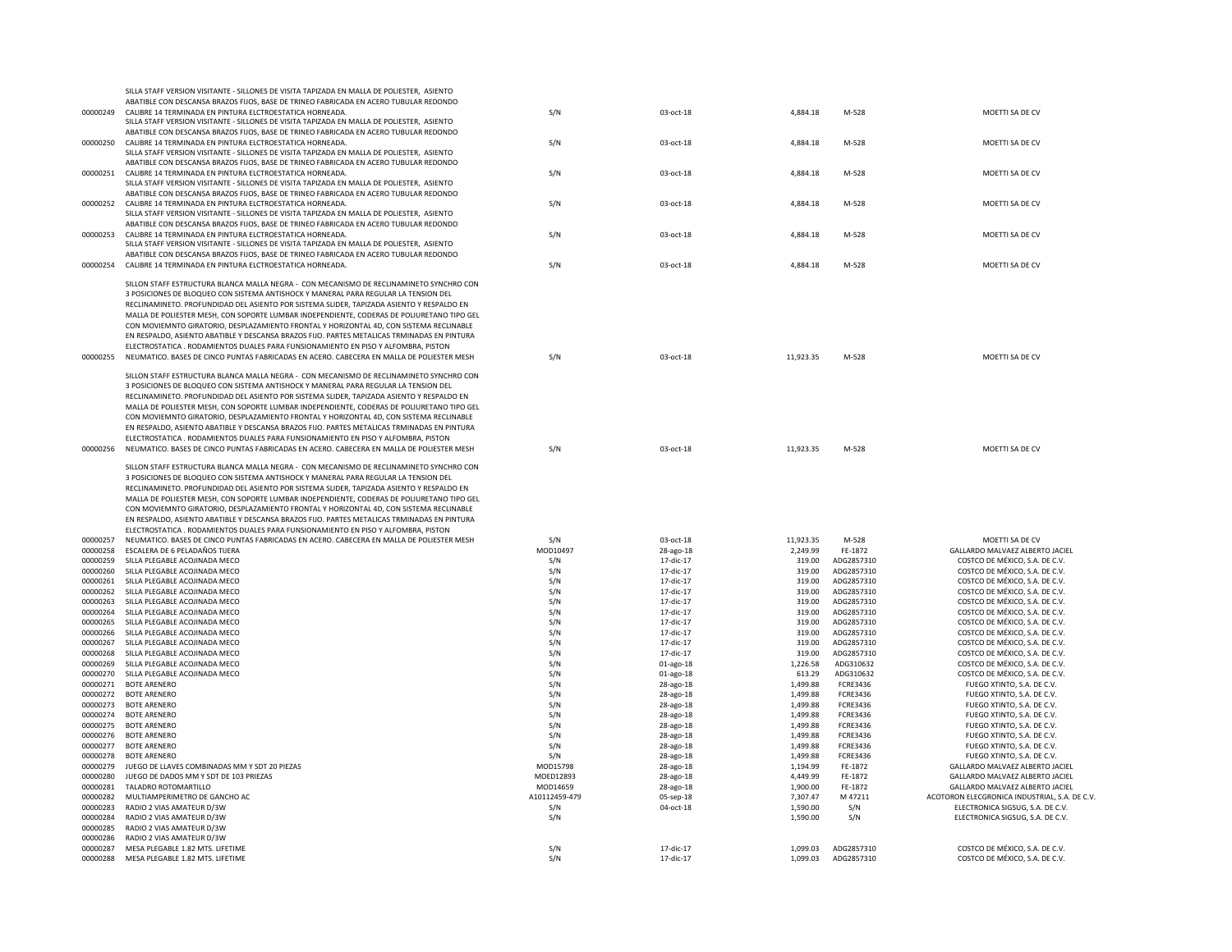|          | ABATIBLE CON DESCANSA BRAZOS FIJOS, BASE DE TRINEO FABRICADA EN ACERO TUBULAR REDONDO       |               |             |           |                 |                                               |
|----------|---------------------------------------------------------------------------------------------|---------------|-------------|-----------|-----------------|-----------------------------------------------|
| 00000249 | CALIBRE 14 TERMINADA EN PINTURA ELCTROESTATICA HORNEADA.                                    | S/N           | 03-oct-18   | 4,884.18  | M-528           | MOETTI SA DE CV                               |
|          | SILLA STAFF VERSION VISITANTE - SILLONES DE VISITA TAPIZADA EN MALLA DE POLIESTER, ASIENTO  |               |             |           |                 |                                               |
|          | ABATIBLE CON DESCANSA BRAZOS FIJOS, BASE DE TRINEO FABRICADA EN ACERO TUBULAR REDONDO       |               |             |           |                 |                                               |
|          |                                                                                             |               |             |           |                 |                                               |
| 00000250 | CALIBRE 14 TERMINADA EN PINTURA ELCTROESTATICA HORNEADA.                                    | S/N           | 03-oct-18   | 4,884.18  | M-528           | MOETTI SA DE CV                               |
|          | SILLA STAFF VERSION VISITANTE - SILLONES DE VISITA TAPIZADA EN MALLA DE POLIESTER, ASIENTO  |               |             |           |                 |                                               |
|          | ABATIBLE CON DESCANSA BRAZOS FIJOS, BASE DE TRINEO FABRICADA EN ACERO TUBULAR REDONDO       |               |             |           |                 |                                               |
| 00000251 | CALIBRE 14 TERMINADA EN PINTURA ELCTROESTATICA HORNEADA.                                    | S/N           | 03-oct-18   | 4,884.18  | M-528           | MOETTI SA DE CV                               |
|          | SILLA STAFF VERSION VISITANTE - SILLONES DE VISITA TAPIZADA EN MALLA DE POLIESTER, ASIENTO  |               |             |           |                 |                                               |
|          | ABATIBLE CON DESCANSA BRAZOS FIJOS, BASE DE TRINEO FABRICADA EN ACERO TUBULAR REDONDO       |               |             |           |                 |                                               |
|          |                                                                                             |               |             |           |                 |                                               |
| 00000252 | CALIBRE 14 TERMINADA EN PINTURA ELCTROESTATICA HORNEADA.                                    | S/N           | 03-oct-18   | 4,884.18  | M-528           | MOETTI SA DE CV                               |
|          | SILLA STAFF VERSION VISITANTE - SILLONES DE VISITA TAPIZADA EN MALLA DE POLIESTER, ASIENTO  |               |             |           |                 |                                               |
|          | ABATIBLE CON DESCANSA BRAZOS FIJOS. BASE DE TRINEO FABRICADA EN ACERO TUBULAR REDONDO       |               |             |           |                 |                                               |
| 00000253 | CALIBRE 14 TERMINADA EN PINTURA ELCTROESTATICA HORNEADA                                     | S/N           | 03-oct-18   | 4,884.18  | M-528           | MOETTI SA DE CV                               |
|          | SILLA STAFF VERSION VISITANTE - SILLONES DE VISITA TAPIZADA EN MALLA DE POLIESTER, ASIENTO  |               |             |           |                 |                                               |
|          | ABATIBLE CON DESCANSA BRAZOS FIJOS, BASE DE TRINEO FABRICADA EN ACERO TUBULAR REDONDO       |               |             |           |                 |                                               |
|          |                                                                                             |               |             |           |                 |                                               |
| 00000254 | CALIBRE 14 TERMINADA EN PINTURA ELCTROESTATICA HORNEADA.                                    | S/N           | 03-oct-18   | 4,884.18  | M-528           | MOETTI SA DE CV                               |
|          |                                                                                             |               |             |           |                 |                                               |
|          | SILLON STAFF ESTRUCTURA BLANCA MALLA NEGRA - CON MECANISMO DE RECLINAMINETO SYNCHRO CON     |               |             |           |                 |                                               |
|          | 3 POSICIONES DE BLOQUEO CON SISTEMA ANTISHOCK Y MANERAL PARA REGULAR LA TENSION DEL         |               |             |           |                 |                                               |
|          | RECLINAMINETO. PROFUNDIDAD DEL ASIENTO POR SISTEMA SLIDER, TAPIZADA ASIENTO Y RESPALDO EN   |               |             |           |                 |                                               |
|          | MALLA DE POLIESTER MESH, CON SOPORTE LUMBAR INDEPENDIENTE, CODERAS DE POLIURETANO TIPO GEL  |               |             |           |                 |                                               |
|          | CON MOVIEMNTO GIRATORIO, DESPLAZAMIENTO FRONTAL Y HORIZONTAL 4D, CON SISTEMA RECLINABLE     |               |             |           |                 |                                               |
|          |                                                                                             |               |             |           |                 |                                               |
|          | EN RESPALDO, ASIENTO ABATIBLE Y DESCANSA BRAZOS FIJO. PARTES METALICAS TRMINADAS EN PINTURA |               |             |           |                 |                                               |
|          | ELECTROSTATICA . RODAMIENTOS DUALES PARA EUNSIONAMIENTO EN PISO Y ALFOMBRA. PISTON          |               |             |           |                 |                                               |
| 00000255 | NEUMATICO. BASES DE CINCO PUNTAS FABRICADAS EN ACERO. CABECERA EN MALLA DE POLIESTER MESH   | S/N           | 03-oct-18   | 11,923.35 | M-528           | MOFTTI SA DE CV                               |
|          |                                                                                             |               |             |           |                 |                                               |
|          | SILLON STAFF ESTRUCTURA BLANCA MALLA NEGRA - CON MECANISMO DE RECLINAMINETO SYNCHRO CON     |               |             |           |                 |                                               |
|          | 3 POSICIONES DE BLOQUEO CON SISTEMA ANTISHOCK Y MANERAL PARA REGULAR LA TENSION DEL         |               |             |           |                 |                                               |
|          | RECLINAMINETO. PROFUNDIDAD DEL ASIENTO POR SISTEMA SLIDER, TAPIZADA ASIENTO Y RESPALDO EN   |               |             |           |                 |                                               |
|          |                                                                                             |               |             |           |                 |                                               |
|          | MALLA DE POLIESTER MESH, CON SOPORTE LUMBAR INDEPENDIENTE, CODERAS DE POLIURETANO TIPO GEL  |               |             |           |                 |                                               |
|          | CON MOVIEMNTO GIRATORIO, DESPLAZAMIENTO FRONTAL Y HORIZONTAL 4D, CON SISTEMA RECLINABLE     |               |             |           |                 |                                               |
|          | EN RESPALDO, ASIENTO ABATIBLE Y DESCANSA BRAZOS FIJO. PARTES METALICAS TRMINADAS EN PINTURA |               |             |           |                 |                                               |
|          | ELECTROSTATICA , RODAMIENTOS DUALES PARA FUNSIONAMIENTO EN PISO Y ALFOMBRA, PISTON          |               |             |           |                 |                                               |
| 00000256 | NEUMATICO. BASES DE CINCO PUNTAS FABRICADAS EN ACERO. CABECERA EN MALLA DE POLIESTER MESH   | S/N           | $03-00t-18$ | 11.923.35 | M-528           | MOFTTI SA DE CV                               |
|          |                                                                                             |               |             |           |                 |                                               |
|          |                                                                                             |               |             |           |                 |                                               |
|          | SILLON STAFF ESTRUCTURA BLANCA MALLA NEGRA - CON MECANISMO DE RECLINAMINETO SYNCHRO CON     |               |             |           |                 |                                               |
|          | 3 POSICIONES DE BLOQUEO CON SISTEMA ANTISHOCK Y MANERAL PARA REGULAR LA TENSION DEL         |               |             |           |                 |                                               |
|          | RECLINAMINETO. PROFUNDIDAD DEL ASIENTO POR SISTEMA SLIDER, TAPIZADA ASIENTO Y RESPALDO EN   |               |             |           |                 |                                               |
|          | MALLA DE POLIESTER MESH, CON SOPORTE LUMBAR INDEPENDIENTE, CODERAS DE POLIURETANO TIPO GEL  |               |             |           |                 |                                               |
|          | CON MOVIEMNTO GIRATORIO, DESPLAZAMIENTO FRONTAL Y HORIZONTAL 4D, CON SISTEMA RECLINABLE     |               |             |           |                 |                                               |
|          |                                                                                             |               |             |           |                 |                                               |
|          | EN RESPALDO, ASIENTO ABATIBLE Y DESCANSA BRAZOS FIJO. PARTES METALICAS TRMINADAS EN PINTURA |               |             |           |                 |                                               |
|          | ELECTROSTATICA . RODAMIENTOS DUALES PARA FUNSIONAMIENTO EN PISO Y ALFOMBRA, PISTON          |               |             |           |                 |                                               |
| 00000257 | NEUMATICO. BASES DE CINCO PUNTAS FABRICADAS EN ACERO. CABECERA EN MALLA DE POLIESTER MESH   | S/N           | 03-oct-18   | 11,923.35 | M-528           | MOETTI SA DE CV                               |
| 00000258 | ESCALERA DE 6 PELADAÑOS TIJERA                                                              | MOD10497      | 28-ago-18   | 2,249.99  | FE-1872         | GALLARDO MALVAEZ ALBERTO JACIEL               |
| 00000259 | SILLA PLEGABLE ACOJINADA MECO                                                               | S/N           | 17-dic-17   | 319.00    | ADG2857310      | COSTCO DE MÉXICO, S.A. DE C.V.                |
|          |                                                                                             |               |             |           |                 |                                               |
| 00000260 | SILLA PLEGABLE ACOJINADA MECO                                                               | S/N           | 17-dic-17   | 319.00    | ADG2857310      | COSTCO DE MÉXICO, S.A. DE C.V.                |
| 00000261 | SILLA PLEGABLE ACOJINADA MECO                                                               | S/N           | 17-dic-17   | 319.00    | ADG2857310      | COSTCO DE MÉXICO, S.A. DE C.V.                |
| 00000262 | SILLA PLEGABLE ACOJINADA MECO                                                               | S/N           | 17-dic-17   | 319.00    | ADG2857310      | COSTCO DE MÉXICO, S.A. DE C.V.                |
| 00000263 | SILLA PLEGABLE ACOJINADA MECO                                                               | S/N           | 17-dic-17   | 319.00    | ADG2857310      | COSTCO DE MÉXICO, S.A. DE C.V.                |
| 00000264 | SILLA PLEGABLE ACOJINADA MECO                                                               | S/N           | 17-dic-17   | 319.00    | ADG2857310      | COSTCO DE MÉXICO, S.A. DE C.V.                |
| 00000265 | SILLA PLEGABLE ACOJINADA MECO                                                               | S/N           | 17-dic-17   | 319.00    | ADG2857310      | COSTCO DE MÉXICO, S.A. DE C.V.                |
|          |                                                                                             |               |             |           |                 |                                               |
| 00000266 | SILLA PLEGABLE ACOJINADA MECO                                                               | S/N           | 17-dic-17   | 319.00    | ADG2857310      | COSTCO DE MÉXICO, S.A. DE C.V.                |
| 00000267 | SILLA PLEGABLE ACOJINADA MECO                                                               | S/N           | 17-dic-17   | 319.00    | ADG2857310      | COSTCO DE MÉXICO, S.A. DE C.V.                |
| 00000268 | SILLA PLEGABLE ACQUINADA MECO                                                               | S/N           | 17-dic-17   | 319.00    | ADG2857310      | COSTCO DE MÉXICO, S.A. DE C.V.                |
| 00000269 | SILLA PLEGABLE ACOJINADA MECO                                                               | S/N           | 01-ago-18   | 1,226.58  | ADG310632       | COSTCO DE MÉXICO, S.A. DE C.V.                |
| 00000270 | SILLA PLEGABLE ACOJINADA MECO                                                               | S/N           | 01-ago-18   | 613.29    | ADG310632       | COSTCO DE MÉXICO, S.A. DE C.V.                |
| 00000271 | <b>BOTE ARENERO</b>                                                                         | S/N           |             | 1,499.88  | FCRF3436        | FUEGO XTINTO, S.A. DE C.V.                    |
|          |                                                                                             |               | 28-ago-18   |           |                 |                                               |
| 00000272 | <b>BOTE ARENERO</b>                                                                         | S/N           | 28-ago-18   | 1,499.88  | <b>FCRE3436</b> | FUEGO XTINTO, S.A. DE C.V.                    |
| 00000273 | BOTE ARENERO                                                                                | S/N           | 28-ago-18   | 1,499.88  | <b>FCRE3436</b> | FUEGO XTINTO, S.A. DE C.V.                    |
| 00000274 | <b>BOTE ARENERO</b>                                                                         | S/N           | 28-ago-18   | 1,499.88  | FCRE3436        | FUEGO XTINTO, S.A. DE C.V.                    |
| 00000275 | BOTE ARENERO                                                                                | S/N           | 28-ago-18   | 1,499.88  | <b>FCRE3436</b> | FUEGO XTINTO, S.A. DE C.V.                    |
| 00000276 | BOTE ARENERO                                                                                | S/N           | 28-ago-18   | 1.499.88  | <b>FCRE3436</b> | FUEGO XTINTO, S.A. DE C.V.                    |
| 00000277 | <b>BOTE ARENERO</b>                                                                         | S/N           |             | 1,499.88  | <b>FCRE3436</b> | FUEGO XTINTO, S.A. DE C.V.                    |
|          |                                                                                             |               | 28-ago-18   |           |                 |                                               |
| 00000278 | BOTE ARENERO                                                                                | S/N           | 28-ago-18   | 1,499.88  | <b>FCRE3436</b> | FUEGO XTINTO, S.A. DE C.V.                    |
| 00000279 | JUEGO DE LLAVES COMBINADAS MM Y SDT 20 PIEZAS                                               | MOD15798      | 28-ago-18   | 1,194.99  | FE-1872         | GALLARDO MALVAEZ ALBERTO JACIEL               |
| 00000280 | JUEGO DE DADOS MM Y SDT DE 103 PRIEZAS                                                      | MOFD12893     | 28-ago-18   | 4,449.99  | FF-1872         | GALLARDO MALVAEZ ALBERTO JACIEL               |
| 00000281 | TALADRO ROTOMARTILLO                                                                        | MOD14659      | 28-ago-18   | 1.900.00  | FE-1872         | GALLARDO MALVAEZ ALBERTO JACIEL               |
| 00000282 | MULTIAMPERIMETRO DE GANCHO AC                                                               | A10112459-479 | 05-sep-18   | 7,307.47  | M 47211         | ACOTORON ELECGRONICA INDUSTRIAL, S.A. DE C.V. |
| 00000283 | RADIO 2 VIAS AMATEUR D/3W                                                                   | S/N           | 04-oct-18   | 1,590.00  | S/N             | ELECTRONICA SIGSUG, S.A. DE C.V.              |
|          |                                                                                             |               |             |           |                 |                                               |
| 00000284 | RADIO 2 VIAS AMATEUR D/3W                                                                   | S/N           |             | 1,590.00  | S/N             | ELECTRONICA SIGSUG, S.A. DE C.V.              |
| 00000285 | RADIO 2 VIAS AMATEUR D/3W                                                                   |               |             |           |                 |                                               |
| 00000286 | RADIO 2 VIAS AMATEUR D/3W                                                                   |               |             |           |                 |                                               |
|          | 00000287 MESA PLEGABLE 1.82 MTS. LIFETIME                                                   | S/N           | 17-dic-17   | 1.099.03  | ADG2857310      | COSTCO DE MÉXICO, S.A. DE C.V.                |
| 00000288 | MESA PLEGABLE 1.82 MTS. LIFETIME                                                            | S/N           | 17-dic-17   | 1,099.03  | ADG2857310      | COSTCO DE MÉXICO, S.A. DE C.V.                |
|          |                                                                                             |               |             |           |                 |                                               |

SILLA STAFF VERSION VISITANTE - SILLONES DE VISITA TAPIZADA EN MALLA DE POLIESTER, ASIENTO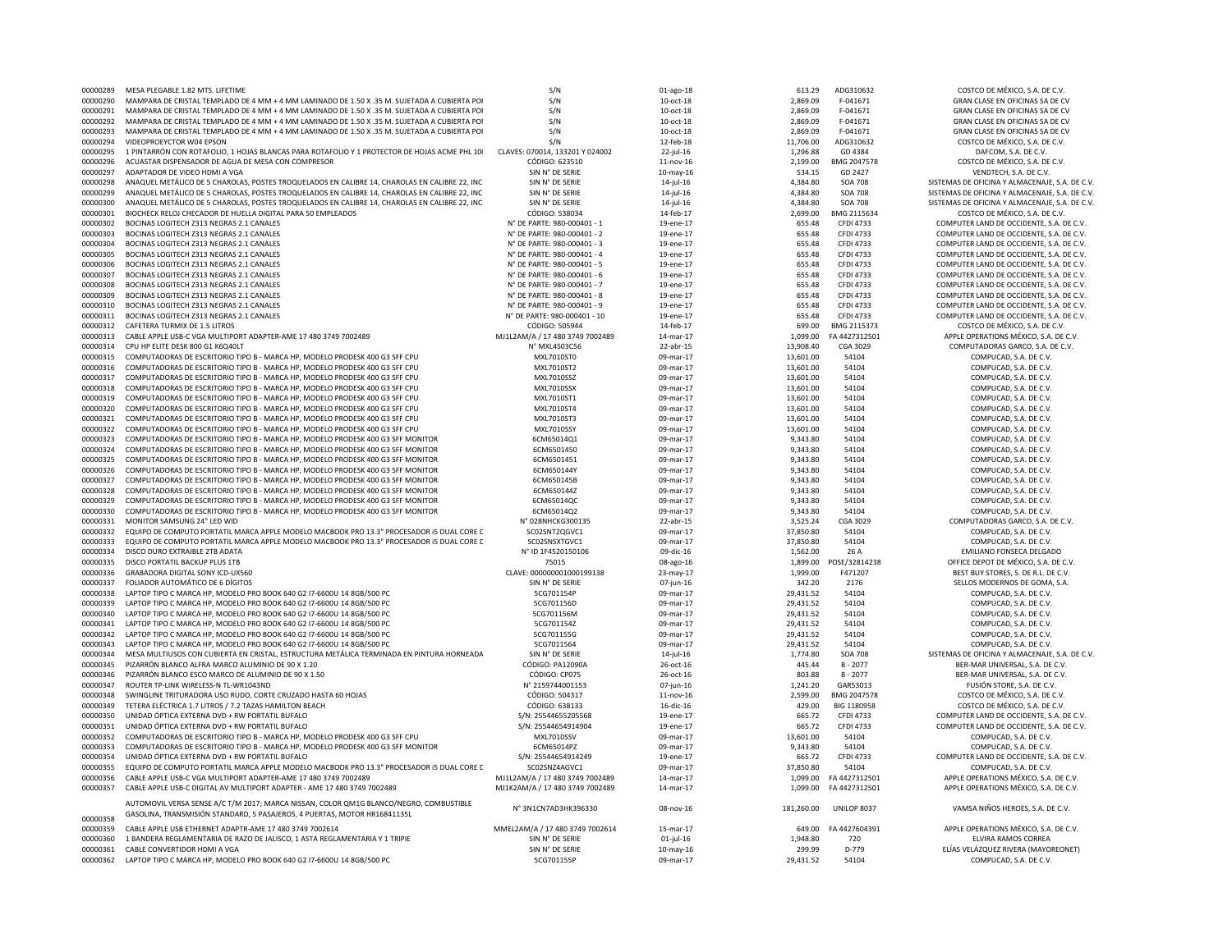| 00000289             | MESA PLEGABLE 1.82 MTS. LIFETIME                                                                                            | S/N                             | 01-ago-18       | 613.29     | ADG310632            | COSTCO DE MÉXICO, S.A. DE C.V.                                          |
|----------------------|-----------------------------------------------------------------------------------------------------------------------------|---------------------------------|-----------------|------------|----------------------|-------------------------------------------------------------------------|
| 00000290             | MAMPARA DE CRISTAL TEMPLADO DE 4 MM + 4 MM LAMINADO DE 1.50 X .35 M. SUJETADA A CUBIERTA POI                                | S/N                             | 10-oct-18       | 2,869.09   | F-041671             | GRAN CLASE EN OFICINAS SA DE CV                                         |
| 00000291             | MAMPARA DE CRISTAL TEMPLADO DE 4 MM + 4 MM LAMINADO DE 1.50 X .35 M. SUJETADA A CUBIERTA POI                                | S/N                             | 10-oct-18       | 2,869.09   | F-041671             | GRAN CLASE EN OFICINAS SA DE CV                                         |
| 00000292             | MAMPARA DE CRISTAL TEMPLADO DE 4 MM + 4 MM LAMINADO DE 1.50 X .35 M. SUJETADA A CUBIERTA POI                                | S/N                             | 10-oct-18       | 2,869.09   | F-041671             | GRAN CLASE EN OFICINAS SA DE CV                                         |
| 00000293             | MAMPARA DE CRISTAL TEMPLADO DE 4 MM + 4 MM LAMINADO DE 1.50 X .35 M. SUJETADA A CUBIERTA POI                                | S/N                             | 10-oct-18       | 2.869.09   | F-041671             | GRAN CLASE EN OFICINAS SA DE CV                                         |
| 00000294             | VIDEOPROFYCTOR W04 FPSON                                                                                                    | S/N                             | 12-feb-18       | 11,706.00  | ADG310632            | COSTCO DE MÉXICO, S.A. DE C.V.                                          |
| 00000295             | 1 PINTARRÓN CON ROTAFOLIO, 1 HOJAS BLANCAS PARA ROTAFOLIO Y 1 PROTECTOR DE HOJAS ACME PHL 10(                               | CLAVES: 070014, 133201 Y 024002 | 22-jul-16       | 1,296.88   | GD 4384              | DAFCOM, S.A. DF C.V.                                                    |
| 00000296             | ACUASTAR DISPENSADOR DE AGUA DE MESA CON COMPRESOR                                                                          | CÓDIGO: 623510                  | 11-nov-16       | 2.199.00   | BMG 2047578          | COSTCO DE MÉXICO, S.A. DE C.V.                                          |
| 00000297             | ADAPTADOR DE VIDEO HDMI A VGA                                                                                               | SIN N° DE SERIE                 | 10-may-16       | 534.15     | GD 2427              | VENDTECH, S.A. DE C.V.                                                  |
| 00000298             | ANAQUEL METÁLICO DE 5 CHAROLAS, POSTES TROQUELADOS EN CALIBRE 14, CHAROLAS EN CALIBRE 22, INC                               | SIN N° DE SERIE                 | 14-jul-16       | 4,384.80   | <b>SOA 708</b>       | SISTEMAS DE OFICINA Y ALMACENAJE, S.A. DE C.V.                          |
| 00000299             | ANAQUEL METÁLICO DE 5 CHAROLAS, POSTES TROQUELADOS EN CALIBRE 14, CHAROLAS EN CALIBRE 22, INC                               | SIN N° DE SERIE                 | 14-jul-16       | 4,384.80   | SOA 708              | SISTEMAS DE OFICINA Y ALMACENAJE, S.A. DE C.V.                          |
| 00000300             | ANAQUEL METÁLICO DE 5 CHAROLAS, POSTES TROQUELADOS EN CALIBRE 14, CHAROLAS EN CALIBRE 22, INC                               | SIN N° DE SERIE                 | 14-jul-16       | 4,384.80   | <b>SOA 708</b>       | SISTEMAS DE OFICINA Y ALMACENAJE, S.A. DE C.V.                          |
|                      |                                                                                                                             | CÓDIGO: 538034                  |                 |            |                      |                                                                         |
| 00000301             | BIOCHECK RELOJ CHECADOR DE HUELLA DIGITAL PARA 50 EMPLEADOS                                                                 |                                 | 14-feb-17       | 2,699.00   | BMG 2115634          | COSTCO DE MÉXICO, S.A. DE C.V.                                          |
| 00000302             | BOCINAS LOGITECH Z313 NEGRAS 2.1 CANALES                                                                                    | N° DE PARTE: 980-000401 - 1     | 19-ene-17       | 655.48     | <b>CFDI 4733</b>     | COMPUTER LAND DE OCCIDENTE, S.A. DE C.V.                                |
| 00000303             | BOCINAS LOGITECH Z313 NEGRAS 2.1 CANALES                                                                                    | N° DE PARTE: 980-000401 - 2     | 19-ene-17       | 655.48     | CFDI 4733            | COMPUTER LAND DE OCCIDENTE, S.A. DE C.V.                                |
| 00000304             | BOCINAS LOGITECH Z313 NEGRAS 2.1 CANALES                                                                                    | N° DE PARTE: 980-000401 - 3     | 19-ene-17       | 655.48     | <b>CFDI 4733</b>     | COMPUTER LAND DE OCCIDENTE, S.A. DE C.V.                                |
| 00000305             | BOCINAS LOGITECH Z313 NEGRAS 2.1 CANALES                                                                                    | N° DE PARTE: 980-000401 - 4     | 19-ene-17       | 655.48     | <b>CFDI 4733</b>     | COMPUTER LAND DE OCCIDENTE, S.A. DE C.V.                                |
| 00000306             | BOCINAS LOGITECH Z313 NEGRAS 2.1 CANALES                                                                                    | N° DE PARTE: 980-000401 - 5     | 19-ene-17       | 655.48     | <b>CFDI 4733</b>     | COMPUTER LAND DE OCCIDENTE, S.A. DE C.V.                                |
| 00000307             | BOCINAS LOGITECH Z313 NEGRAS 2.1 CANALES                                                                                    | N° DE PARTE: 980-000401 - 6     | 19-ene-17       | 655.48     | <b>CFDI 4733</b>     | COMPUTER LAND DE OCCIDENTE, S.A. DE C.V.                                |
| 00000308             | BOCINAS LOGITECH Z313 NEGRAS 2.1 CANALES                                                                                    | N° DE PARTE: 980-000401 - 7     | 19-ene-17       | 655.48     | <b>CFDI 4733</b>     | COMPUTER LAND DE OCCIDENTE, S.A. DE C.V.                                |
| 00000309             | BOCINAS LOGITECH Z313 NEGRAS 2.1 CANALES                                                                                    | N° DE PARTE: 980-000401 - 8     | 19-ene-17       | 655.48     | <b>CFDI 4733</b>     | COMPUTER LAND DE OCCIDENTE, S.A. DE C.V.                                |
| 00000310             | BOCINAS LOGITECH Z313 NEGRAS 2.1 CANALES                                                                                    | N° DE PARTE: 980-000401 - 9     | 19-ene-17       | 655.48     | <b>CFDI 4733</b>     | COMPUTER LAND DE OCCIDENTE, S.A. DE C.V.                                |
| 00000311             | BOCINAS LOGITECH Z313 NEGRAS 2.1 CANALES                                                                                    | N° DE PARTE: 980-000401 - 10    | 19-ene-17       | 655.48     | <b>CFDI 4733</b>     | COMPUTER LAND DE OCCIDENTE, S.A. DE C.V.                                |
| 00000312             | CAFETERA TURMIX DE 1.5 LITROS                                                                                               | CÓDIGO: 505944                  | 14-feb-17       | 699.00     | BMG 2115373          | COSTCO DE MÉXICO, S.A. DE C.V.                                          |
| 00000313             | CABLE APPLE USB-C VGA MULTIPORT ADAPTER-AME 17 480 3749 7002489                                                             | MJ1L2AM/A / 17 480 3749 7002489 | 14-mar-17       | 1.099.00   | FA4427312501         | APPLE OPERATIONS MÉXICO, S.A. DE C.V.                                   |
| 00000314             | CPU HP FLITE DESK 800 G1 K6O40LT                                                                                            | N° MXL4503C56                   | 22-abr-15       | 13,908.40  | CGA 3029             | COMPUTADORAS GARCO, S.A. DE C.V.                                        |
| 00000315             | COMPUTADORAS DE ESCRITORIO TIPO B - MARCA HP, MODELO PRODESK 400 G3 SFF CPU                                                 | MXL7010ST0                      | 09-mar-17       | 13,601.00  | 54104                | COMPUCAD, S.A. DE C.V.                                                  |
| 00000316             | COMPUTADORAS DE ESCRITORIO TIPO B - MARCA HP, MODELO PRODESK 400 G3 SFF CPU                                                 | MXL7010ST2                      | 09-mar-17       | 13.601.00  | 54104                |                                                                         |
|                      |                                                                                                                             |                                 |                 |            |                      | COMPUCAD, S.A. DE C.V.                                                  |
| 00000317             | COMPUTADORAS DE ESCRITORIO TIPO B - MARCA HP, MODELO PRODESK 400 G3 SFF CPU                                                 | <b>MXL7010SSZ</b>               | 09-mar-17       | 13,601.00  | 54104                | COMPUCAD, S.A. DE C.V.                                                  |
| 00000318             | COMPUTADORAS DE ESCRITORIO TIPO B - MARCA HP, MODELO PRODESK 400 G3 SFF CPU                                                 | MXL7010SSX                      | 09-mar-17       | 13.601.00  | 54104                | COMPUCAD, S.A. DE C.V.                                                  |
| 00000319             | COMPUTADORAS DE ESCRITORIO TIPO B - MARCA HP, MODELO PRODESK 400 G3 SFF CPU                                                 | MXI 7010ST1                     | 09-mar-17       | 13.601.00  | 54104                | COMPUCAD, S.A. DE C.V.                                                  |
| 00000320             | COMPUTADORAS DE ESCRITORIO TIPO B - MARCA HP. MODELO PRODESK 400 G3 SFF CPU                                                 | MXI 7010ST4                     | 09-mar-17       | 13.601.00  | 54104                | COMPUCAD, S.A. DE C.V.                                                  |
| 00000321             | COMPUTADORAS DE ESCRITORIO TIPO B - MARCA HP, MODELO PRODESK 400 G3 SFF CPU                                                 | MXL7010ST3                      | 09-mar-17       | 13,601.00  | 54104                | COMPUCAD, S.A. DE C.V.                                                  |
| 00000322             | COMPUTADORAS DE ESCRITORIO TIPO B - MARCA HP, MODELO PRODESK 400 G3 SFF CPU                                                 | MXL7010SSY                      | 09-mar-17       | 13,601.00  | 54104                | COMPUCAD, S.A. DE C.V.                                                  |
| 00000323             | COMPUTADORAS DE ESCRITORIO TIPO B - MARCA HP, MODELO PRODESK 400 G3 SFF MONITOR                                             | 6CM65014Q1                      | 09-mar-17       | 9,343.80   | 54104                | COMPUCAD, S.A. DE C.V.                                                  |
| 00000324             | COMPUTADORAS DE ESCRITORIO TIPO B - MARCA HP, MODELO PRODESK 400 G3 SFF MONITOR                                             | 6CM6501450                      | 09-mar-17       | 9,343.80   | 54104                | COMPUCAD, S.A. DE C.V.                                                  |
| 00000325             | COMPUTADORAS DE ESCRITORIO TIPO B - MARCA HP, MODELO PRODESK 400 G3 SFF MONITOR                                             | 6CM6501451                      | 09-mar-17       | 9,343.80   | 54104                | COMPUCAD, S.A. DE C.V.                                                  |
| 00000326             | COMPUTADORAS DE ESCRITORIO TIPO B - MARCA HP, MODELO PRODESK 400 G3 SFF MONITOR                                             | 6CM650144Y                      | 09-mar-17       | 9.343.80   | 54104                | COMPUCAD, S.A. DE C.V.                                                  |
| 00000327             | COMPUTADORAS DE ESCRITORIO TIPO B - MARCA HP, MODELO PRODESK 400 G3 SFF MONITOR                                             | 6CM650145B                      | 09-mar-17       | 9,343.80   | 54104                | COMPUCAD, S.A. DE C.V.                                                  |
| 00000328             | COMPUTADORAS DE ESCRITORIO TIPO B - MARCA HP, MODELO PRODESK 400 G3 SFF MONITOR                                             | 6CM650144Z                      | 09-mar-17       | 9.343.80   | 54104                | COMPUCAD, S.A. DE C.V.                                                  |
| 00000329             | COMPUTADORAS DE ESCRITORIO TIPO B - MARCA HP, MODELO PRODESK 400 G3 SFF MONITOR                                             | 6CM65014QC                      | 09-mar-17       | 9,343.80   | 54104                | COMPUCAD, S.A. DE C.V.                                                  |
| 00000330             | COMPUTADORAS DE ESCRITORIO TIPO B - MARCA HP, MODELO PRODESK 400 G3 SFF MONITOR                                             | 6CM65014Q2                      | 09-mar-17       | 9,343.80   | 54104                | COMPUCAD, S.A. DE C.V.                                                  |
| 00000331             | MONITOR SAMSUNG 24" LED WID                                                                                                 | N° 028NHCKG300135               | 22-abr-15       | 3,525.24   | CGA 3029             | COMPUTADORAS GARCO, S.A. DE C.V.                                        |
| 00000332             | EQUIPO DE COMPUTO PORTATIL MARCA APPLE MODELO MACBOOK PRO 13.3" PROCESADOR I5 DUAL CORE C                                   | SC02SNT2QGVC1                   | 09-mar-17       | 37,850.80  | 54104                | COMPUCAD, S.A. DE C.V.                                                  |
| 00000333             |                                                                                                                             | SC02SNSXTGVC1                   |                 |            | 54104                |                                                                         |
|                      | EQUIPO DE COMPUTO PORTATIL MARCA APPLE MODELO MACBOOK PRO 13.3" PROCESADOR I5 DUAL CORE C<br>DISCO DURO EXTRAIBLE 2TB ADATA | N° ID 1F4520150106              | 09-mar-17       | 37,850.80  |                      | COMPUCAD, S.A. DE C.V.                                                  |
| 00000334<br>00000335 |                                                                                                                             |                                 | 09-dic-16       | 1,562.00   | 26 A                 | <b>EMILIANO FONSECA DELGADO</b><br>OFFICE DEPOT DE MÉXICO, S.A. DE C.V. |
|                      | DISCO PORTATIL BACKUP PLUS 1TB                                                                                              | 75015                           | 08-ago-16       | 1,899.00   | POSE/32814238        |                                                                         |
| 00000336             | GRABADORA DIGITAL SONY ICD-UX560                                                                                            | CLAVE: 000000001000199138       | 23-may-17       | 1,999.00   | F471207              | BEST BUY STORES, S. DE R.L. DE C.V.                                     |
| 00000337             | FOLIADOR AUTOMÁTICO DE 6 DÍGITOS                                                                                            | SIN N° DE SERIE                 | 07-jun-16       | 342.20     | 2176                 | SELLOS MODERNOS DE GOMA, S.A.                                           |
| 00000338             | LAPTOP TIPO C MARCA HP, MODELO PRO BOOK 640 G2 17-6600U 14 8GB/500 PC                                                       | 5CG701154P                      | 09-mar-17       | 29,431.52  | 54104                | COMPUCAD, S.A. DE C.V                                                   |
| 00000339             | LAPTOP TIPO C MARCA HP. MODELO PRO BOOK 640 G2 17-6600U 14 8GB/500 PC                                                       | 5CG701156D                      | 09-mar-17       | 29.431.52  | 54104                | COMPUCAD, S.A. DE C.V.                                                  |
| 00000340             | LAPTOP TIPO C MARCA HP. MODELO PRO BOOK 640 G2 17-6600U 14 8GB/500 PC                                                       | 5CG701156M                      | 09-mar-17       | 29.431.52  | 54104                | COMPUCAD, S.A. DE C.V.                                                  |
| 00000341             | LAPTOP TIPO C MARCA HP, MODELO PRO BOOK 640 G2 17-6600U 14 8GB/500 PC                                                       | 5CG701154Z                      | 09-mar-17       | 29,431.52  | 54104                | COMPUCAD, S.A. DE C.V.                                                  |
| 00000342             | LAPTOP TIPO C MARCA HP, MODELO PRO BOOK 640 G2 17-6600U 14 8GB/500 PC                                                       | 5CG701155G                      | 09-mar-17       | 29,431.52  | 54104                | COMPUCAD, S.A. DE C.V.                                                  |
| 00000343             | LAPTOP TIPO C MARCA HP, MODELO PRO BOOK 640 G2 17-6600U 14 8GB/500 PC                                                       | 5CG7011564                      | 09-mar-17       | 29,431.52  | 54104                | COMPUCAD, S.A. DE C.V.                                                  |
| 00000344             | MESA MULTIUSOS CON CUBIERTA EN CRISTAL, ESTRUCTURA METÁLICA TERMINADA EN PINTURA HORNEADA                                   | SIN N° DE SERIE                 | 14-jul-16       | 1,774.80   | <b>SOA 708</b>       | SISTEMAS DE OFICINA Y ALMACENAJE, S.A. DE C.V.                          |
| 00000345             | PIZARRÓN BLANCO ALFRA MARCO ALUMINIO DE 90 X 1.20                                                                           | <b>CÓDIGO: PA12090A</b>         | 26-oct-16       | 445.44     | $B - 2077$           | BER-MAR UNIVERSAL, S.A. DE C.V.                                         |
| 00000346             | PIZARRÓN BLANCO ESCO MARCO DE ALUMINIO DE 90 X 1.50                                                                         | CÓDIGO: CP075                   | 26-oct-16       | 803.88     | $B - 2077$           | BER-MAR UNIVERSAL, S.A. DE C.V                                          |
| 00000347             | ROUTER TP-LINK WIRELESS-N TL-WR1043ND                                                                                       | N° 2159744001153                | 07-jun-16       | 1,241.20   | GAR53013             | FUSIÓN STORE, S.A. DE C.V.                                              |
| 00000348             | SWINGLINE TRITURADORA USO RUDO, CORTE CRUZADO HASTA 60 HOJAS                                                                | CÓDIGO: 504317                  | 11-nov-16       | 2,599.00   | BMG 2047578          | COSTCO DE MÉXICO, S.A. DE C.V                                           |
| 00000349             | TETERA ELÉCTRICA 1.7 LITROS / 7.2 TAZAS HAMILTON BEACH                                                                      | CÓDIGO: 638133                  | 16-dic-16       | 429.00     | BIG 1180958          | COSTCO DE MÉXICO, S.A. DE C.V.                                          |
| 00000350             | UNIDAD ÓPTICA EXTERNA DVD + RW PORTATIL BUFALO                                                                              | S/N: 25544655205568             | 19-ene-17       | 665.72     | <b>CFDI 4733</b>     | COMPUTER LAND DE OCCIDENTE, S.A. DE C.V.                                |
|                      |                                                                                                                             |                                 |                 |            |                      |                                                                         |
| 00000351             | UNIDAD ÓPTICA EXTERNA DVD + RW PORTATIL BUFALO                                                                              | S/N: 25544654914904             | 19-ene-17       | 665.72     | <b>CFDI 4733</b>     | COMPUTER LAND DE OCCIDENTE, S.A. DE C.V.                                |
| 00000352             | COMPUTADORAS DE ESCRITORIO TIPO B - MARCA HP, MODELO PRODESK 400 G3 SFF CPU                                                 | MXL7010SSV                      | 09-mar-17       | 13,601.00  | 54104                | COMPUCAD, S.A. DE C.V.                                                  |
| 00000353             | COMPUTADORAS DE ESCRITORIO TIPO B - MARCA HP, MODELO PRODESK 400 G3 SFF MONITOR                                             | 6CM65014PZ                      | 09-mar-17       | 9,343.80   | 54104                | COMPUCAD, S.A. DE C.V.                                                  |
| 00000354             | UNIDAD ÓPTICA EXTERNA DVD + RW PORTATIL BUFALO                                                                              | S/N: 25544654914249             | 19-ene-17       | 665.72     | <b>CFDI 4733</b>     | COMPUTER LAND DE OCCIDENTE, S.A. DE C.V.                                |
| 00000355             | EQUIPO DE COMPUTO PORTATIL MARCA APPLE MODELO MACBOOK PRO 13.3" PROCESADOR I5 DUAL CORE C                                   | SC02SNZ4AGVC1                   | 09-mar-17       | 37,850.80  | 54104                | COMPUCAD, S.A. DE C.V.                                                  |
| 00000356             | CABLE APPLE USB-C VGA MULTIPORT ADAPTER-AME 17 480 3749 7002489                                                             | MJ1L2AM/A / 17 480 3749 7002489 | 14-mar-17       | 1.099.00   | FA4427312501         | APPLE OPERATIONS MÉXICO, S.A. DE C.V.                                   |
| 00000357             | CABLE APPLE USB-C DIGITAL AV MULTIPORT ADAPTER - AME 17 480 3749 7002489                                                    | MJ1K2AM/A / 17 480 3749 7002489 | 14-mar-17       | 1,099.00   | FA4427312501         | APPLE OPERATIONS MÉXICO, S.A. DE C.V.                                   |
|                      | AUTOMOVIL VERSA SENSE A/C T/M 2017; MARCA NISSAN, COLOR QM1G BLANCO/NEGRO, COMBUSTIBLE                                      |                                 |                 |            |                      |                                                                         |
|                      |                                                                                                                             | N° 3N1CN7AD3HK396330            | 08-nov-16       | 181,260.00 | <b>UNILOP 8037</b>   | VAMSA NIÑOS HEROES, S.A. DE C.V.                                        |
| 00000358             | GASOLINA, TRANSMISIÓN STANDARD, 5 PASAJEROS, 4 PUERTAS, MOTOR HR16841135L                                                   |                                 |                 |            |                      |                                                                         |
| 00000359             | CABLE APPLE USB ETHERNET ADAPTR-AME 17 480 3749 7002614                                                                     | MMEL2AM/A / 17 480 3749 7002614 | 15-mar-17       |            | 649.00 FA 4427604391 | APPLE OPERATIONS MÉXICO, S.A. DE C.V.                                   |
| 00000360             | 1 BANDERA REGLAMENTARIA DE RAZO DE JALISCO, 1 ASTA REGLAMENTARIA Y 1 TRIPIE                                                 | SIN N° DE SERIE                 | 01-jul-16       | 1.948.80   | 720                  | <b>FLVIRA RAMOS CORREA</b>                                              |
| 00000361             | CABLE CONVERTIDOR HDMI A VGA                                                                                                | SIN N° DE SERIE                 | $10$ -may- $16$ | 299.99     | D-779                | ELÍAS VELÁZQUEZ RIVERA (MAYOREONET)                                     |
| 00000362             | LAPTOP TIPO C MARCA HP, MODELO PRO BOOK 640 G2 17-6600U 14 8GB/500 PC                                                       | 5CG701155P                      | 09-mar-17       | 29,431.52  | 54104                | COMPUCAD, S.A. DE C.V.                                                  |
|                      |                                                                                                                             |                                 |                 |            |                      |                                                                         |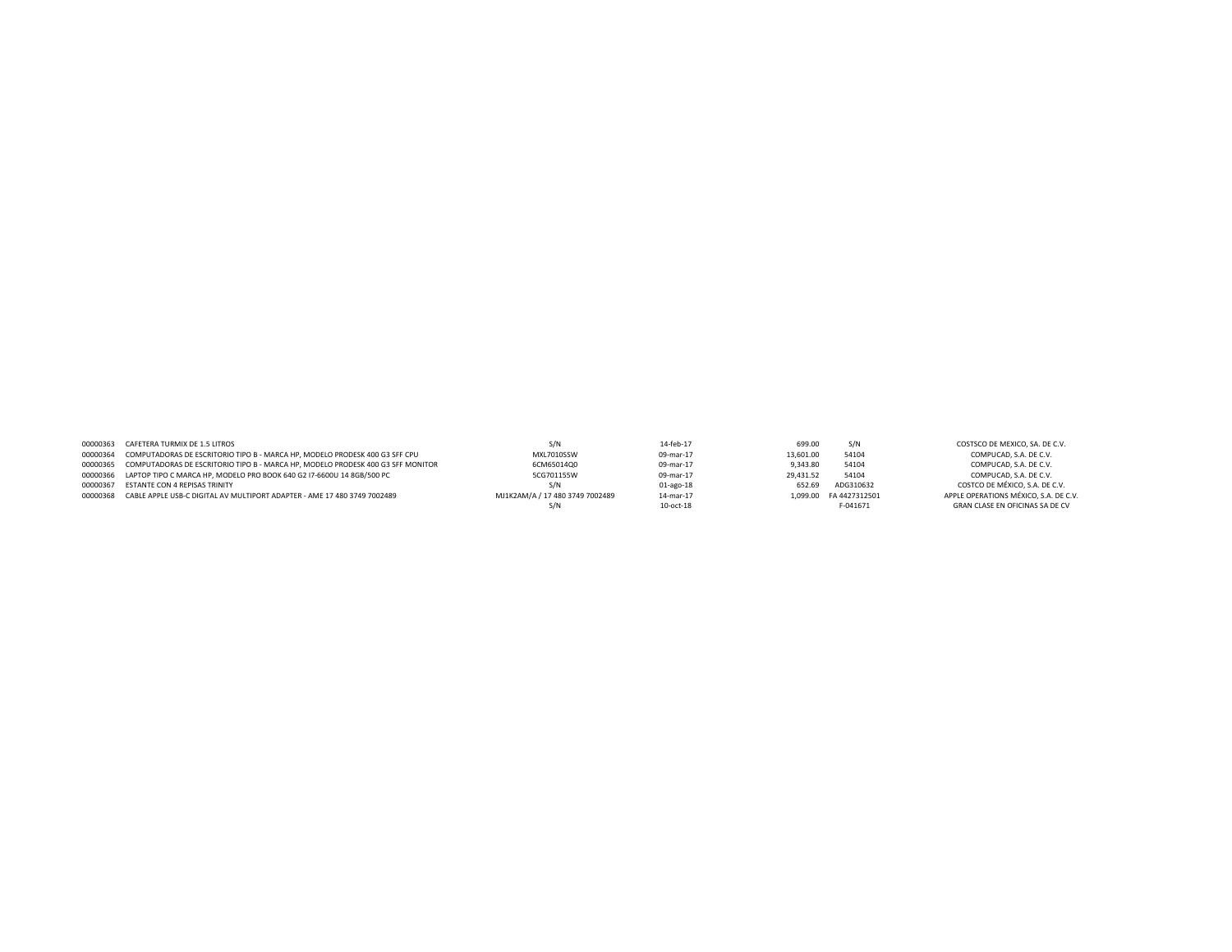| 00000363 CAFETERA TURMIX DE 1.5 LITROS                                                   |                                 | 14-feb-17 | 699.00    | S/N                    | COSTSCO DE MEXICO, SA, DE C.V.        |
|------------------------------------------------------------------------------------------|---------------------------------|-----------|-----------|------------------------|---------------------------------------|
| 00000364 COMPUTADORAS DE ESCRITORIO TIPO B - MARCA HP. MODELO PRODESK 400 G3 SFF CPU     | MXL7010SSW                      | 09-mar-17 | 13,601.00 | 54104                  | COMPUCAD. S.A. DE C.V.                |
| 00000365 COMPUTADORAS DE ESCRITORIO TIPO B - MARCA HP. MODELO PRODESK 400 G3 SFF MONITOR | 6CM65014Q0                      | 09-mar-17 | 9.343.80  | 54104                  | COMPUCAD. S.A. DE C.V.                |
| 00000366 LAPTOP TIPO C MARCA HP, MODELO PRO BOOK 640 G2 I7-6600U 14 8GB/500 PC           | 5CG701155W                      | 09-mar-17 | 29.431.52 | 54104                  | COMPUCAD. S.A. DE C.V.                |
| 00000367 ESTANTE CON 4 REPISAS TRINITY                                                   | S/N                             | 01-ago-18 | 652.69    | ADG310632              | COSTCO DE MÉXICO. S.A. DE C.V.        |
| 00000368 CABLE APPLE USB-C DIGITAL AV MULTIPORT ADAPTER - AME 17 480 3749 7002489        | MJ1K2AM/A / 17 480 3749 7002489 | 14-mar-17 |           | 1.099.00 FA 4427312501 | APPLE OPERATIONS MÉXICO, S.A. DE C.V. |
|                                                                                          |                                 | 10-oct-18 |           | F-041671               | GRAN CLASE EN OFICINAS SA DE CV       |